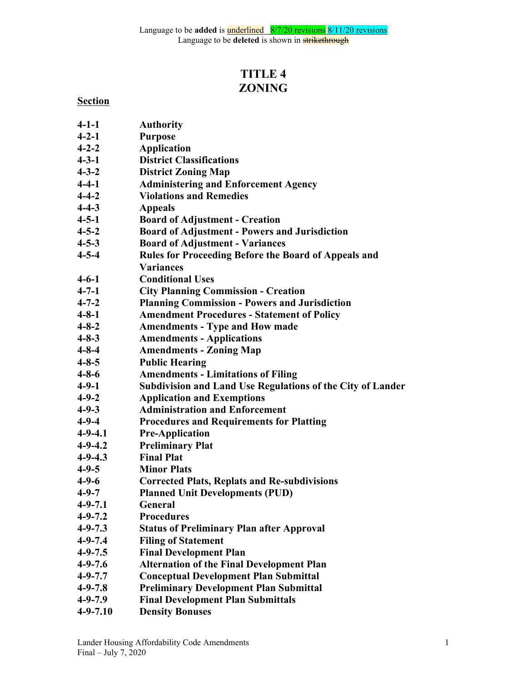# **TITLE 4 ZONING**

# **Section**

**4-1-1 Authority 4-2-1 Purpose 4-2-2 Application**

**4-3-1 District Classifications 4-3-2 District Zoning Map**

**4-4-1 Administering and Enforcement Agency**

| $4 - 4 - 2$   | <b>Violations and Remedies</b>                             |
|---------------|------------------------------------------------------------|
| $4 - 4 - 3$   | <b>Appeals</b>                                             |
| $4 - 5 - 1$   | <b>Board of Adjustment - Creation</b>                      |
| $4 - 5 - 2$   | <b>Board of Adjustment - Powers and Jurisdiction</b>       |
| $4 - 5 - 3$   | <b>Board of Adjustment - Variances</b>                     |
| $4 - 5 - 4$   | Rules for Proceeding Before the Board of Appeals and       |
|               | <b>Variances</b>                                           |
| $4 - 6 - 1$   | <b>Conditional Uses</b>                                    |
| $4 - 7 - 1$   | <b>City Planning Commission - Creation</b>                 |
| $4 - 7 - 2$   | <b>Planning Commission - Powers and Jurisdiction</b>       |
| $4 - 8 - 1$   | <b>Amendment Procedures - Statement of Policy</b>          |
| $4 - 8 - 2$   | <b>Amendments - Type and How made</b>                      |
| $4 - 8 - 3$   | <b>Amendments - Applications</b>                           |
| $4 - 8 - 4$   | <b>Amendments - Zoning Map</b>                             |
| $4 - 8 - 5$   | <b>Public Hearing</b>                                      |
| $4 - 8 - 6$   | <b>Amendments - Limitations of Filing</b>                  |
| $4 - 9 - 1$   | Subdivision and Land Use Regulations of the City of Lander |
| $4 - 9 - 2$   | <b>Application and Exemptions</b>                          |
| $4 - 9 - 3$   | <b>Administration and Enforcement</b>                      |
| $4 - 9 - 4$   | <b>Procedures and Requirements for Platting</b>            |
| $4 - 9 - 4.1$ | <b>Pre-Application</b>                                     |
| $4 - 9 - 4.2$ | <b>Preliminary Plat</b>                                    |
| $4 - 9 - 4.3$ | <b>Final Plat</b>                                          |
| $4 - 9 - 5$   | <b>Minor Plats</b>                                         |
| $4 - 9 - 6$   | <b>Corrected Plats, Replats and Re-subdivisions</b>        |
| $4 - 9 - 7$   | <b>Planned Unit Developments (PUD)</b>                     |
| $4 - 9 - 7.1$ | General                                                    |
| $4 - 9 - 7.2$ | <b>Procedures</b>                                          |
| $4 - 9 - 7.3$ | <b>Status of Preliminary Plan after Approval</b>           |
| $4 - 9 - 7.4$ | <b>Filing of Statement</b>                                 |
| $4 - 9 - 7.5$ | <b>Final Development Plan</b>                              |
| $4 - 9 - 7.6$ | <b>Alternation of the Final Development Plan</b>           |
| $4 - 9 - 7.7$ | <b>Conceptual Development Plan Submittal</b>               |
| $4 - 9 - 7.8$ | <b>Preliminary Development Plan Submittal</b>              |
| $4 - 9 - 7.9$ | <b>Final Development Plan Submittals</b>                   |
|               |                                                            |

**4-9-7.10 Density Bonuses**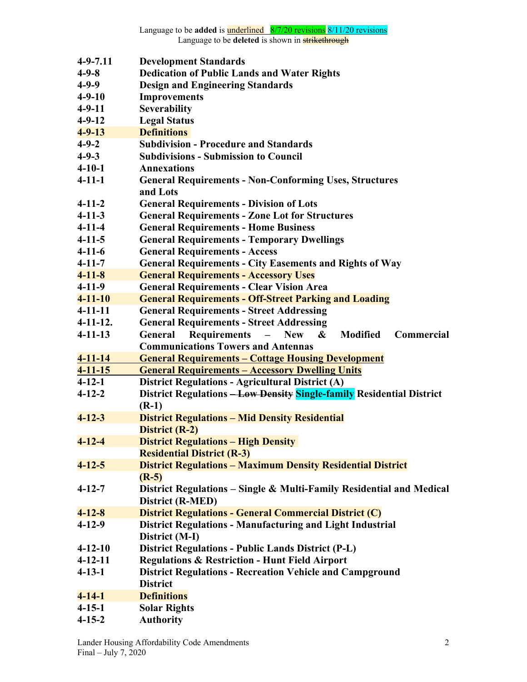| <b>Dedication of Public Lands and Water Rights</b><br><b>Design and Engineering Standards</b><br><b>Improvements</b><br><b>Severability</b><br><b>General Requirements - Division of Lots</b><br><b>General Requirements - Zone Lot for Structures</b><br><b>General Requirements - Home Business</b><br><b>General Requirements - Temporary Dwellings</b><br><b>General Requirements - Access</b><br><b>General Requirements - City Easements and Rights of Way</b><br><b>General Requirements - Accessory Uses</b><br><b>General Requirements - Clear Vision Area</b> | $4 - 9 - 7.11$                                                 | <b>Development Standards</b>                                                                                                                                                                                                                                                                                              |  |  |
|-------------------------------------------------------------------------------------------------------------------------------------------------------------------------------------------------------------------------------------------------------------------------------------------------------------------------------------------------------------------------------------------------------------------------------------------------------------------------------------------------------------------------------------------------------------------------|----------------------------------------------------------------|---------------------------------------------------------------------------------------------------------------------------------------------------------------------------------------------------------------------------------------------------------------------------------------------------------------------------|--|--|
|                                                                                                                                                                                                                                                                                                                                                                                                                                                                                                                                                                         | $4 - 9 - 8$                                                    |                                                                                                                                                                                                                                                                                                                           |  |  |
|                                                                                                                                                                                                                                                                                                                                                                                                                                                                                                                                                                         | $4 - 9 - 9$                                                    |                                                                                                                                                                                                                                                                                                                           |  |  |
|                                                                                                                                                                                                                                                                                                                                                                                                                                                                                                                                                                         | $4 - 9 - 10$                                                   |                                                                                                                                                                                                                                                                                                                           |  |  |
|                                                                                                                                                                                                                                                                                                                                                                                                                                                                                                                                                                         | $4-9-11$                                                       |                                                                                                                                                                                                                                                                                                                           |  |  |
|                                                                                                                                                                                                                                                                                                                                                                                                                                                                                                                                                                         |                                                                |                                                                                                                                                                                                                                                                                                                           |  |  |
|                                                                                                                                                                                                                                                                                                                                                                                                                                                                                                                                                                         |                                                                | <b>Definitions</b>                                                                                                                                                                                                                                                                                                        |  |  |
|                                                                                                                                                                                                                                                                                                                                                                                                                                                                                                                                                                         | $4 - 9 - 2$                                                    | <b>Subdivision - Procedure and Standards</b>                                                                                                                                                                                                                                                                              |  |  |
|                                                                                                                                                                                                                                                                                                                                                                                                                                                                                                                                                                         |                                                                |                                                                                                                                                                                                                                                                                                                           |  |  |
|                                                                                                                                                                                                                                                                                                                                                                                                                                                                                                                                                                         | $4 - 10 - 1$                                                   | Annexations                                                                                                                                                                                                                                                                                                               |  |  |
|                                                                                                                                                                                                                                                                                                                                                                                                                                                                                                                                                                         | $4 - 11 - 1$                                                   | <b>General Requirements - Non-Conforming Uses, Structures</b><br>and Lots                                                                                                                                                                                                                                                 |  |  |
|                                                                                                                                                                                                                                                                                                                                                                                                                                                                                                                                                                         | $4 - 11 - 2$                                                   |                                                                                                                                                                                                                                                                                                                           |  |  |
|                                                                                                                                                                                                                                                                                                                                                                                                                                                                                                                                                                         | $4 - 11 - 3$                                                   |                                                                                                                                                                                                                                                                                                                           |  |  |
|                                                                                                                                                                                                                                                                                                                                                                                                                                                                                                                                                                         | $4 - 11 - 4$                                                   |                                                                                                                                                                                                                                                                                                                           |  |  |
|                                                                                                                                                                                                                                                                                                                                                                                                                                                                                                                                                                         | $4 - 11 - 5$                                                   |                                                                                                                                                                                                                                                                                                                           |  |  |
|                                                                                                                                                                                                                                                                                                                                                                                                                                                                                                                                                                         |                                                                |                                                                                                                                                                                                                                                                                                                           |  |  |
|                                                                                                                                                                                                                                                                                                                                                                                                                                                                                                                                                                         | $4 - 11 - 7$                                                   |                                                                                                                                                                                                                                                                                                                           |  |  |
|                                                                                                                                                                                                                                                                                                                                                                                                                                                                                                                                                                         |                                                                |                                                                                                                                                                                                                                                                                                                           |  |  |
|                                                                                                                                                                                                                                                                                                                                                                                                                                                                                                                                                                         |                                                                |                                                                                                                                                                                                                                                                                                                           |  |  |
|                                                                                                                                                                                                                                                                                                                                                                                                                                                                                                                                                                         |                                                                |                                                                                                                                                                                                                                                                                                                           |  |  |
|                                                                                                                                                                                                                                                                                                                                                                                                                                                                                                                                                                         | $4 - 11 - 11$                                                  | <b>General Requirements - Street Addressing</b>                                                                                                                                                                                                                                                                           |  |  |
|                                                                                                                                                                                                                                                                                                                                                                                                                                                                                                                                                                         |                                                                |                                                                                                                                                                                                                                                                                                                           |  |  |
| <b>Modified</b><br>Commercial<br>$\boldsymbol{\&}$<br><b>New</b><br>$\qquad \qquad -$                                                                                                                                                                                                                                                                                                                                                                                                                                                                                   | $4 - 11 - 13$                                                  | General                                                                                                                                                                                                                                                                                                                   |  |  |
|                                                                                                                                                                                                                                                                                                                                                                                                                                                                                                                                                                         |                                                                | <b>Communications Towers and Antennas</b>                                                                                                                                                                                                                                                                                 |  |  |
|                                                                                                                                                                                                                                                                                                                                                                                                                                                                                                                                                                         |                                                                |                                                                                                                                                                                                                                                                                                                           |  |  |
|                                                                                                                                                                                                                                                                                                                                                                                                                                                                                                                                                                         |                                                                |                                                                                                                                                                                                                                                                                                                           |  |  |
|                                                                                                                                                                                                                                                                                                                                                                                                                                                                                                                                                                         | $4 - 12 - 1$                                                   |                                                                                                                                                                                                                                                                                                                           |  |  |
|                                                                                                                                                                                                                                                                                                                                                                                                                                                                                                                                                                         | $4 - 12 - 2$                                                   | District Regulations - Low Density Single-family Residential District                                                                                                                                                                                                                                                     |  |  |
|                                                                                                                                                                                                                                                                                                                                                                                                                                                                                                                                                                         |                                                                |                                                                                                                                                                                                                                                                                                                           |  |  |
|                                                                                                                                                                                                                                                                                                                                                                                                                                                                                                                                                                         |                                                                |                                                                                                                                                                                                                                                                                                                           |  |  |
|                                                                                                                                                                                                                                                                                                                                                                                                                                                                                                                                                                         |                                                                |                                                                                                                                                                                                                                                                                                                           |  |  |
|                                                                                                                                                                                                                                                                                                                                                                                                                                                                                                                                                                         |                                                                |                                                                                                                                                                                                                                                                                                                           |  |  |
|                                                                                                                                                                                                                                                                                                                                                                                                                                                                                                                                                                         | $4 - 12 - 5$                                                   |                                                                                                                                                                                                                                                                                                                           |  |  |
| <b>Residential District (R-3)</b>                                                                                                                                                                                                                                                                                                                                                                                                                                                                                                                                       |                                                                |                                                                                                                                                                                                                                                                                                                           |  |  |
| <b>District Regulations - Maximum Density Residential District</b>                                                                                                                                                                                                                                                                                                                                                                                                                                                                                                      | $4 - 12 - 7$                                                   |                                                                                                                                                                                                                                                                                                                           |  |  |
| $(R-5)$                                                                                                                                                                                                                                                                                                                                                                                                                                                                                                                                                                 |                                                                |                                                                                                                                                                                                                                                                                                                           |  |  |
| District Regulations – Single & Multi-Family Residential and Medical                                                                                                                                                                                                                                                                                                                                                                                                                                                                                                    | $4 - 12 - 8$                                                   |                                                                                                                                                                                                                                                                                                                           |  |  |
| District (R-MED)                                                                                                                                                                                                                                                                                                                                                                                                                                                                                                                                                        | $4 - 12 - 9$                                                   |                                                                                                                                                                                                                                                                                                                           |  |  |
| <b>District Regulations - General Commercial District (C)</b>                                                                                                                                                                                                                                                                                                                                                                                                                                                                                                           |                                                                |                                                                                                                                                                                                                                                                                                                           |  |  |
| <b>District Regulations - Manufacturing and Light Industrial</b>                                                                                                                                                                                                                                                                                                                                                                                                                                                                                                        | $4 - 12 - 10$                                                  |                                                                                                                                                                                                                                                                                                                           |  |  |
| District (M-I)                                                                                                                                                                                                                                                                                                                                                                                                                                                                                                                                                          | $4 - 12 - 11$                                                  |                                                                                                                                                                                                                                                                                                                           |  |  |
| <b>District Regulations - Public Lands District (P-L)</b>                                                                                                                                                                                                                                                                                                                                                                                                                                                                                                               | $4 - 13 - 1$                                                   |                                                                                                                                                                                                                                                                                                                           |  |  |
| <b>Regulations &amp; Restriction - Hunt Field Airport</b>                                                                                                                                                                                                                                                                                                                                                                                                                                                                                                               |                                                                | <b>District</b>                                                                                                                                                                                                                                                                                                           |  |  |
| <b>District Regulations - Recreation Vehicle and Campground</b>                                                                                                                                                                                                                                                                                                                                                                                                                                                                                                         | $4 - 14 - 1$                                                   | <b>Definitions</b>                                                                                                                                                                                                                                                                                                        |  |  |
|                                                                                                                                                                                                                                                                                                                                                                                                                                                                                                                                                                         | $4 - 15 - 1$                                                   | <b>Solar Rights</b>                                                                                                                                                                                                                                                                                                       |  |  |
|                                                                                                                                                                                                                                                                                                                                                                                                                                                                                                                                                                         | $4 - 15 - 2$                                                   | <b>Authority</b>                                                                                                                                                                                                                                                                                                          |  |  |
| <b>Requirements</b>                                                                                                                                                                                                                                                                                                                                                                                                                                                                                                                                                     | $4 - 11 - 14$<br>$4 - 11 - 15$<br>$4 - 12 - 3$<br>$4 - 12 - 4$ | <b>General Requirements - Cottage Housing Development</b><br><b>General Requirements - Accessory Dwelling Units</b><br><b>District Regulations - Agricultural District (A)</b><br>$(R-1)$<br><b>District Regulations - Mid Density Residential</b><br><b>District (R-2)</b><br><b>District Regulations - High Density</b> |  |  |
|                                                                                                                                                                                                                                                                                                                                                                                                                                                                                                                                                                         |                                                                |                                                                                                                                                                                                                                                                                                                           |  |  |
|                                                                                                                                                                                                                                                                                                                                                                                                                                                                                                                                                                         | $4 - 11 - 12.$                                                 |                                                                                                                                                                                                                                                                                                                           |  |  |
| <b>General Requirements - Street Addressing</b>                                                                                                                                                                                                                                                                                                                                                                                                                                                                                                                         |                                                                |                                                                                                                                                                                                                                                                                                                           |  |  |
|                                                                                                                                                                                                                                                                                                                                                                                                                                                                                                                                                                         |                                                                |                                                                                                                                                                                                                                                                                                                           |  |  |
|                                                                                                                                                                                                                                                                                                                                                                                                                                                                                                                                                                         |                                                                |                                                                                                                                                                                                                                                                                                                           |  |  |
|                                                                                                                                                                                                                                                                                                                                                                                                                                                                                                                                                                         |                                                                |                                                                                                                                                                                                                                                                                                                           |  |  |
|                                                                                                                                                                                                                                                                                                                                                                                                                                                                                                                                                                         |                                                                |                                                                                                                                                                                                                                                                                                                           |  |  |
|                                                                                                                                                                                                                                                                                                                                                                                                                                                                                                                                                                         | $4 - 11 - 10$                                                  | <b>General Requirements - Off-Street Parking and Loading</b>                                                                                                                                                                                                                                                              |  |  |
|                                                                                                                                                                                                                                                                                                                                                                                                                                                                                                                                                                         |                                                                |                                                                                                                                                                                                                                                                                                                           |  |  |
|                                                                                                                                                                                                                                                                                                                                                                                                                                                                                                                                                                         |                                                                |                                                                                                                                                                                                                                                                                                                           |  |  |
|                                                                                                                                                                                                                                                                                                                                                                                                                                                                                                                                                                         | $4 - 11 - 9$                                                   |                                                                                                                                                                                                                                                                                                                           |  |  |
|                                                                                                                                                                                                                                                                                                                                                                                                                                                                                                                                                                         |                                                                |                                                                                                                                                                                                                                                                                                                           |  |  |
|                                                                                                                                                                                                                                                                                                                                                                                                                                                                                                                                                                         | $4 - 11 - 8$                                                   |                                                                                                                                                                                                                                                                                                                           |  |  |
|                                                                                                                                                                                                                                                                                                                                                                                                                                                                                                                                                                         |                                                                |                                                                                                                                                                                                                                                                                                                           |  |  |
|                                                                                                                                                                                                                                                                                                                                                                                                                                                                                                                                                                         |                                                                |                                                                                                                                                                                                                                                                                                                           |  |  |
|                                                                                                                                                                                                                                                                                                                                                                                                                                                                                                                                                                         |                                                                |                                                                                                                                                                                                                                                                                                                           |  |  |
|                                                                                                                                                                                                                                                                                                                                                                                                                                                                                                                                                                         |                                                                |                                                                                                                                                                                                                                                                                                                           |  |  |
|                                                                                                                                                                                                                                                                                                                                                                                                                                                                                                                                                                         |                                                                |                                                                                                                                                                                                                                                                                                                           |  |  |
|                                                                                                                                                                                                                                                                                                                                                                                                                                                                                                                                                                         | $4-11-6$                                                       |                                                                                                                                                                                                                                                                                                                           |  |  |
|                                                                                                                                                                                                                                                                                                                                                                                                                                                                                                                                                                         |                                                                |                                                                                                                                                                                                                                                                                                                           |  |  |
|                                                                                                                                                                                                                                                                                                                                                                                                                                                                                                                                                                         |                                                                |                                                                                                                                                                                                                                                                                                                           |  |  |
|                                                                                                                                                                                                                                                                                                                                                                                                                                                                                                                                                                         |                                                                |                                                                                                                                                                                                                                                                                                                           |  |  |
|                                                                                                                                                                                                                                                                                                                                                                                                                                                                                                                                                                         |                                                                |                                                                                                                                                                                                                                                                                                                           |  |  |
|                                                                                                                                                                                                                                                                                                                                                                                                                                                                                                                                                                         |                                                                |                                                                                                                                                                                                                                                                                                                           |  |  |
|                                                                                                                                                                                                                                                                                                                                                                                                                                                                                                                                                                         |                                                                |                                                                                                                                                                                                                                                                                                                           |  |  |
|                                                                                                                                                                                                                                                                                                                                                                                                                                                                                                                                                                         |                                                                |                                                                                                                                                                                                                                                                                                                           |  |  |
|                                                                                                                                                                                                                                                                                                                                                                                                                                                                                                                                                                         |                                                                |                                                                                                                                                                                                                                                                                                                           |  |  |
|                                                                                                                                                                                                                                                                                                                                                                                                                                                                                                                                                                         |                                                                |                                                                                                                                                                                                                                                                                                                           |  |  |
|                                                                                                                                                                                                                                                                                                                                                                                                                                                                                                                                                                         |                                                                |                                                                                                                                                                                                                                                                                                                           |  |  |
|                                                                                                                                                                                                                                                                                                                                                                                                                                                                                                                                                                         | $4 - 9 - 3$                                                    | <b>Subdivisions - Submission to Council</b>                                                                                                                                                                                                                                                                               |  |  |
|                                                                                                                                                                                                                                                                                                                                                                                                                                                                                                                                                                         |                                                                |                                                                                                                                                                                                                                                                                                                           |  |  |
|                                                                                                                                                                                                                                                                                                                                                                                                                                                                                                                                                                         |                                                                |                                                                                                                                                                                                                                                                                                                           |  |  |
|                                                                                                                                                                                                                                                                                                                                                                                                                                                                                                                                                                         | $4 - 9 - 13$                                                   |                                                                                                                                                                                                                                                                                                                           |  |  |
|                                                                                                                                                                                                                                                                                                                                                                                                                                                                                                                                                                         | $4 - 9 - 12$                                                   | <b>Legal Status</b>                                                                                                                                                                                                                                                                                                       |  |  |
|                                                                                                                                                                                                                                                                                                                                                                                                                                                                                                                                                                         |                                                                |                                                                                                                                                                                                                                                                                                                           |  |  |
|                                                                                                                                                                                                                                                                                                                                                                                                                                                                                                                                                                         |                                                                |                                                                                                                                                                                                                                                                                                                           |  |  |
|                                                                                                                                                                                                                                                                                                                                                                                                                                                                                                                                                                         |                                                                |                                                                                                                                                                                                                                                                                                                           |  |  |
|                                                                                                                                                                                                                                                                                                                                                                                                                                                                                                                                                                         |                                                                |                                                                                                                                                                                                                                                                                                                           |  |  |
|                                                                                                                                                                                                                                                                                                                                                                                                                                                                                                                                                                         |                                                                |                                                                                                                                                                                                                                                                                                                           |  |  |
|                                                                                                                                                                                                                                                                                                                                                                                                                                                                                                                                                                         |                                                                |                                                                                                                                                                                                                                                                                                                           |  |  |
|                                                                                                                                                                                                                                                                                                                                                                                                                                                                                                                                                                         |                                                                |                                                                                                                                                                                                                                                                                                                           |  |  |
|                                                                                                                                                                                                                                                                                                                                                                                                                                                                                                                                                                         |                                                                |                                                                                                                                                                                                                                                                                                                           |  |  |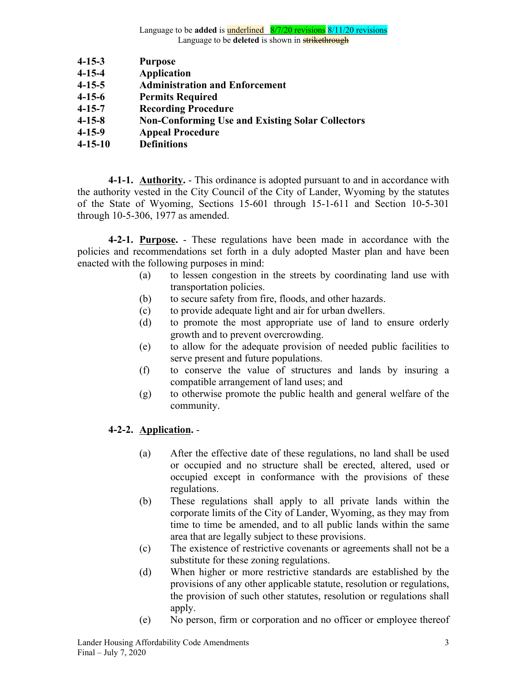- **4-15-3 Purpose**
- **4-15-4 Application**
- **4-15-5 Administration and Enforcement**
- **4-15-6 Permits Required**
- **4-15-7 Recording Procedure**
- **4-15-8 Non-Conforming Use and Existing Solar Collectors**
- **4-15-9 Appeal Procedure**
- **4-15-10 Definitions**

**4-1-1. Authority.** - This ordinance is adopted pursuant to and in accordance with the authority vested in the City Council of the City of Lander, Wyoming by the statutes of the State of Wyoming, Sections 15-601 through 15-1-611 and Section 10-5-301 through 10-5-306, 1977 as amended.

**4-2-1. Purpose.** - These regulations have been made in accordance with the policies and recommendations set forth in a duly adopted Master plan and have been enacted with the following purposes in mind:

- (a) to lessen congestion in the streets by coordinating land use with transportation policies.
- (b) to secure safety from fire, floods, and other hazards.
- (c) to provide adequate light and air for urban dwellers.
- (d) to promote the most appropriate use of land to ensure orderly growth and to prevent overcrowding.
- (e) to allow for the adequate provision of needed public facilities to serve present and future populations.
- (f) to conserve the value of structures and lands by insuring a compatible arrangement of land uses; and
- (g) to otherwise promote the public health and general welfare of the community.

## **4-2-2. Application.** -

- (a) After the effective date of these regulations, no land shall be used or occupied and no structure shall be erected, altered, used or occupied except in conformance with the provisions of these regulations.
- (b) These regulations shall apply to all private lands within the corporate limits of the City of Lander, Wyoming, as they may from time to time be amended, and to all public lands within the same area that are legally subject to these provisions.
- (c) The existence of restrictive covenants or agreements shall not be a substitute for these zoning regulations.
- (d) When higher or more restrictive standards are established by the provisions of any other applicable statute, resolution or regulations, the provision of such other statutes, resolution or regulations shall apply.
- (e) No person, firm or corporation and no officer or employee thereof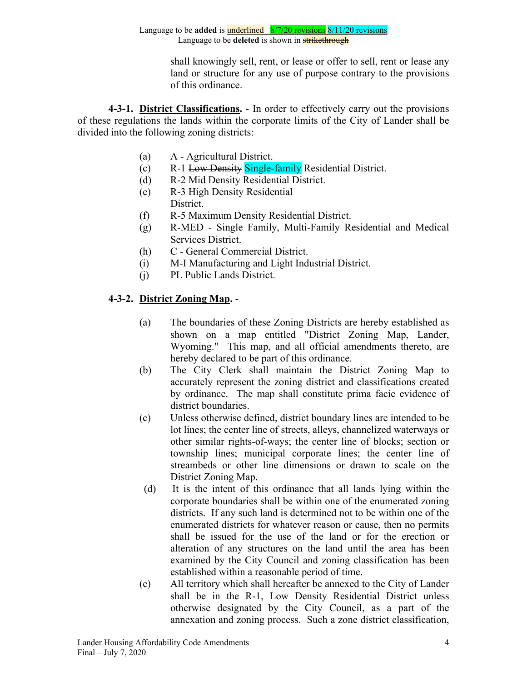shall knowingly sell, rent, or lease or offer to sell, rent or lease any land or structure for any use of purpose contrary to the provisions of this ordinance.

**4-3-1. District Classifications.** - In order to effectively carry out the provisions of these regulations the lands within the corporate limits of the City of Lander shall be divided into the following zoning districts:

- (a) A Agricultural District.
- (c) R-1 Low Density Single-family Residential District.
- (d) R-2 Mid Density Residential District.
- (e) R-3 High Density Residential District.
- (f) R-5 Maximum Density Residential District.
- (g) R-MED Single Family, Multi-Family Residential and Medical Services District.
- (h) C General Commercial District.
- (i) M-I Manufacturing and Light Industrial District.
- (j) PL Public Lands District.

# **4-3-2. District Zoning Map.** -

- (a) The boundaries of these Zoning Districts are hereby established as shown on a map entitled "District Zoning Map, Lander, Wyoming." This map, and all official amendments thereto, are hereby declared to be part of this ordinance.
- (b) The City Clerk shall maintain the District Zoning Map to accurately represent the zoning district and classifications created by ordinance. The map shall constitute prima facie evidence of district boundaries.
- (c) Unless otherwise defined, district boundary lines are intended to be lot lines; the center line of streets, alleys, channelized waterways or other similar rights-of-ways; the center line of blocks; section or township lines; municipal corporate lines; the center line of streambeds or other line dimensions or drawn to scale on the District Zoning Map.
- (d) It is the intent of this ordinance that all lands lying within the corporate boundaries shall be within one of the enumerated zoning districts. If any such land is determined not to be within one of the enumerated districts for whatever reason or cause, then no permits shall be issued for the use of the land or for the erection or alteration of any structures on the land until the area has been examined by the City Council and zoning classification has been established within a reasonable period of time.
- (e) All territory which shall hereafter be annexed to the City of Lander shall be in the R-1, Low Density Residential District unless otherwise designated by the City Council, as a part of the annexation and zoning process. Such a zone district classification,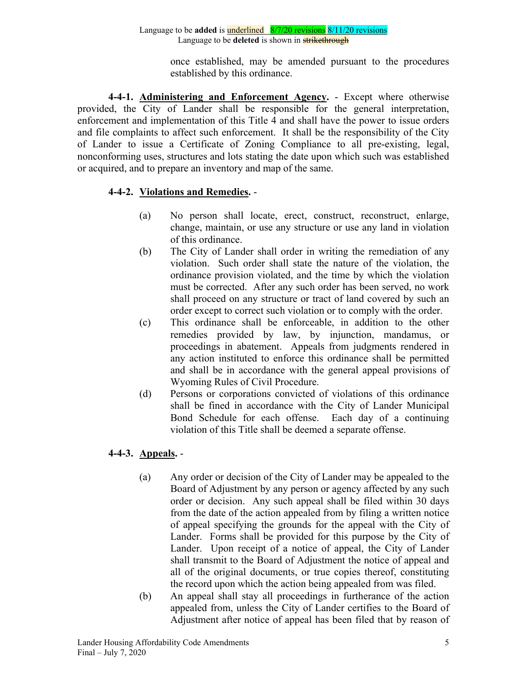once established, may be amended pursuant to the procedures established by this ordinance.

**4-4-1. Administering and Enforcement Agency.** - Except where otherwise provided, the City of Lander shall be responsible for the general interpretation, enforcement and implementation of this Title 4 and shall have the power to issue orders and file complaints to affect such enforcement. It shall be the responsibility of the City of Lander to issue a Certificate of Zoning Compliance to all pre-existing, legal, nonconforming uses, structures and lots stating the date upon which such was established or acquired, and to prepare an inventory and map of the same.

# **4-4-2. Violations and Remedies.** -

- (a) No person shall locate, erect, construct, reconstruct, enlarge, change, maintain, or use any structure or use any land in violation of this ordinance.
- (b) The City of Lander shall order in writing the remediation of any violation. Such order shall state the nature of the violation, the ordinance provision violated, and the time by which the violation must be corrected. After any such order has been served, no work shall proceed on any structure or tract of land covered by such an order except to correct such violation or to comply with the order.
- (c) This ordinance shall be enforceable, in addition to the other remedies provided by law, by injunction, mandamus, or proceedings in abatement. Appeals from judgments rendered in any action instituted to enforce this ordinance shall be permitted and shall be in accordance with the general appeal provisions of Wyoming Rules of Civil Procedure.
- (d) Persons or corporations convicted of violations of this ordinance shall be fined in accordance with the City of Lander Municipal Bond Schedule for each offense. Each day of a continuing violation of this Title shall be deemed a separate offense.

# **4-4-3. Appeals.** -

- (a) Any order or decision of the City of Lander may be appealed to the Board of Adjustment by any person or agency affected by any such order or decision. Any such appeal shall be filed within 30 days from the date of the action appealed from by filing a written notice of appeal specifying the grounds for the appeal with the City of Lander. Forms shall be provided for this purpose by the City of Lander. Upon receipt of a notice of appeal, the City of Lander shall transmit to the Board of Adjustment the notice of appeal and all of the original documents, or true copies thereof, constituting the record upon which the action being appealed from was filed.
- (b) An appeal shall stay all proceedings in furtherance of the action appealed from, unless the City of Lander certifies to the Board of Adjustment after notice of appeal has been filed that by reason of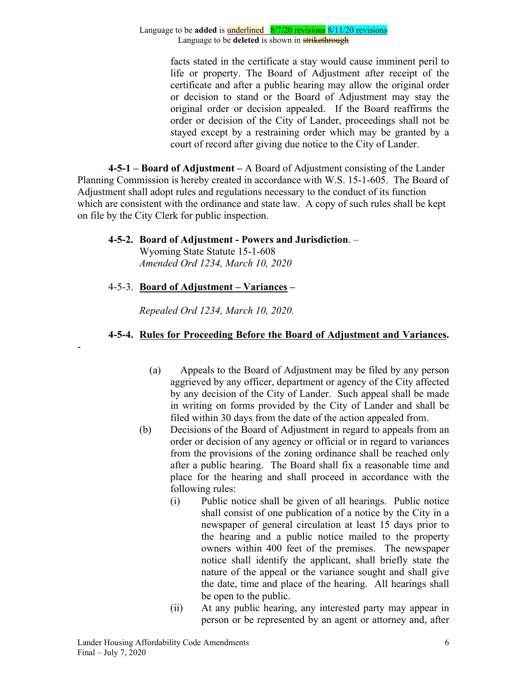facts stated in the certificate a stay would cause imminent peril to life or property. The Board of Adjustment after receipt of the certificate and after a public hearing may allow the original order or decision to stand or the Board of Adjustment may stay the original order or decision appealed. If the Board reaffirms the order or decision of the City of Lander, proceedings shall not be stayed except by a restraining order which may be granted by a court of record after giving due notice to the City of Lander.

**4-5-1 – Board of Adjustment –** A Board of Adjustment consisting of the Lander Planning Commission is hereby created in accordance with W.S. 15-1-605. The Board of Adjustment shall adopt rules and regulations necessary to the conduct of its function which are consistent with the ordinance and state law. A copy of such rules shall be kept on file by the City Clerk for public inspection.

# **4-5-2. Board of Adjustment - Powers and Jurisdiction**. –

Wyoming State Statute 15-1-608 *Amended Ord 1234, March 10, 2020*

# 4-5-3. **Board of Adjustment – Variances –**

-

*Repealed Ord 1234, March 10, 2020.*

# **4-5-4. Rules for Proceeding Before the Board of Adjustment and Variances.**

- (a) Appeals to the Board of Adjustment may be filed by any person aggrieved by any officer, department or agency of the City affected by any decision of the City of Lander. Such appeal shall be made in writing on forms provided by the City of Lander and shall be filed within 30 days from the date of the action appealed from.
- (b) Decisions of the Board of Adjustment in regard to appeals from an order or decision of any agency or official or in regard to variances from the provisions of the zoning ordinance shall be reached only after a public hearing. The Board shall fix a reasonable time and place for the hearing and shall proceed in accordance with the following rules:
	- (i) Public notice shall be given of all hearings. Public notice shall consist of one publication of a notice by the City in a newspaper of general circulation at least 15 days prior to the hearing and a public notice mailed to the property owners within 400 feet of the premises. The newspaper notice shall identify the applicant, shall briefly state the nature of the appeal or the variance sought and shall give the date, time and place of the hearing. All hearings shall be open to the public.
	- (ii) At any public hearing, any interested party may appear in person or be represented by an agent or attorney and, after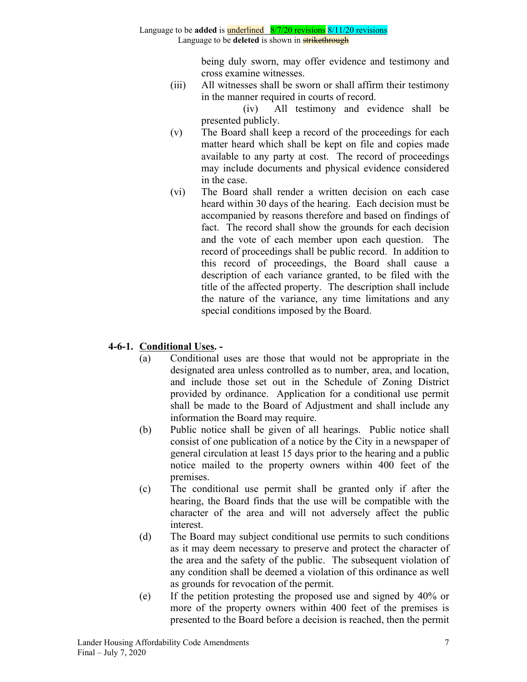being duly sworn, may offer evidence and testimony and cross examine witnesses.

(iii) All witnesses shall be sworn or shall affirm their testimony in the manner required in courts of record.

 (iv) All testimony and evidence shall be presented publicly.

- (v) The Board shall keep a record of the proceedings for each matter heard which shall be kept on file and copies made available to any party at cost. The record of proceedings may include documents and physical evidence considered in the case.
- (vi) The Board shall render a written decision on each case heard within 30 days of the hearing. Each decision must be accompanied by reasons therefore and based on findings of fact. The record shall show the grounds for each decision and the vote of each member upon each question. The record of proceedings shall be public record. In addition to this record of proceedings, the Board shall cause a description of each variance granted, to be filed with the title of the affected property. The description shall include the nature of the variance, any time limitations and any special conditions imposed by the Board.

# **4-6-1. Conditional Uses. -**

- (a) Conditional uses are those that would not be appropriate in the designated area unless controlled as to number, area, and location, and include those set out in the Schedule of Zoning District provided by ordinance. Application for a conditional use permit shall be made to the Board of Adjustment and shall include any information the Board may require.
- (b) Public notice shall be given of all hearings. Public notice shall consist of one publication of a notice by the City in a newspaper of general circulation at least 15 days prior to the hearing and a public notice mailed to the property owners within 400 feet of the premises.
- (c) The conditional use permit shall be granted only if after the hearing, the Board finds that the use will be compatible with the character of the area and will not adversely affect the public interest.
- (d) The Board may subject conditional use permits to such conditions as it may deem necessary to preserve and protect the character of the area and the safety of the public. The subsequent violation of any condition shall be deemed a violation of this ordinance as well as grounds for revocation of the permit.
- (e) If the petition protesting the proposed use and signed by 40% or more of the property owners within 400 feet of the premises is presented to the Board before a decision is reached, then the permit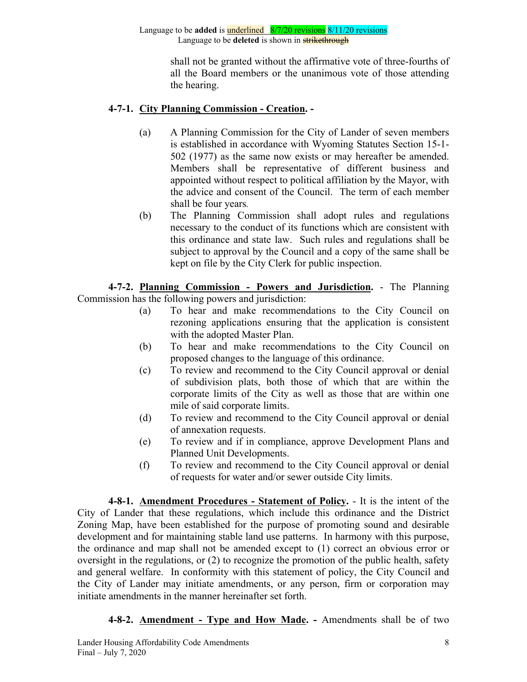> shall not be granted without the affirmative vote of three-fourths of all the Board members or the unanimous vote of those attending the hearing.

## **4-7-1. City Planning Commission - Creation. -**

- (a) A Planning Commission for the City of Lander of seven members is established in accordance with Wyoming Statutes Section 15-1- 502 (1977) as the same now exists or may hereafter be amended. Members shall be representative of different business and appointed without respect to political affiliation by the Mayor, with the advice and consent of the Council. The term of each member shall be four years*.*
- (b) The Planning Commission shall adopt rules and regulations necessary to the conduct of its functions which are consistent with this ordinance and state law. Such rules and regulations shall be subject to approval by the Council and a copy of the same shall be kept on file by the City Clerk for public inspection.

**4-7-2. Planning Commission - Powers and Jurisdiction.** - The Planning Commission has the following powers and jurisdiction:

- (a) To hear and make recommendations to the City Council on rezoning applications ensuring that the application is consistent with the adopted Master Plan.
- (b) To hear and make recommendations to the City Council on proposed changes to the language of this ordinance.
- (c) To review and recommend to the City Council approval or denial of subdivision plats, both those of which that are within the corporate limits of the City as well as those that are within one mile of said corporate limits.
- (d) To review and recommend to the City Council approval or denial of annexation requests.
- (e) To review and if in compliance, approve Development Plans and Planned Unit Developments.
- (f) To review and recommend to the City Council approval or denial of requests for water and/or sewer outside City limits.

**4-8-1. Amendment Procedures - Statement of Policy.** - It is the intent of the City of Lander that these regulations, which include this ordinance and the District Zoning Map, have been established for the purpose of promoting sound and desirable development and for maintaining stable land use patterns. In harmony with this purpose, the ordinance and map shall not be amended except to (1) correct an obvious error or oversight in the regulations, or (2) to recognize the promotion of the public health, safety and general welfare. In conformity with this statement of policy, the City Council and the City of Lander may initiate amendments, or any person, firm or corporation may initiate amendments in the manner hereinafter set forth.

**4-8-2. Amendment - Type and How Made. -** Amendments shall be of two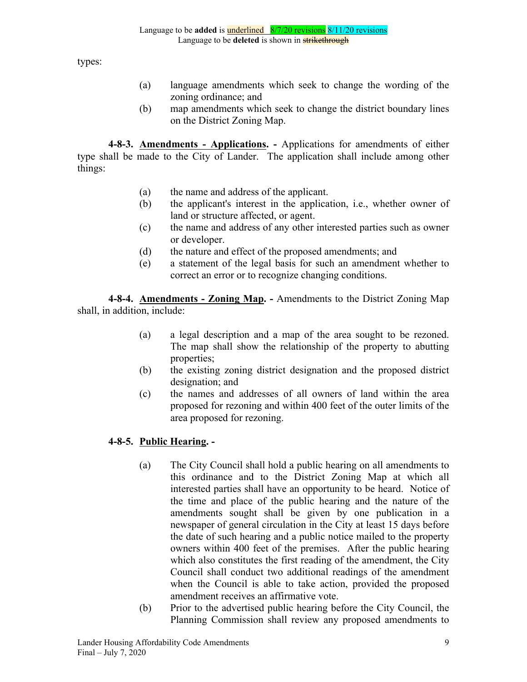types:

- (a) language amendments which seek to change the wording of the zoning ordinance; and
- (b) map amendments which seek to change the district boundary lines on the District Zoning Map.

**4-8-3. Amendments - Applications. -** Applications for amendments of either type shall be made to the City of Lander. The application shall include among other things:

- (a) the name and address of the applicant.
- (b) the applicant's interest in the application, i.e., whether owner of land or structure affected, or agent.
- (c) the name and address of any other interested parties such as owner or developer.
- (d) the nature and effect of the proposed amendments; and
- (e) a statement of the legal basis for such an amendment whether to correct an error or to recognize changing conditions.

**4-8-4. Amendments - Zoning Map. -** Amendments to the District Zoning Map shall, in addition, include:

- (a) a legal description and a map of the area sought to be rezoned. The map shall show the relationship of the property to abutting properties;
- (b) the existing zoning district designation and the proposed district designation; and
- (c) the names and addresses of all owners of land within the area proposed for rezoning and within 400 feet of the outer limits of the area proposed for rezoning.

# **4-8-5. Public Hearing. -**

- (a) The City Council shall hold a public hearing on all amendments to this ordinance and to the District Zoning Map at which all interested parties shall have an opportunity to be heard. Notice of the time and place of the public hearing and the nature of the amendments sought shall be given by one publication in a newspaper of general circulation in the City at least 15 days before the date of such hearing and a public notice mailed to the property owners within 400 feet of the premises. After the public hearing which also constitutes the first reading of the amendment, the City Council shall conduct two additional readings of the amendment when the Council is able to take action, provided the proposed amendment receives an affirmative vote.
- (b) Prior to the advertised public hearing before the City Council, the Planning Commission shall review any proposed amendments to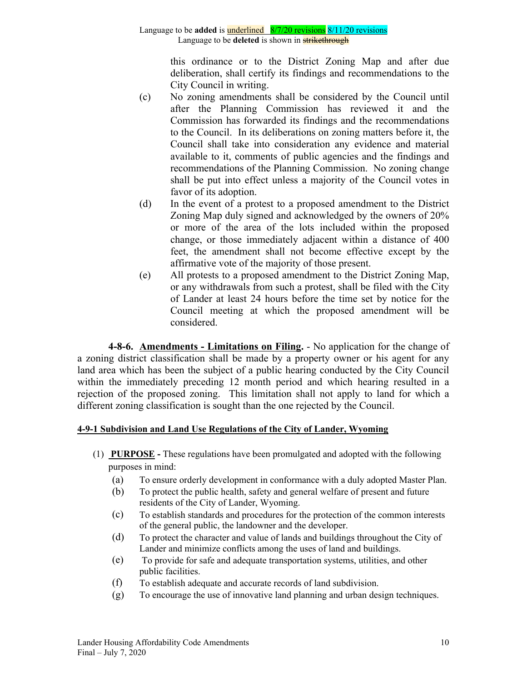this ordinance or to the District Zoning Map and after due deliberation, shall certify its findings and recommendations to the City Council in writing.

- (c) No zoning amendments shall be considered by the Council until after the Planning Commission has reviewed it and the Commission has forwarded its findings and the recommendations to the Council. In its deliberations on zoning matters before it, the Council shall take into consideration any evidence and material available to it, comments of public agencies and the findings and recommendations of the Planning Commission. No zoning change shall be put into effect unless a majority of the Council votes in favor of its adoption.
- (d) In the event of a protest to a proposed amendment to the District Zoning Map duly signed and acknowledged by the owners of 20% or more of the area of the lots included within the proposed change, or those immediately adjacent within a distance of 400 feet, the amendment shall not become effective except by the affirmative vote of the majority of those present.
- (e) All protests to a proposed amendment to the District Zoning Map, or any withdrawals from such a protest, shall be filed with the City of Lander at least 24 hours before the time set by notice for the Council meeting at which the proposed amendment will be considered.

**4-8-6. Amendments - Limitations on Filing.** - No application for the change of a zoning district classification shall be made by a property owner or his agent for any land area which has been the subject of a public hearing conducted by the City Council within the immediately preceding 12 month period and which hearing resulted in a rejection of the proposed zoning. This limitation shall not apply to land for which a different zoning classification is sought than the one rejected by the Council.

## **4-9-1 Subdivision and Land Use Regulations of the City of Lander, Wyoming**

- (1) **PURPOSE -** These regulations have been promulgated and adopted with the following purposes in mind:
	- (a) To ensure orderly development in conformance with a duly adopted Master Plan.
	- (b) To protect the public health, safety and general welfare of present and future residents of the City of Lander, Wyoming.
	- (c) To establish standards and procedures for the protection of the common interests of the general public, the landowner and the developer.
	- (d) To protect the character and value of lands and buildings throughout the City of Lander and minimize conflicts among the uses of land and buildings.
	- (e) To provide for safe and adequate transportation systems, utilities, and other public facilities.
	- (f) To establish adequate and accurate records of land subdivision.
	- (g) To encourage the use of innovative land planning and urban design techniques.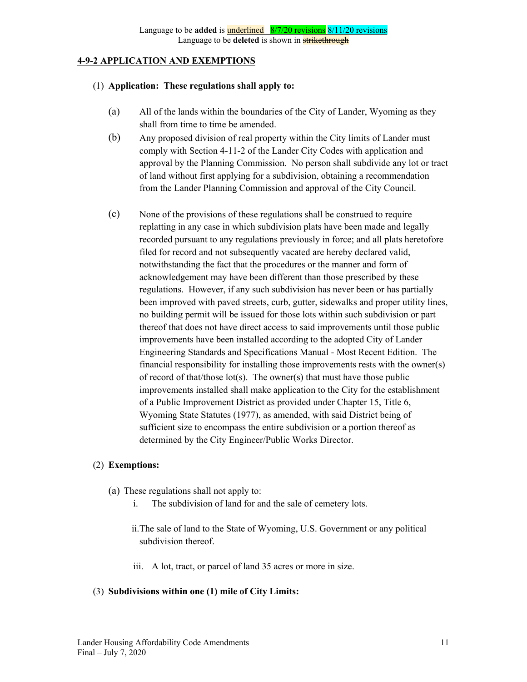#### **4-9-2 APPLICATION AND EXEMPTIONS**

#### (1) **Application: These regulations shall apply to:**

- (a) All of the lands within the boundaries of the City of Lander, Wyoming as they shall from time to time be amended.
- (b) Any proposed division of real property within the City limits of Lander must comply with Section 4-11-2 of the Lander City Codes with application and approval by the Planning Commission. No person shall subdivide any lot or tract of land without first applying for a subdivision, obtaining a recommendation from the Lander Planning Commission and approval of the City Council.
- (c) None of the provisions of these regulations shall be construed to require replatting in any case in which subdivision plats have been made and legally recorded pursuant to any regulations previously in force; and all plats heretofore filed for record and not subsequently vacated are hereby declared valid, notwithstanding the fact that the procedures or the manner and form of acknowledgement may have been different than those prescribed by these regulations. However, if any such subdivision has never been or has partially been improved with paved streets, curb, gutter, sidewalks and proper utility lines, no building permit will be issued for those lots within such subdivision or part thereof that does not have direct access to said improvements until those public improvements have been installed according to the adopted City of Lander Engineering Standards and Specifications Manual - Most Recent Edition. The financial responsibility for installing those improvements rests with the owner(s) of record of that/those lot(s). The owner(s) that must have those public improvements installed shall make application to the City for the establishment of a Public Improvement District as provided under Chapter 15, Title 6, Wyoming State Statutes (1977), as amended, with said District being of sufficient size to encompass the entire subdivision or a portion thereof as determined by the City Engineer/Public Works Director.

### (2) **Exemptions:**

- (a) These regulations shall not apply to:
	- i. The subdivision of land for and the sale of cemetery lots.
	- ii.The sale of land to the State of Wyoming, U.S. Government or any political subdivision thereof.
	- iii. A lot, tract, or parcel of land 35 acres or more in size.

### (3) **Subdivisions within one (1) mile of City Limits:**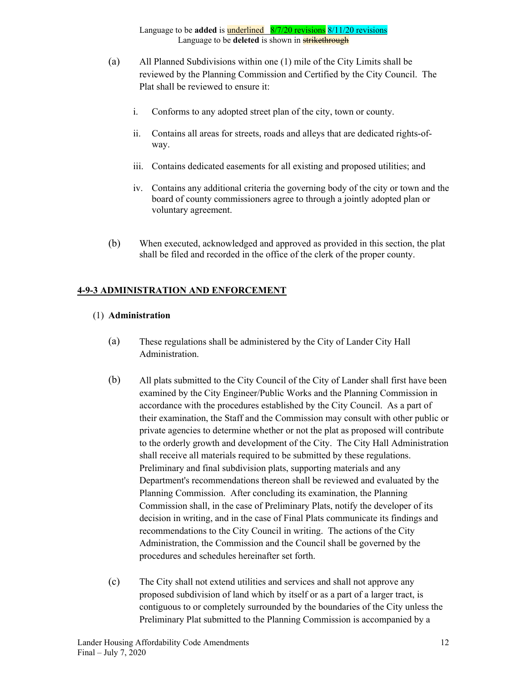- (a) All Planned Subdivisions within one (1) mile of the City Limits shall be reviewed by the Planning Commission and Certified by the City Council. The Plat shall be reviewed to ensure it:
	- i. Conforms to any adopted street plan of the city, town or county.
	- ii. Contains all areas for streets, roads and alleys that are dedicated rights-ofway.
	- iii. Contains dedicated easements for all existing and proposed utilities; and
	- iv. Contains any additional criteria the governing body of the city or town and the board of county commissioners agree to through a jointly adopted plan or voluntary agreement.
- (b) When executed, acknowledged and approved as provided in this section, the plat shall be filed and recorded in the office of the clerk of the proper county.

### **4-9-3 ADMINISTRATION AND ENFORCEMENT**

#### (1) **Administration**

- (a) These regulations shall be administered by the City of Lander City Hall Administration.
- (b) All plats submitted to the City Council of the City of Lander shall first have been examined by the City Engineer/Public Works and the Planning Commission in accordance with the procedures established by the City Council. As a part of their examination, the Staff and the Commission may consult with other public or private agencies to determine whether or not the plat as proposed will contribute to the orderly growth and development of the City. The City Hall Administration shall receive all materials required to be submitted by these regulations. Preliminary and final subdivision plats, supporting materials and any Department's recommendations thereon shall be reviewed and evaluated by the Planning Commission. After concluding its examination, the Planning Commission shall, in the case of Preliminary Plats, notify the developer of its decision in writing, and in the case of Final Plats communicate its findings and recommendations to the City Council in writing. The actions of the City Administration, the Commission and the Council shall be governed by the procedures and schedules hereinafter set forth.
- (c) The City shall not extend utilities and services and shall not approve any proposed subdivision of land which by itself or as a part of a larger tract, is contiguous to or completely surrounded by the boundaries of the City unless the Preliminary Plat submitted to the Planning Commission is accompanied by a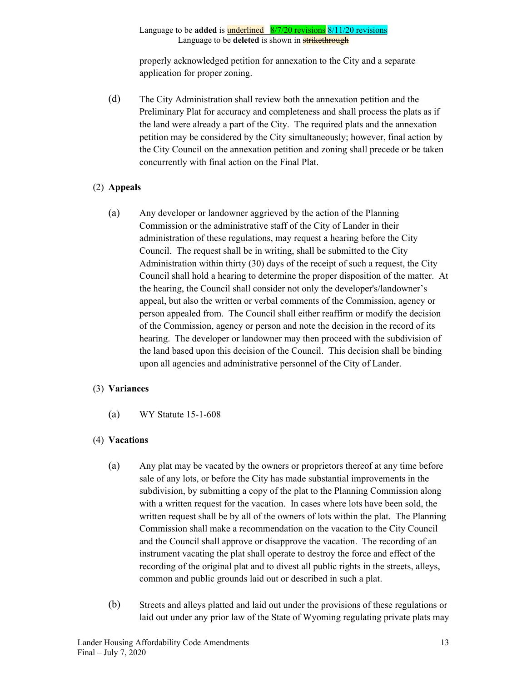properly acknowledged petition for annexation to the City and a separate application for proper zoning.

(d) The City Administration shall review both the annexation petition and the Preliminary Plat for accuracy and completeness and shall process the plats as if the land were already a part of the City. The required plats and the annexation petition may be considered by the City simultaneously; however, final action by the City Council on the annexation petition and zoning shall precede or be taken concurrently with final action on the Final Plat.

### (2) **Appeals**

(a) Any developer or landowner aggrieved by the action of the Planning Commission or the administrative staff of the City of Lander in their administration of these regulations, may request a hearing before the City Council. The request shall be in writing, shall be submitted to the City Administration within thirty (30) days of the receipt of such a request, the City Council shall hold a hearing to determine the proper disposition of the matter. At the hearing, the Council shall consider not only the developer's/landowner's appeal, but also the written or verbal comments of the Commission, agency or person appealed from. The Council shall either reaffirm or modify the decision of the Commission, agency or person and note the decision in the record of its hearing. The developer or landowner may then proceed with the subdivision of the land based upon this decision of the Council. This decision shall be binding upon all agencies and administrative personnel of the City of Lander.

#### (3) **Variances**

(a) WY Statute 15-1-608

### (4) **Vacations**

- (a) Any plat may be vacated by the owners or proprietors thereof at any time before sale of any lots, or before the City has made substantial improvements in the subdivision, by submitting a copy of the plat to the Planning Commission along with a written request for the vacation. In cases where lots have been sold, the written request shall be by all of the owners of lots within the plat. The Planning Commission shall make a recommendation on the vacation to the City Council and the Council shall approve or disapprove the vacation. The recording of an instrument vacating the plat shall operate to destroy the force and effect of the recording of the original plat and to divest all public rights in the streets, alleys, common and public grounds laid out or described in such a plat.
- (b) Streets and alleys platted and laid out under the provisions of these regulations or laid out under any prior law of the State of Wyoming regulating private plats may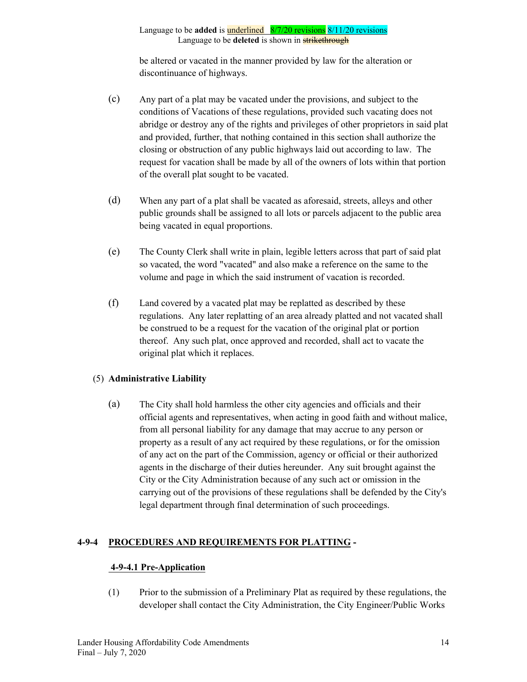be altered or vacated in the manner provided by law for the alteration or discontinuance of highways.

- (c) Any part of a plat may be vacated under the provisions, and subject to the conditions of Vacations of these regulations, provided such vacating does not abridge or destroy any of the rights and privileges of other proprietors in said plat and provided, further, that nothing contained in this section shall authorize the closing or obstruction of any public highways laid out according to law. The request for vacation shall be made by all of the owners of lots within that portion of the overall plat sought to be vacated.
- (d) When any part of a plat shall be vacated as aforesaid, streets, alleys and other public grounds shall be assigned to all lots or parcels adjacent to the public area being vacated in equal proportions.
- (e) The County Clerk shall write in plain, legible letters across that part of said plat so vacated, the word "vacated" and also make a reference on the same to the volume and page in which the said instrument of vacation is recorded.
- (f) Land covered by a vacated plat may be replatted as described by these regulations. Any later replatting of an area already platted and not vacated shall be construed to be a request for the vacation of the original plat or portion thereof. Any such plat, once approved and recorded, shall act to vacate the original plat which it replaces.

## (5) **Administrative Liability**

(a) The City shall hold harmless the other city agencies and officials and their official agents and representatives, when acting in good faith and without malice, from all personal liability for any damage that may accrue to any person or property as a result of any act required by these regulations, or for the omission of any act on the part of the Commission, agency or official or their authorized agents in the discharge of their duties hereunder. Any suit brought against the City or the City Administration because of any such act or omission in the carrying out of the provisions of these regulations shall be defended by the City's legal department through final determination of such proceedings.

## **4-9-4 PROCEDURES AND REQUIREMENTS FOR PLATTING -**

## **4-9-4.1 Pre-Application**

(1) Prior to the submission of a Preliminary Plat as required by these regulations, the developer shall contact the City Administration, the City Engineer/Public Works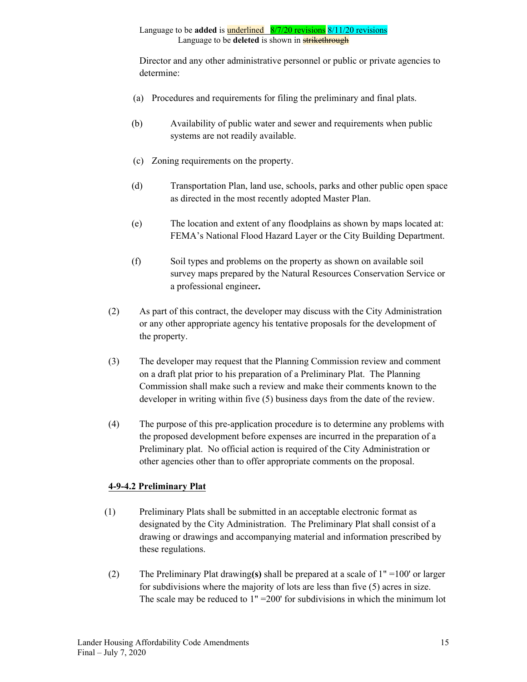Director and any other administrative personnel or public or private agencies to determine:

- (a) Procedures and requirements for filing the preliminary and final plats.
- (b) Availability of public water and sewer and requirements when public systems are not readily available.
- (c) Zoning requirements on the property.
- (d) Transportation Plan, land use, schools, parks and other public open space as directed in the most recently adopted Master Plan.
- (e) The location and extent of any floodplains as shown by maps located at: FEMA's National Flood Hazard Layer or the City Building Department.
- (f) Soil types and problems on the property as shown on available soil survey maps prepared by the Natural Resources Conservation Service or a professional engineer**.**
- (2) As part of this contract, the developer may discuss with the City Administration or any other appropriate agency his tentative proposals for the development of the property.
- (3) The developer may request that the Planning Commission review and comment on a draft plat prior to his preparation of a Preliminary Plat. The Planning Commission shall make such a review and make their comments known to the developer in writing within five (5) business days from the date of the review.
- (4) The purpose of this pre-application procedure is to determine any problems with the proposed development before expenses are incurred in the preparation of a Preliminary plat. No official action is required of the City Administration or other agencies other than to offer appropriate comments on the proposal.

## **4-9-4.2 Preliminary Plat**

- (1) Preliminary Plats shall be submitted in an acceptable electronic format as designated by the City Administration. The Preliminary Plat shall consist of a drawing or drawings and accompanying material and information prescribed by these regulations.
- (2) The Preliminary Plat drawing**(s)** shall be prepared at a scale of 1" =100' or larger for subdivisions where the majority of lots are less than five (5) acres in size. The scale may be reduced to 1" =200' for subdivisions in which the minimum lot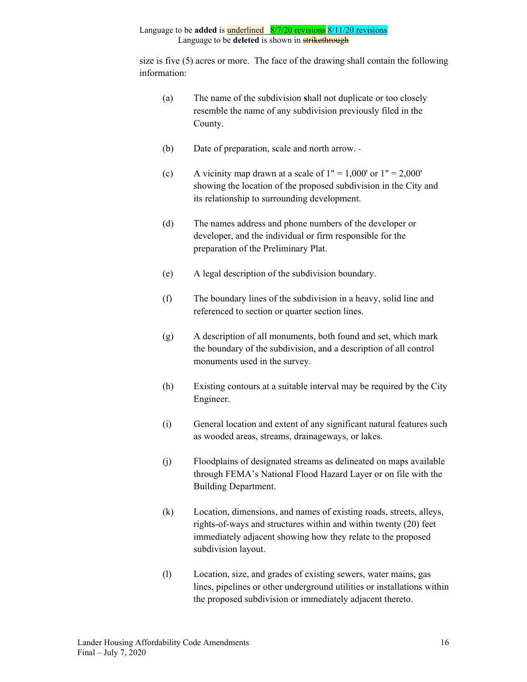size is five (5) acres or more. The face of the drawing shall contain the following information:

- (a) The name of the subdivision **s**hall not duplicate or too closely resemble the name of any subdivision previously filed in the County.
- (b) Date of preparation, scale and north arrow.
- (c) A vicinity map drawn at a scale of  $1" = 1,000'$  or  $1" = 2,000'$ showing the location of the proposed subdivision in the City and its relationship to surrounding development.
- (d) The names address and phone numbers of the developer or developer, and the individual or firm responsible for the preparation of the Preliminary Plat.
- (e) A legal description of the subdivision boundary.
- (f) The boundary lines of the subdivision in a heavy, solid line and referenced to section or quarter section lines.
- (g) A description of all monuments, both found and set, which mark the boundary of the subdivision, and a description of all control monuments used in the survey.
- (h) Existing contours at a suitable interval may be required by the City Engineer.
- (i) General location and extent of any significant natural features such as wooded areas, streams, drainageways, or lakes.
- (j) Floodplains of designated streams as delineated on maps available through FEMA's National Flood Hazard Layer or on file with the Building Department.
- (k) Location, dimensions, and names of existing roads, streets, alleys, rights-of-ways and structures within and within twenty (20) feet immediately adjacent showing how they relate to the proposed subdivision layout.
- (l) Location, size, and grades of existing sewers, water mains, gas lines, pipelines or other underground utilities or installations within the proposed subdivision or immediately adjacent thereto.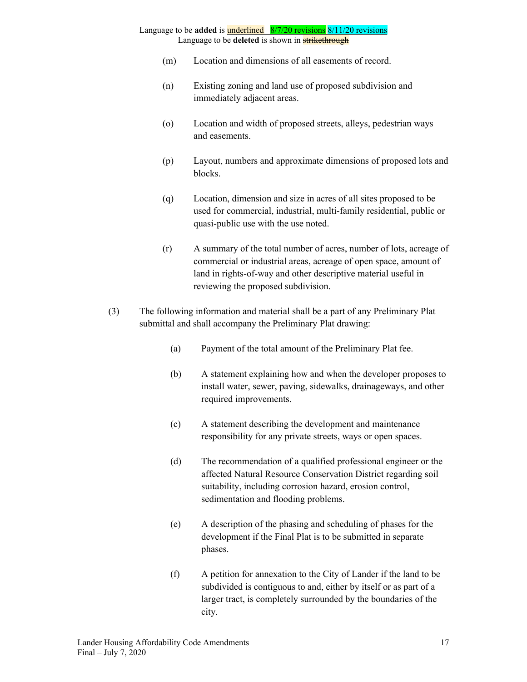- (m) Location and dimensions of all easements of record.
- (n) Existing zoning and land use of proposed subdivision and immediately adjacent areas.
- (o) Location and width of proposed streets, alleys, pedestrian ways and easements.
- (p) Layout, numbers and approximate dimensions of proposed lots and blocks.
- (q) Location, dimension and size in acres of all sites proposed to be used for commercial, industrial, multi-family residential, public or quasi-public use with the use noted.
- (r) A summary of the total number of acres, number of lots, acreage of commercial or industrial areas, acreage of open space, amount of land in rights-of-way and other descriptive material useful in reviewing the proposed subdivision.
- (3) The following information and material shall be a part of any Preliminary Plat submittal and shall accompany the Preliminary Plat drawing:
	- (a) Payment of the total amount of the Preliminary Plat fee.
	- (b) A statement explaining how and when the developer proposes to install water, sewer, paving, sidewalks, drainageways, and other required improvements.
	- (c) A statement describing the development and maintenance responsibility for any private streets, ways or open spaces.
	- (d) The recommendation of a qualified professional engineer or the affected Natural Resource Conservation District regarding soil suitability, including corrosion hazard, erosion control, sedimentation and flooding problems.
	- (e) A description of the phasing and scheduling of phases for the development if the Final Plat is to be submitted in separate phases.
	- (f) A petition for annexation to the City of Lander if the land to be subdivided is contiguous to and, either by itself or as part of a larger tract, is completely surrounded by the boundaries of the city.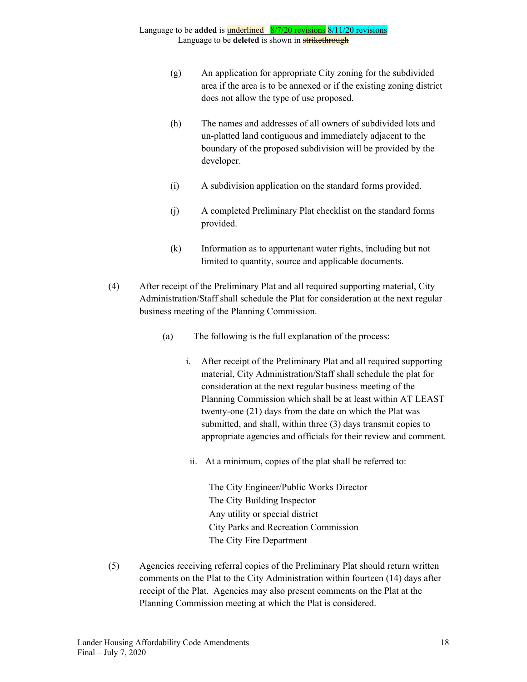- (g) An application for appropriate City zoning for the subdivided area if the area is to be annexed or if the existing zoning district does not allow the type of use proposed.
- (h) The names and addresses of all owners of subdivided lots and un-platted land contiguous and immediately adjacent to the boundary of the proposed subdivision will be provided by the developer.
- (i) A subdivision application on the standard forms provided.
- (j) A completed Preliminary Plat checklist on the standard forms provided.
- (k) Information as to appurtenant water rights, including but not limited to quantity, source and applicable documents.
- (4) After receipt of the Preliminary Plat and all required supporting material, City Administration/Staff shall schedule the Plat for consideration at the next regular business meeting of the Planning Commission.
	- (a) The following is the full explanation of the process:
		- i. After receipt of the Preliminary Plat and all required supporting material, City Administration/Staff shall schedule the plat for consideration at the next regular business meeting of the Planning Commission which shall be at least within AT LEAST twenty-one (21) days from the date on which the Plat was submitted, and shall, within three (3) days transmit copies to appropriate agencies and officials for their review and comment.
		- ii. At a minimum, copies of the plat shall be referred to:

The City Engineer/Public Works Director The City Building Inspector Any utility or special district City Parks and Recreation Commission The City Fire Department

(5) Agencies receiving referral copies of the Preliminary Plat should return written comments on the Plat to the City Administration within fourteen (14) days after receipt of the Plat. Agencies may also present comments on the Plat at the Planning Commission meeting at which the Plat is considered.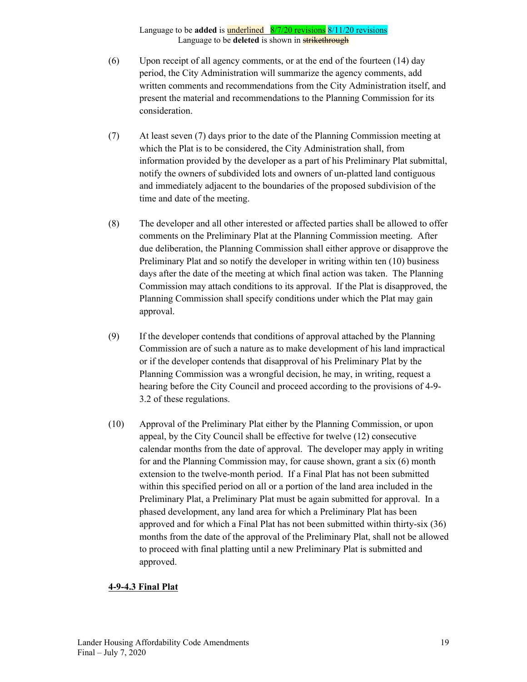- (6) Upon receipt of all agency comments, or at the end of the fourteen (14) day period, the City Administration will summarize the agency comments, add written comments and recommendations from the City Administration itself, and present the material and recommendations to the Planning Commission for its consideration.
- (7) At least seven (7) days prior to the date of the Planning Commission meeting at which the Plat is to be considered, the City Administration shall, from information provided by the developer as a part of his Preliminary Plat submittal, notify the owners of subdivided lots and owners of un-platted land contiguous and immediately adjacent to the boundaries of the proposed subdivision of the time and date of the meeting.
- (8) The developer and all other interested or affected parties shall be allowed to offer comments on the Preliminary Plat at the Planning Commission meeting. After due deliberation, the Planning Commission shall either approve or disapprove the Preliminary Plat and so notify the developer in writing within ten (10) business days after the date of the meeting at which final action was taken. The Planning Commission may attach conditions to its approval. If the Plat is disapproved, the Planning Commission shall specify conditions under which the Plat may gain approval.
- (9) If the developer contends that conditions of approval attached by the Planning Commission are of such a nature as to make development of his land impractical or if the developer contends that disapproval of his Preliminary Plat by the Planning Commission was a wrongful decision, he may, in writing, request a hearing before the City Council and proceed according to the provisions of 4-9- 3.2 of these regulations.
- (10) Approval of the Preliminary Plat either by the Planning Commission, or upon appeal, by the City Council shall be effective for twelve (12) consecutive calendar months from the date of approval. The developer may apply in writing for and the Planning Commission may, for cause shown, grant a six (6) month extension to the twelve-month period. If a Final Plat has not been submitted within this specified period on all or a portion of the land area included in the Preliminary Plat, a Preliminary Plat must be again submitted for approval. In a phased development, any land area for which a Preliminary Plat has been approved and for which a Final Plat has not been submitted within thirty-six (36) months from the date of the approval of the Preliminary Plat, shall not be allowed to proceed with final platting until a new Preliminary Plat is submitted and approved.

#### **4-9-4.3 Final Plat**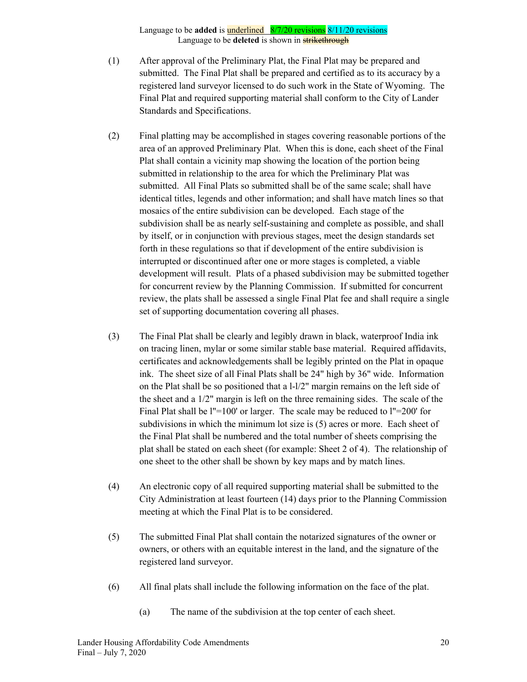- (1) After approval of the Preliminary Plat, the Final Plat may be prepared and submitted. The Final Plat shall be prepared and certified as to its accuracy by a registered land surveyor licensed to do such work in the State of Wyoming. The Final Plat and required supporting material shall conform to the City of Lander Standards and Specifications.
- (2) Final platting may be accomplished in stages covering reasonable portions of the area of an approved Preliminary Plat. When this is done, each sheet of the Final Plat shall contain a vicinity map showing the location of the portion being submitted in relationship to the area for which the Preliminary Plat was submitted. All Final Plats so submitted shall be of the same scale; shall have identical titles, legends and other information; and shall have match lines so that mosaics of the entire subdivision can be developed. Each stage of the subdivision shall be as nearly self-sustaining and complete as possible, and shall by itself, or in conjunction with previous stages, meet the design standards set forth in these regulations so that if development of the entire subdivision is interrupted or discontinued after one or more stages is completed, a viable development will result. Plats of a phased subdivision may be submitted together for concurrent review by the Planning Commission. If submitted for concurrent review, the plats shall be assessed a single Final Plat fee and shall require a single set of supporting documentation covering all phases.
- (3) The Final Plat shall be clearly and legibly drawn in black, waterproof India ink on tracing linen, mylar or some similar stable base material. Required affidavits, certificates and acknowledgements shall be legibly printed on the Plat in opaque ink. The sheet size of all Final Plats shall be 24" high by 36" wide. Information on the Plat shall be so positioned that a l-l/2" margin remains on the left side of the sheet and a 1/2" margin is left on the three remaining sides. The scale of the Final Plat shall be l''=100' or larger. The scale may be reduced to l''=200' for subdivisions in which the minimum lot size is (5) acres or more. Each sheet of the Final Plat shall be numbered and the total number of sheets comprising the plat shall be stated on each sheet (for example: Sheet 2 of 4). The relationship of one sheet to the other shall be shown by key maps and by match lines.
- (4) An electronic copy of all required supporting material shall be submitted to the City Administration at least fourteen (14) days prior to the Planning Commission meeting at which the Final Plat is to be considered.
- (5) The submitted Final Plat shall contain the notarized signatures of the owner or owners, or others with an equitable interest in the land, and the signature of the registered land surveyor.
- (6) All final plats shall include the following information on the face of the plat.
	- (a) The name of the subdivision at the top center of each sheet.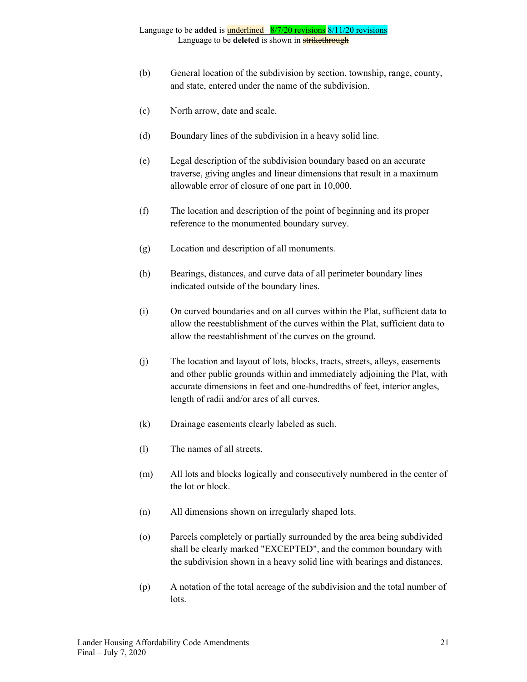- (b) General location of the subdivision by section, township, range, county, and state, entered under the name of the subdivision.
- (c) North arrow, date and scale.
- (d) Boundary lines of the subdivision in a heavy solid line.
- (e) Legal description of the subdivision boundary based on an accurate traverse, giving angles and linear dimensions that result in a maximum allowable error of closure of one part in 10,000.
- (f) The location and description of the point of beginning and its proper reference to the monumented boundary survey.
- (g) Location and description of all monuments.
- (h) Bearings, distances, and curve data of all perimeter boundary lines indicated outside of the boundary lines.
- (i) On curved boundaries and on all curves within the Plat, sufficient data to allow the reestablishment of the curves within the Plat, sufficient data to allow the reestablishment of the curves on the ground.
- (j) The location and layout of lots, blocks, tracts, streets, alleys, easements and other public grounds within and immediately adjoining the Plat, with accurate dimensions in feet and one-hundredths of feet, interior angles, length of radii and/or arcs of all curves.
- (k) Drainage easements clearly labeled as such.
- (l) The names of all streets.
- (m) All lots and blocks logically and consecutively numbered in the center of the lot or block.
- (n) All dimensions shown on irregularly shaped lots.
- (o) Parcels completely or partially surrounded by the area being subdivided shall be clearly marked "EXCEPTED", and the common boundary with the subdivision shown in a heavy solid line with bearings and distances.
- (p) A notation of the total acreage of the subdivision and the total number of lots.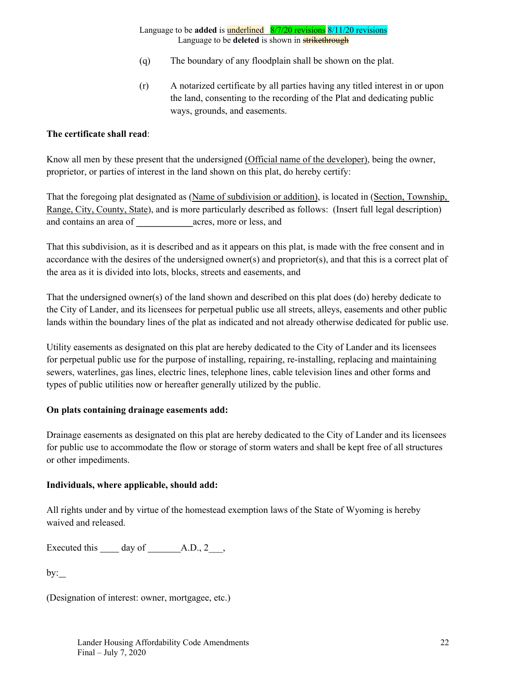- (q) The boundary of any floodplain shall be shown on the plat.
- (r) A notarized certificate by all parties having any titled interest in or upon the land, consenting to the recording of the Plat and dedicating public ways, grounds, and easements.

#### **The certificate shall read**:

Know all men by these present that the undersigned (Official name of the developer), being the owner, proprietor, or parties of interest in the land shown on this plat, do hereby certify:

That the foregoing plat designated as (Name of subdivision or addition), is located in (Section, Township, Range, City, County, State), and is more particularly described as follows: (Insert full legal description) and contains an area of  $\qquad \qquad \text{ acres}, \text{more or less}, \text{and}$ 

That this subdivision, as it is described and as it appears on this plat, is made with the free consent and in accordance with the desires of the undersigned owner(s) and proprietor(s), and that this is a correct plat of the area as it is divided into lots, blocks, streets and easements, and

That the undersigned owner(s) of the land shown and described on this plat does (do) hereby dedicate to the City of Lander, and its licensees for perpetual public use all streets, alleys, easements and other public lands within the boundary lines of the plat as indicated and not already otherwise dedicated for public use.

Utility easements as designated on this plat are hereby dedicated to the City of Lander and its licensees for perpetual public use for the purpose of installing, repairing, re-installing, replacing and maintaining sewers, waterlines, gas lines, electric lines, telephone lines, cable television lines and other forms and types of public utilities now or hereafter generally utilized by the public.

### **On plats containing drainage easements add:**

Drainage easements as designated on this plat are hereby dedicated to the City of Lander and its licensees for public use to accommodate the flow or storage of storm waters and shall be kept free of all structures or other impediments.

#### **Individuals, where applicable, should add:**

All rights under and by virtue of the homestead exemption laws of the State of Wyoming is hereby waived and released.

Executed this  $\qquad \qquad$  day of  $\qquad \qquad$  A.D., 2\_\_,

 $by:$ 

(Designation of interest: owner, mortgagee, etc.)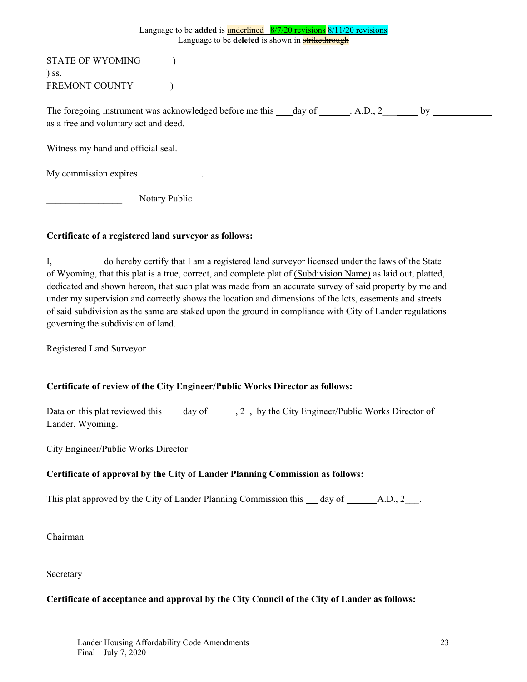STATE OF WYOMING  $\qquad$  ) ) ss. FREMONT COUNTY (1)

The foregoing instrument was acknowledged before me this day of . A.D., 2 by as a free and voluntary act and deed.

Witness my hand and official seal.

My commission expires \_\_\_\_\_\_\_\_\_\_\_.

Notary Public

### **Certificate of a registered land surveyor as follows:**

I, do hereby certify that I am a registered land surveyor licensed under the laws of the State of Wyoming, that this plat is a true, correct, and complete plat of (Subdivision Name) as laid out, platted, dedicated and shown hereon, that such plat was made from an accurate survey of said property by me and under my supervision and correctly shows the location and dimensions of the lots, easements and streets of said subdivision as the same are staked upon the ground in compliance with City of Lander regulations governing the subdivision of land.

Registered Land Surveyor

### **Certificate of review of the City Engineer/Public Works Director as follows:**

Data on this plat reviewed this \_\_\_\_ day of \_\_\_\_\_, 2\_, by the City Engineer/Public Works Director of Lander, Wyoming.

City Engineer/Public Works Director

### **Certificate of approval by the City of Lander Planning Commission as follows:**

This plat approved by the City of Lander Planning Commission this  $\_\_$  day of  $\_\_\_$ A.D., 2 $\_\_$ .

Chairman

Secretary

### **Certificate of acceptance and approval by the City Council of the City of Lander as follows:**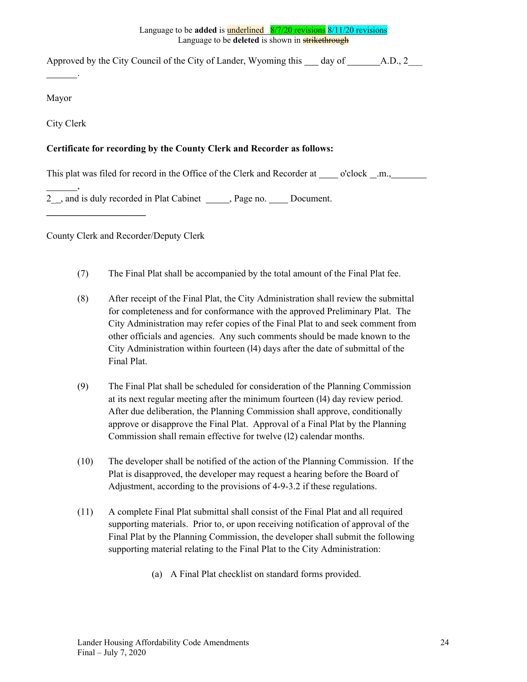Approved by the City Council of the City of Lander, Wyoming this  $\_\_\_day$  of  $\_\_\_\_A$ . A.D., 2

Mayor

City Clerk

.

,

 $\mathcal{L}_\text{max}$  , where  $\mathcal{L}_\text{max}$ 

### **Certificate for recording by the County Clerk and Recorder as follows:**

This plat was filed for record in the Office of the Clerk and Recorder at o'clock .m.,

2<sub>\_,</sub> and is duly recorded in Plat Cabinet \_\_\_\_\_, Page no. \_\_\_\_\_ Document.

County Clerk and Recorder/Deputy Clerk

- (7) The Final Plat shall be accompanied by the total amount of the Final Plat fee.
- (8) After receipt of the Final Plat, the City Administration shall review the submittal for completeness and for conformance with the approved Preliminary Plat. The City Administration may refer copies of the Final Plat to and seek comment from other officials and agencies. Any such comments should be made known to the City Administration within fourteen (l4) days after the date of submittal of the Final Plat.
- (9) The Final Plat shall be scheduled for consideration of the Planning Commission at its next regular meeting after the minimum fourteen (l4) day review period. After due deliberation, the Planning Commission shall approve, conditionally approve or disapprove the Final Plat. Approval of a Final Plat by the Planning Commission shall remain effective for twelve (l2) calendar months.
- (10) The developer shall be notified of the action of the Planning Commission. If the Plat is disapproved, the developer may request a hearing before the Board of Adjustment, according to the provisions of 4-9-3.2 if these regulations.
- (11) A complete Final Plat submittal shall consist of the Final Plat and all required supporting materials. Prior to, or upon receiving notification of approval of the Final Plat by the Planning Commission, the developer shall submit the following supporting material relating to the Final Plat to the City Administration:
	- (a) A Final Plat checklist on standard forms provided.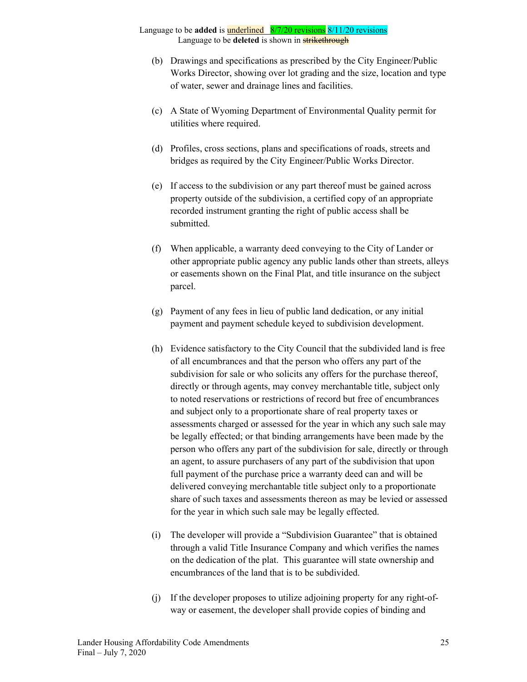- (b) Drawings and specifications as prescribed by the City Engineer/Public Works Director, showing over lot grading and the size, location and type of water, sewer and drainage lines and facilities.
- (c) A State of Wyoming Department of Environmental Quality permit for utilities where required.
- (d) Profiles, cross sections, plans and specifications of roads, streets and bridges as required by the City Engineer/Public Works Director.
- (e) If access to the subdivision or any part thereof must be gained across property outside of the subdivision, a certified copy of an appropriate recorded instrument granting the right of public access shall be submitted.
- (f) When applicable, a warranty deed conveying to the City of Lander or other appropriate public agency any public lands other than streets, alleys or easements shown on the Final Plat, and title insurance on the subject parcel.
- (g) Payment of any fees in lieu of public land dedication, or any initial payment and payment schedule keyed to subdivision development.
- (h) Evidence satisfactory to the City Council that the subdivided land is free of all encumbrances and that the person who offers any part of the subdivision for sale or who solicits any offers for the purchase thereof, directly or through agents, may convey merchantable title, subject only to noted reservations or restrictions of record but free of encumbrances and subject only to a proportionate share of real property taxes or assessments charged or assessed for the year in which any such sale may be legally effected; or that binding arrangements have been made by the person who offers any part of the subdivision for sale, directly or through an agent, to assure purchasers of any part of the subdivision that upon full payment of the purchase price a warranty deed can and will be delivered conveying merchantable title subject only to a proportionate share of such taxes and assessments thereon as may be levied or assessed for the year in which such sale may be legally effected.
- (i) The developer will provide a "Subdivision Guarantee" that is obtained through a valid Title Insurance Company and which verifies the names on the dedication of the plat. This guarantee will state ownership and encumbrances of the land that is to be subdivided.
- (j) If the developer proposes to utilize adjoining property for any right-ofway or easement, the developer shall provide copies of binding and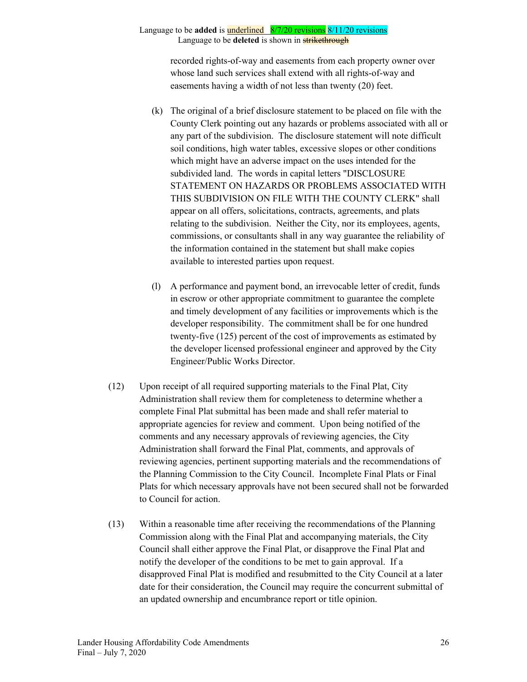recorded rights-of-way and easements from each property owner over whose land such services shall extend with all rights-of-way and easements having a width of not less than twenty (20) feet.

- (k) The original of a brief disclosure statement to be placed on file with the County Clerk pointing out any hazards or problems associated with all or any part of the subdivision. The disclosure statement will note difficult soil conditions, high water tables, excessive slopes or other conditions which might have an adverse impact on the uses intended for the subdivided land. The words in capital letters "DISCLOSURE STATEMENT ON HAZARDS OR PROBLEMS ASSOCIATED WITH THIS SUBDIVISION ON FILE WITH THE COUNTY CLERK" shall appear on all offers, solicitations, contracts, agreements, and plats relating to the subdivision. Neither the City, nor its employees, agents, commissions, or consultants shall in any way guarantee the reliability of the information contained in the statement but shall make copies available to interested parties upon request.
- (l) A performance and payment bond, an irrevocable letter of credit, funds in escrow or other appropriate commitment to guarantee the complete and timely development of any facilities or improvements which is the developer responsibility. The commitment shall be for one hundred twenty-five (125) percent of the cost of improvements as estimated by the developer licensed professional engineer and approved by the City Engineer/Public Works Director.
- (12) Upon receipt of all required supporting materials to the Final Plat, City Administration shall review them for completeness to determine whether a complete Final Plat submittal has been made and shall refer material to appropriate agencies for review and comment. Upon being notified of the comments and any necessary approvals of reviewing agencies, the City Administration shall forward the Final Plat, comments, and approvals of reviewing agencies, pertinent supporting materials and the recommendations of the Planning Commission to the City Council. Incomplete Final Plats or Final Plats for which necessary approvals have not been secured shall not be forwarded to Council for action.
- (13) Within a reasonable time after receiving the recommendations of the Planning Commission along with the Final Plat and accompanying materials, the City Council shall either approve the Final Plat, or disapprove the Final Plat and notify the developer of the conditions to be met to gain approval. If a disapproved Final Plat is modified and resubmitted to the City Council at a later date for their consideration, the Council may require the concurrent submittal of an updated ownership and encumbrance report or title opinion.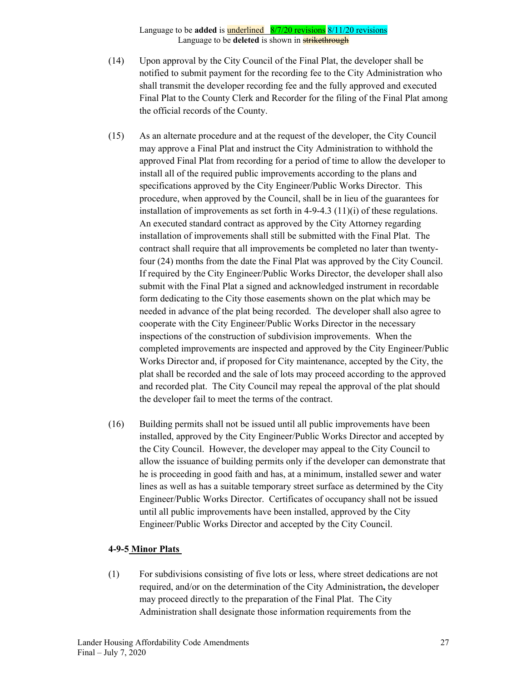- (14) Upon approval by the City Council of the Final Plat, the developer shall be notified to submit payment for the recording fee to the City Administration who shall transmit the developer recording fee and the fully approved and executed Final Plat to the County Clerk and Recorder for the filing of the Final Plat among the official records of the County.
- (15) As an alternate procedure and at the request of the developer, the City Council may approve a Final Plat and instruct the City Administration to withhold the approved Final Plat from recording for a period of time to allow the developer to install all of the required public improvements according to the plans and specifications approved by the City Engineer/Public Works Director. This procedure, when approved by the Council, shall be in lieu of the guarantees for installation of improvements as set forth in  $4-9-4.3$  (11)(i) of these regulations. An executed standard contract as approved by the City Attorney regarding installation of improvements shall still be submitted with the Final Plat. The contract shall require that all improvements be completed no later than twentyfour (24) months from the date the Final Plat was approved by the City Council. If required by the City Engineer/Public Works Director, the developer shall also submit with the Final Plat a signed and acknowledged instrument in recordable form dedicating to the City those easements shown on the plat which may be needed in advance of the plat being recorded. The developer shall also agree to cooperate with the City Engineer/Public Works Director in the necessary inspections of the construction of subdivision improvements. When the completed improvements are inspected and approved by the City Engineer/Public Works Director and, if proposed for City maintenance, accepted by the City, the plat shall be recorded and the sale of lots may proceed according to the approved and recorded plat. The City Council may repeal the approval of the plat should the developer fail to meet the terms of the contract.
- (16) Building permits shall not be issued until all public improvements have been installed, approved by the City Engineer/Public Works Director and accepted by the City Council. However, the developer may appeal to the City Council to allow the issuance of building permits only if the developer can demonstrate that he is proceeding in good faith and has, at a minimum, installed sewer and water lines as well as has a suitable temporary street surface as determined by the City Engineer/Public Works Director. Certificates of occupancy shall not be issued until all public improvements have been installed, approved by the City Engineer/Public Works Director and accepted by the City Council.

### **4-9-5 Minor Plats**

(1) For subdivisions consisting of five lots or less, where street dedications are not required, and/or on the determination of the City Administration**,** the developer may proceed directly to the preparation of the Final Plat. The City Administration shall designate those information requirements from the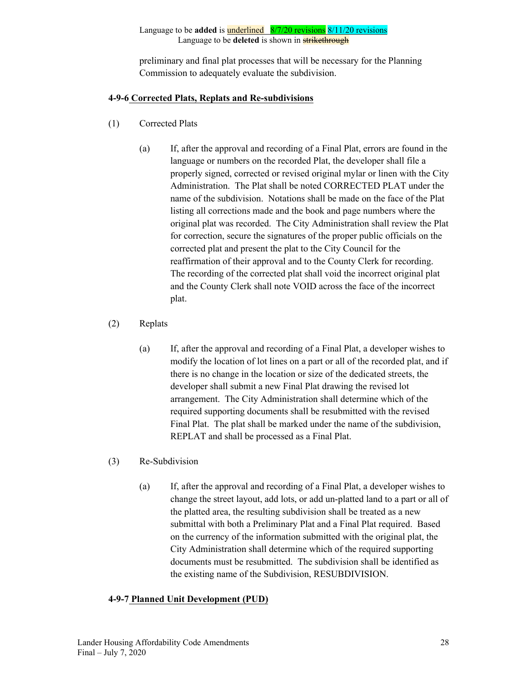preliminary and final plat processes that will be necessary for the Planning Commission to adequately evaluate the subdivision.

### **4-9-6 Corrected Plats, Replats and Re-subdivisions**

- (1) Corrected Plats
	- (a) If, after the approval and recording of a Final Plat, errors are found in the language or numbers on the recorded Plat, the developer shall file a properly signed, corrected or revised original mylar or linen with the City Administration. The Plat shall be noted CORRECTED PLAT under the name of the subdivision. Notations shall be made on the face of the Plat listing all corrections made and the book and page numbers where the original plat was recorded. The City Administration shall review the Plat for correction, secure the signatures of the proper public officials on the corrected plat and present the plat to the City Council for the reaffirmation of their approval and to the County Clerk for recording. The recording of the corrected plat shall void the incorrect original plat and the County Clerk shall note VOID across the face of the incorrect plat.
- (2) Replats
	- (a) If, after the approval and recording of a Final Plat, a developer wishes to modify the location of lot lines on a part or all of the recorded plat, and if there is no change in the location or size of the dedicated streets, the developer shall submit a new Final Plat drawing the revised lot arrangement. The City Administration shall determine which of the required supporting documents shall be resubmitted with the revised Final Plat. The plat shall be marked under the name of the subdivision, REPLAT and shall be processed as a Final Plat.
- (3) Re-Subdivision
	- (a) If, after the approval and recording of a Final Plat, a developer wishes to change the street layout, add lots, or add un-platted land to a part or all of the platted area, the resulting subdivision shall be treated as a new submittal with both a Preliminary Plat and a Final Plat required. Based on the currency of the information submitted with the original plat, the City Administration shall determine which of the required supporting documents must be resubmitted. The subdivision shall be identified as the existing name of the Subdivision, RESUBDIVISION.

### **4-9-7 Planned Unit Development (PUD)**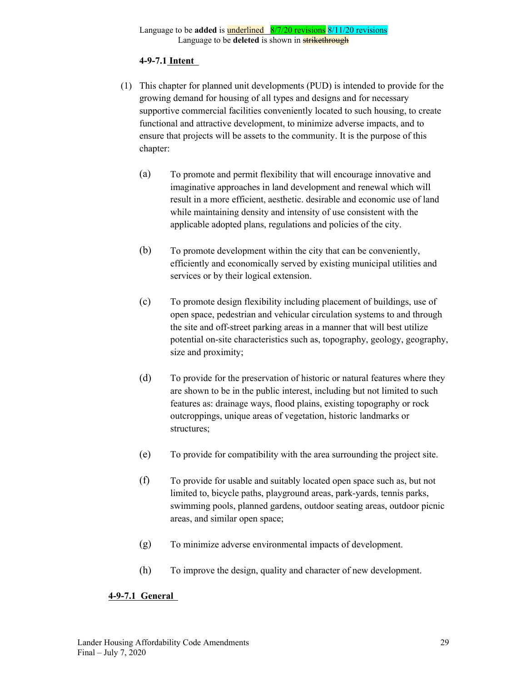#### **4-9-7.1 Intent**

- (1) This chapter for planned unit developments (PUD) is intended to provide for the growing demand for housing of all types and designs and for necessary supportive commercial facilities conveniently located to such housing, to create functional and attractive development, to minimize adverse impacts, and to ensure that projects will be assets to the community. It is the purpose of this chapter:
	- (a) To promote and permit flexibility that will encourage innovative and imaginative approaches in land development and renewal which will result in a more efficient, aesthetic. desirable and economic use of land while maintaining density and intensity of use consistent with the applicable adopted plans, regulations and policies of the city.
	- (b) To promote development within the city that can be conveniently, efficiently and economically served by existing municipal utilities and services or by their logical extension.
	- (c) To promote design flexibility including placement of buildings, use of open space, pedestrian and vehicular circulation systems to and through the site and off-street parking areas in a manner that will best utilize potential on-site characteristics such as, topography, geology, geography, size and proximity;
	- (d) To provide for the preservation of historic or natural features where they are shown to be in the public interest, including but not limited to such features as: drainage ways, flood plains, existing topography or rock outcroppings, unique areas of vegetation, historic landmarks or structures;
	- (e) To provide for compatibility with the area surrounding the project site.
	- (f) To provide for usable and suitably located open space such as, but not limited to, bicycle paths, playground areas, park-yards, tennis parks, swimming pools, planned gardens, outdoor seating areas, outdoor picnic areas, and similar open space;
	- (g) To minimize adverse environmental impacts of development.
	- (h) To improve the design, quality and character of new development.

### **4-9-7.1 General**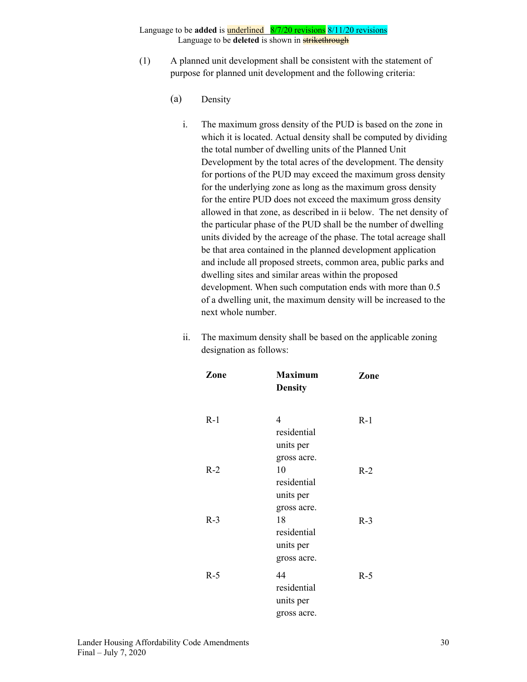- (1) A planned unit development shall be consistent with the statement of purpose for planned unit development and the following criteria:
	- (a) Density
		- i. The maximum gross density of the PUD is based on the zone in which it is located. Actual density shall be computed by dividing the total number of dwelling units of the Planned Unit Development by the total acres of the development. The density for portions of the PUD may exceed the maximum gross density for the underlying zone as long as the maximum gross density for the entire PUD does not exceed the maximum gross density allowed in that zone, as described in ii below. The net density of the particular phase of the PUD shall be the number of dwelling units divided by the acreage of the phase. The total acreage shall be that area contained in the planned development application and include all proposed streets, common area, public parks and dwelling sites and similar areas within the proposed development. When such computation ends with more than 0.5 of a dwelling unit, the maximum density will be increased to the next whole number.
		- ii. The maximum density shall be based on the applicable zoning designation as follows:

| Zone  | <b>Maximum</b> | Zone  |
|-------|----------------|-------|
|       | <b>Density</b> |       |
|       |                |       |
| $R-1$ | 4              | $R-1$ |
|       | residential    |       |
|       | units per      |       |
|       | gross acre.    |       |
| $R-2$ | 10             | $R-2$ |
|       | residential    |       |
|       | units per      |       |
|       | gross acre.    |       |
| $R-3$ | 18             | $R-3$ |
|       | residential    |       |
|       | units per      |       |
|       | gross acre.    |       |
| $R-5$ | 44             | $R-5$ |
|       | residential    |       |
|       | units per      |       |
|       | gross acre.    |       |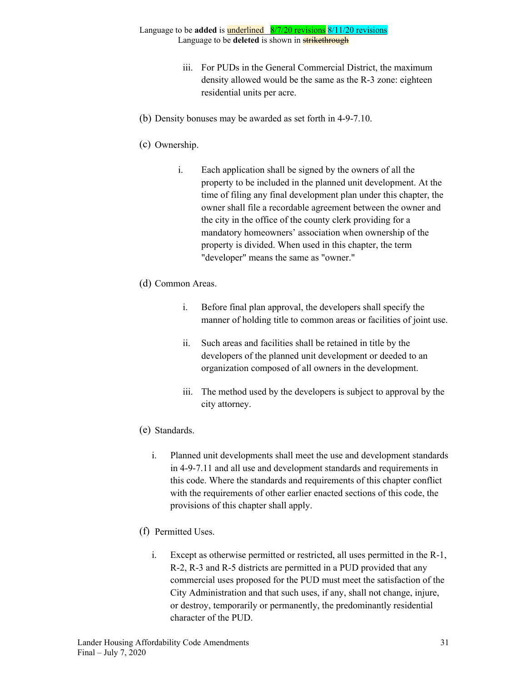- iii. For PUDs in the General Commercial District, the maximum density allowed would be the same as the R-3 zone: eighteen residential units per acre.
- (b) Density bonuses may be awarded as set forth in 4-9-7.10.
- (c) Ownership.
	- i. Each application shall be signed by the owners of all the property to be included in the planned unit development. At the time of filing any final development plan under this chapter, the owner shall file a recordable agreement between the owner and the city in the office of the county clerk providing for a mandatory homeowners' association when ownership of the property is divided. When used in this chapter, the term "developer" means the same as "owner."
- (d) Common Areas.
	- i. Before final plan approval, the developers shall specify the manner of holding title to common areas or facilities of joint use.
	- ii. Such areas and facilities shall be retained in title by the developers of the planned unit development or deeded to an organization composed of all owners in the development.
	- iii. The method used by the developers is subject to approval by the city attorney.
- (e) Standards.
	- i. Planned unit developments shall meet the use and development standards in 4-9-7.11 and all use and development standards and requirements in this code. Where the standards and requirements of this chapter conflict with the requirements of other earlier enacted sections of this code, the provisions of this chapter shall apply.
- (f) Permitted Uses.
	- i. Except as otherwise permitted or restricted, all uses permitted in the R-1, R-2, R-3 and R-5 districts are permitted in a PUD provided that any commercial uses proposed for the PUD must meet the satisfaction of the City Administration and that such uses, if any, shall not change, injure, or destroy, temporarily or permanently, the predominantly residential character of the PUD.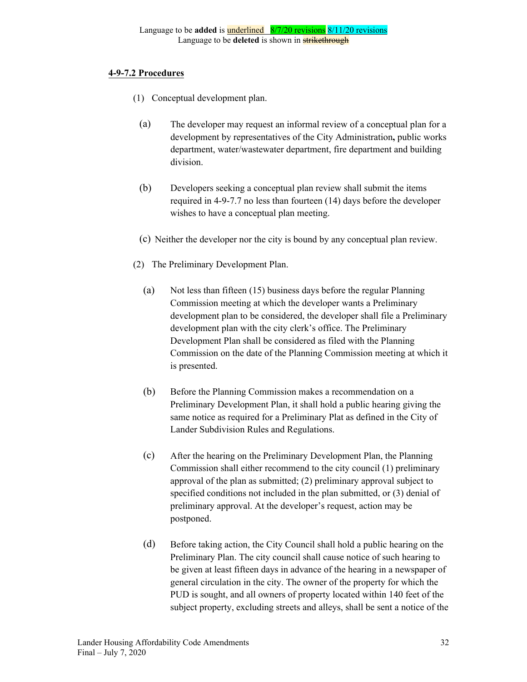### **4-9-7.2 Procedures**

- (1) Conceptual development plan.
	- (a) The developer may request an informal review of a conceptual plan for a development by representatives of the City Administration**,** public works department, water/wastewater department, fire department and building division.
	- (b) Developers seeking a conceptual plan review shall submit the items required in 4-9-7.7 no less than fourteen (14) days before the developer wishes to have a conceptual plan meeting.
	- (c) Neither the developer nor the city is bound by any conceptual plan review.
- (2) The Preliminary Development Plan.
	- (a) Not less than fifteen (15) business days before the regular Planning Commission meeting at which the developer wants a Preliminary development plan to be considered, the developer shall file a Preliminary development plan with the city clerk's office. The Preliminary Development Plan shall be considered as filed with the Planning Commission on the date of the Planning Commission meeting at which it is presented.
	- (b) Before the Planning Commission makes a recommendation on a Preliminary Development Plan, it shall hold a public hearing giving the same notice as required for a Preliminary Plat as defined in the City of Lander Subdivision Rules and Regulations.
	- (c) After the hearing on the Preliminary Development Plan, the Planning Commission shall either recommend to the city council (1) preliminary approval of the plan as submitted; (2) preliminary approval subject to specified conditions not included in the plan submitted, or (3) denial of preliminary approval. At the developer's request, action may be postponed.
	- (d) Before taking action, the City Council shall hold a public hearing on the Preliminary Plan. The city council shall cause notice of such hearing to be given at least fifteen days in advance of the hearing in a newspaper of general circulation in the city. The owner of the property for which the PUD is sought, and all owners of property located within 140 feet of the subject property, excluding streets and alleys, shall be sent a notice of the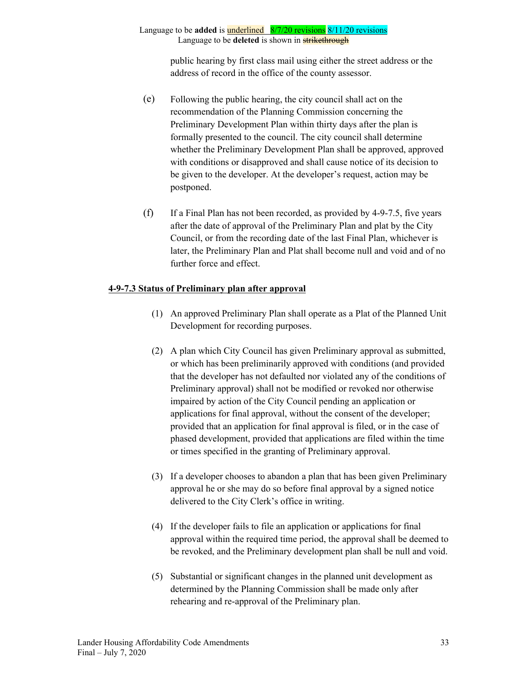public hearing by first class mail using either the street address or the address of record in the office of the county assessor.

- (e) Following the public hearing, the city council shall act on the recommendation of the Planning Commission concerning the Preliminary Development Plan within thirty days after the plan is formally presented to the council. The city council shall determine whether the Preliminary Development Plan shall be approved, approved with conditions or disapproved and shall cause notice of its decision to be given to the developer. At the developer's request, action may be postponed.
- (f) If a Final Plan has not been recorded, as provided by 4-9-7.5, five years after the date of approval of the Preliminary Plan and plat by the City Council, or from the recording date of the last Final Plan, whichever is later, the Preliminary Plan and Plat shall become null and void and of no further force and effect.

### **4-9-7.3 Status of Preliminary plan after approval**

- (1) An approved Preliminary Plan shall operate as a Plat of the Planned Unit Development for recording purposes.
- (2) A plan which City Council has given Preliminary approval as submitted, or which has been preliminarily approved with conditions (and provided that the developer has not defaulted nor violated any of the conditions of Preliminary approval) shall not be modified or revoked nor otherwise impaired by action of the City Council pending an application or applications for final approval, without the consent of the developer; provided that an application for final approval is filed, or in the case of phased development, provided that applications are filed within the time or times specified in the granting of Preliminary approval.
- (3) If a developer chooses to abandon a plan that has been given Preliminary approval he or she may do so before final approval by a signed notice delivered to the City Clerk's office in writing.
- (4) If the developer fails to file an application or applications for final approval within the required time period, the approval shall be deemed to be revoked, and the Preliminary development plan shall be null and void.
- (5) Substantial or significant changes in the planned unit development as determined by the Planning Commission shall be made only after rehearing and re-approval of the Preliminary plan.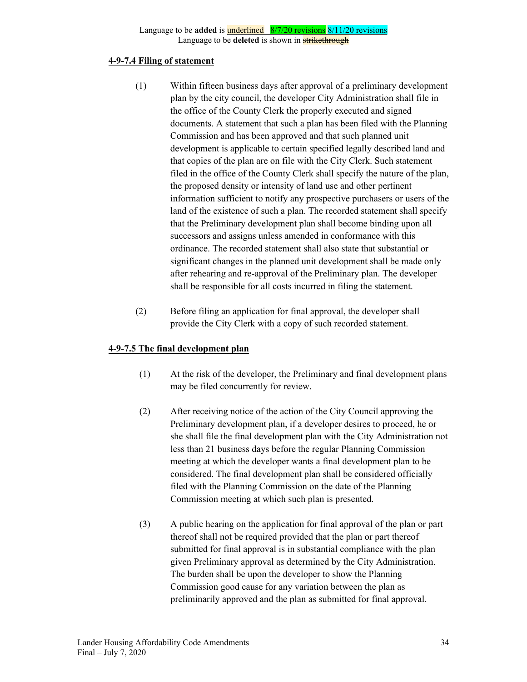#### **4-9-7.4 Filing of statement**

- (1) Within fifteen business days after approval of a preliminary development plan by the city council, the developer City Administration shall file in the office of the County Clerk the properly executed and signed documents. A statement that such a plan has been filed with the Planning Commission and has been approved and that such planned unit development is applicable to certain specified legally described land and that copies of the plan are on file with the City Clerk. Such statement filed in the office of the County Clerk shall specify the nature of the plan, the proposed density or intensity of land use and other pertinent information sufficient to notify any prospective purchasers or users of the land of the existence of such a plan. The recorded statement shall specify that the Preliminary development plan shall become binding upon all successors and assigns unless amended in conformance with this ordinance. The recorded statement shall also state that substantial or significant changes in the planned unit development shall be made only after rehearing and re-approval of the Preliminary plan. The developer shall be responsible for all costs incurred in filing the statement.
- (2) Before filing an application for final approval, the developer shall provide the City Clerk with a copy of such recorded statement.

#### **4-9-7.5 The final development plan**

- (1) At the risk of the developer, the Preliminary and final development plans may be filed concurrently for review.
- (2) After receiving notice of the action of the City Council approving the Preliminary development plan, if a developer desires to proceed, he or she shall file the final development plan with the City Administration not less than 21 business days before the regular Planning Commission meeting at which the developer wants a final development plan to be considered. The final development plan shall be considered officially filed with the Planning Commission on the date of the Planning Commission meeting at which such plan is presented.
- (3) A public hearing on the application for final approval of the plan or part thereof shall not be required provided that the plan or part thereof submitted for final approval is in substantial compliance with the plan given Preliminary approval as determined by the City Administration. The burden shall be upon the developer to show the Planning Commission good cause for any variation between the plan as preliminarily approved and the plan as submitted for final approval.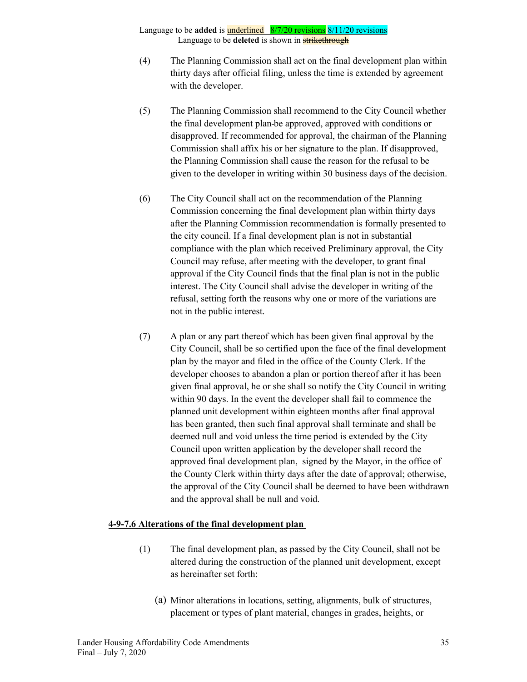- (4) The Planning Commission shall act on the final development plan within thirty days after official filing, unless the time is extended by agreement with the developer.
- (5) The Planning Commission shall recommend to the City Council whether the final development plan be approved, approved with conditions or disapproved. If recommended for approval, the chairman of the Planning Commission shall affix his or her signature to the plan. If disapproved, the Planning Commission shall cause the reason for the refusal to be given to the developer in writing within 30 business days of the decision.
- (6) The City Council shall act on the recommendation of the Planning Commission concerning the final development plan within thirty days after the Planning Commission recommendation is formally presented to the city council. If a final development plan is not in substantial compliance with the plan which received Preliminary approval, the City Council may refuse, after meeting with the developer, to grant final approval if the City Council finds that the final plan is not in the public interest. The City Council shall advise the developer in writing of the refusal, setting forth the reasons why one or more of the variations are not in the public interest.
- (7) A plan or any part thereof which has been given final approval by the City Council, shall be so certified upon the face of the final development plan by the mayor and filed in the office of the County Clerk. If the developer chooses to abandon a plan or portion thereof after it has been given final approval, he or she shall so notify the City Council in writing within 90 days. In the event the developer shall fail to commence the planned unit development within eighteen months after final approval has been granted, then such final approval shall terminate and shall be deemed null and void unless the time period is extended by the City Council upon written application by the developer shall record the approved final development plan, signed by the Mayor, in the office of the County Clerk within thirty days after the date of approval; otherwise, the approval of the City Council shall be deemed to have been withdrawn and the approval shall be null and void.

#### **4-9-7.6 Alterations of the final development plan**

- (1) The final development plan, as passed by the City Council, shall not be altered during the construction of the planned unit development, except as hereinafter set forth:
	- (a) Minor alterations in locations, setting, alignments, bulk of structures, placement or types of plant material, changes in grades, heights, or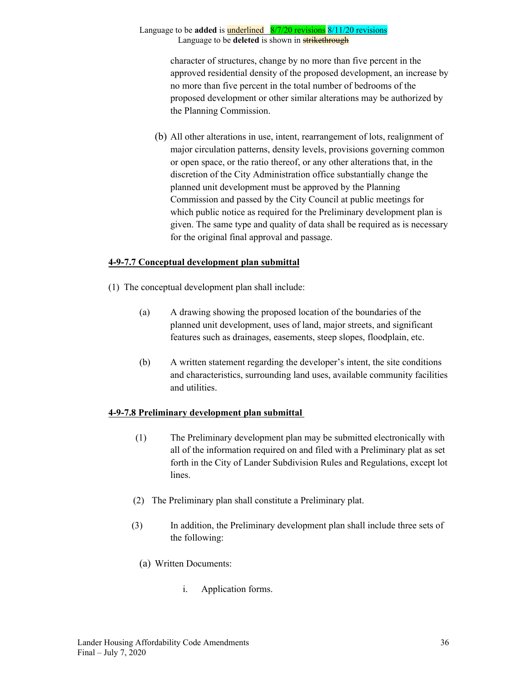character of structures, change by no more than five percent in the approved residential density of the proposed development, an increase by no more than five percent in the total number of bedrooms of the proposed development or other similar alterations may be authorized by the Planning Commission.

(b) All other alterations in use, intent, rearrangement of lots, realignment of major circulation patterns, density levels, provisions governing common or open space, or the ratio thereof, or any other alterations that, in the discretion of the City Administration office substantially change the planned unit development must be approved by the Planning Commission and passed by the City Council at public meetings for which public notice as required for the Preliminary development plan is given. The same type and quality of data shall be required as is necessary for the original final approval and passage.

### **4-9-7.7 Conceptual development plan submittal**

- (1) The conceptual development plan shall include:
	- (a) A drawing showing the proposed location of the boundaries of the planned unit development, uses of land, major streets, and significant features such as drainages, easements, steep slopes, floodplain, etc.
	- (b) A written statement regarding the developer's intent, the site conditions and characteristics, surrounding land uses, available community facilities and utilities.

### **4-9-7.8 Preliminary development plan submittal**

- (1) The Preliminary development plan may be submitted electronically with all of the information required on and filed with a Preliminary plat as set forth in the City of Lander Subdivision Rules and Regulations, except lot lines.
- (2) The Preliminary plan shall constitute a Preliminary plat.
- (3) In addition, the Preliminary development plan shall include three sets of the following:
	- (a) Written Documents:
		- i. Application forms.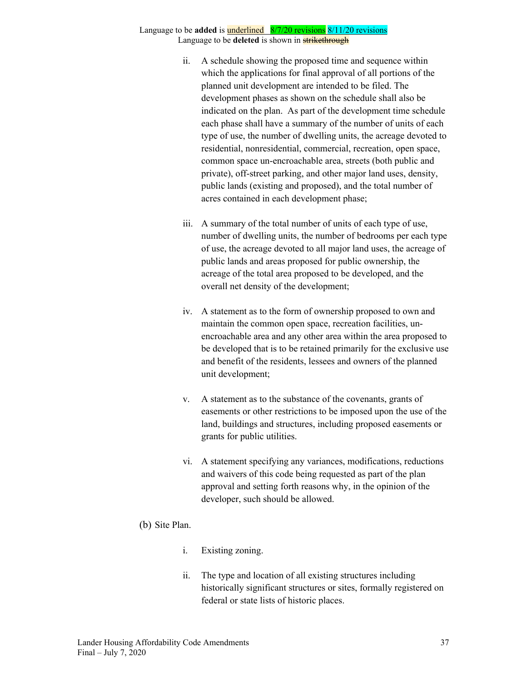- ii. A schedule showing the proposed time and sequence within which the applications for final approval of all portions of the planned unit development are intended to be filed. The development phases as shown on the schedule shall also be indicated on the plan. As part of the development time schedule each phase shall have a summary of the number of units of each type of use, the number of dwelling units, the acreage devoted to residential, nonresidential, commercial, recreation, open space, common space un-encroachable area, streets (both public and private), off-street parking, and other major land uses, density, public lands (existing and proposed), and the total number of acres contained in each development phase;
- iii. A summary of the total number of units of each type of use, number of dwelling units, the number of bedrooms per each type of use, the acreage devoted to all major land uses, the acreage of public lands and areas proposed for public ownership, the acreage of the total area proposed to be developed, and the overall net density of the development;
- iv. A statement as to the form of ownership proposed to own and maintain the common open space, recreation facilities, unencroachable area and any other area within the area proposed to be developed that is to be retained primarily for the exclusive use and benefit of the residents, lessees and owners of the planned unit development;
- v. A statement as to the substance of the covenants, grants of easements or other restrictions to be imposed upon the use of the land, buildings and structures, including proposed easements or grants for public utilities.
- vi. A statement specifying any variances, modifications, reductions and waivers of this code being requested as part of the plan approval and setting forth reasons why, in the opinion of the developer, such should be allowed.

### (b) Site Plan.

- i. Existing zoning.
- ii. The type and location of all existing structures including historically significant structures or sites, formally registered on federal or state lists of historic places.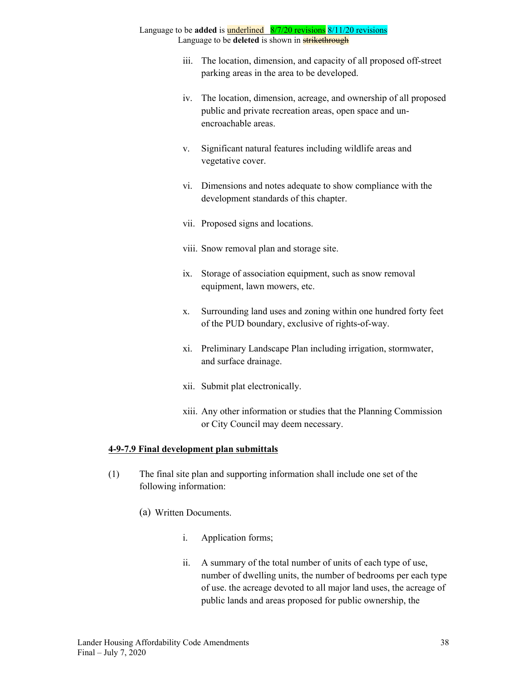- iii. The location, dimension, and capacity of all proposed off-street parking areas in the area to be developed.
- iv. The location, dimension, acreage, and ownership of all proposed public and private recreation areas, open space and unencroachable areas.
- v. Significant natural features including wildlife areas and vegetative cover.
- vi. Dimensions and notes adequate to show compliance with the development standards of this chapter.
- vii. Proposed signs and locations.
- viii. Snow removal plan and storage site.
- ix. Storage of association equipment, such as snow removal equipment, lawn mowers, etc.
- x. Surrounding land uses and zoning within one hundred forty feet of the PUD boundary, exclusive of rights-of-way.
- xi. Preliminary Landscape Plan including irrigation, stormwater, and surface drainage.
- xii. Submit plat electronically.
- xiii. Any other information or studies that the Planning Commission or City Council may deem necessary.

### **4-9-7.9 Final development plan submittals**

- (1) The final site plan and supporting information shall include one set of the following information:
	- (a) Written Documents.
		- i. Application forms;
		- ii. A summary of the total number of units of each type of use, number of dwelling units, the number of bedrooms per each type of use. the acreage devoted to all major land uses, the acreage of public lands and areas proposed for public ownership, the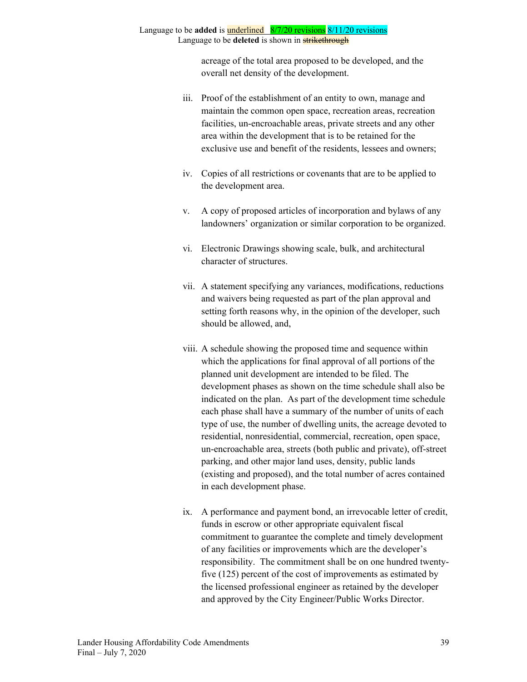acreage of the total area proposed to be developed, and the overall net density of the development.

- iii. Proof of the establishment of an entity to own, manage and maintain the common open space, recreation areas, recreation facilities, un-encroachable areas, private streets and any other area within the development that is to be retained for the exclusive use and benefit of the residents, lessees and owners;
- iv. Copies of all restrictions or covenants that are to be applied to the development area.
- v. A copy of proposed articles of incorporation and bylaws of any landowners' organization or similar corporation to be organized.
- vi. Electronic Drawings showing scale, bulk, and architectural character of structures.
- vii. A statement specifying any variances, modifications, reductions and waivers being requested as part of the plan approval and setting forth reasons why, in the opinion of the developer, such should be allowed, and,
- viii. A schedule showing the proposed time and sequence within which the applications for final approval of all portions of the planned unit development are intended to be filed. The development phases as shown on the time schedule shall also be indicated on the plan. As part of the development time schedule each phase shall have a summary of the number of units of each type of use, the number of dwelling units, the acreage devoted to residential, nonresidential, commercial, recreation, open space, un-encroachable area, streets (both public and private), off-street parking, and other major land uses, density, public lands (existing and proposed), and the total number of acres contained in each development phase.
- ix. A performance and payment bond, an irrevocable letter of credit, funds in escrow or other appropriate equivalent fiscal commitment to guarantee the complete and timely development of any facilities or improvements which are the developer's responsibility. The commitment shall be on one hundred twentyfive (125) percent of the cost of improvements as estimated by the licensed professional engineer as retained by the developer and approved by the City Engineer/Public Works Director.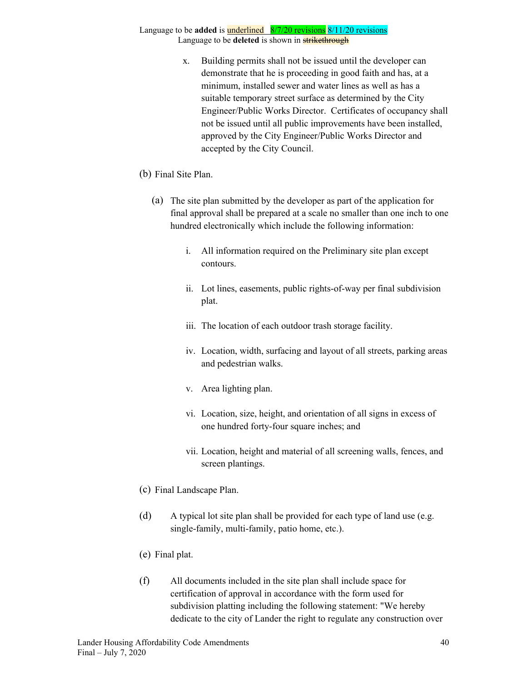- x. Building permits shall not be issued until the developer can demonstrate that he is proceeding in good faith and has, at a minimum, installed sewer and water lines as well as has a suitable temporary street surface as determined by the City Engineer/Public Works Director. Certificates of occupancy shall not be issued until all public improvements have been installed, approved by the City Engineer/Public Works Director and accepted by the City Council.
- (b) Final Site Plan.
	- (a) The site plan submitted by the developer as part of the application for final approval shall be prepared at a scale no smaller than one inch to one hundred electronically which include the following information:
		- i. All information required on the Preliminary site plan except contours.
		- ii. Lot lines, easements, public rights-of-way per final subdivision plat.
		- iii. The location of each outdoor trash storage facility.
		- iv. Location, width, surfacing and layout of all streets, parking areas and pedestrian walks.
		- v. Area lighting plan.
		- vi. Location, size, height, and orientation of all signs in excess of one hundred forty-four square inches; and
		- vii. Location, height and material of all screening walls, fences, and screen plantings.
- (c) Final Landscape Plan.
- (d) A typical lot site plan shall be provided for each type of land use (e.g. single-family, multi-family, patio home, etc.).
- (e) Final plat.
- (f) All documents included in the site plan shall include space for certification of approval in accordance with the form used for subdivision platting including the following statement: "We hereby dedicate to the city of Lander the right to regulate any construction over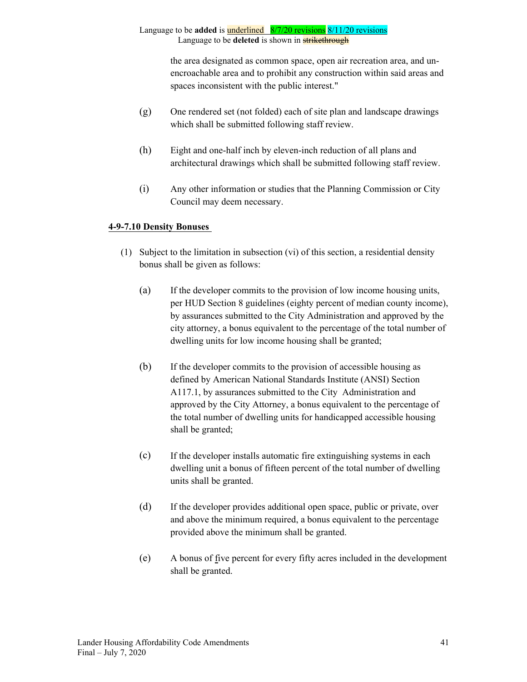> the area designated as common space, open air recreation area, and unencroachable area and to prohibit any construction within said areas and spaces inconsistent with the public interest."

- (g) One rendered set (not folded) each of site plan and landscape drawings which shall be submitted following staff review.
- (h) Eight and one-half inch by eleven-inch reduction of all plans and architectural drawings which shall be submitted following staff review.
- (i) Any other information or studies that the Planning Commission or City Council may deem necessary.

## **4-9-7.10 Density Bonuses**

- (1) Subject to the limitation in subsection (vi) of this section, a residential density bonus shall be given as follows:
	- (a) If the developer commits to the provision of low income housing units, per HUD Section 8 guidelines (eighty percent of median county income), by assurances submitted to the City Administration and approved by the city attorney, a bonus equivalent to the percentage of the total number of dwelling units for low income housing shall be granted;
	- (b) If the developer commits to the provision of accessible housing as defined by American National Standards Institute (ANSI) Section A117.1, by assurances submitted to the City Administration and approved by the City Attorney, a bonus equivalent to the percentage of the total number of dwelling units for handicapped accessible housing shall be granted;
	- (c) If the developer installs automatic fire extinguishing systems in each dwelling unit a bonus of fifteen percent of the total number of dwelling units shall be granted.
	- (d) If the developer provides additional open space, public or private, over and above the minimum required, a bonus equivalent to the percentage provided above the minimum shall be granted.
	- (e) A bonus of five percent for every fifty acres included in the development shall be granted.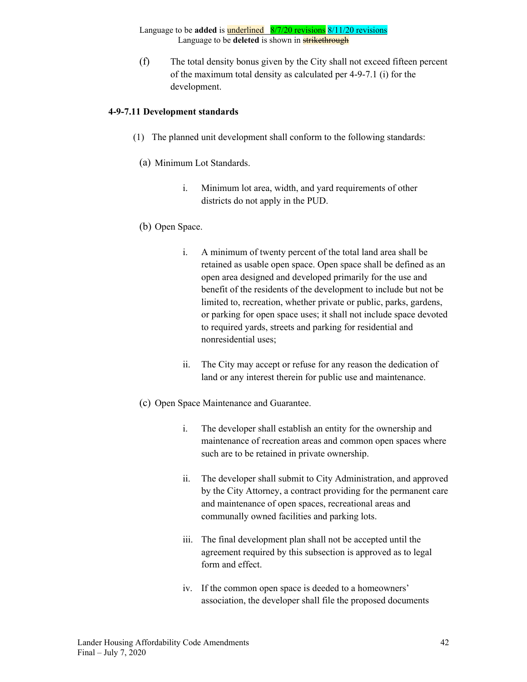(f) The total density bonus given by the City shall not exceed fifteen percent of the maximum total density as calculated per 4-9-7.1 (i) for the development.

### **4-9-7.11 Development standards**

- (1) The planned unit development shall conform to the following standards:
- (a) Minimum Lot Standards.
	- i. Minimum lot area, width, and yard requirements of other districts do not apply in the PUD.
- (b) Open Space.
	- i. A minimum of twenty percent of the total land area shall be retained as usable open space. Open space shall be defined as an open area designed and developed primarily for the use and benefit of the residents of the development to include but not be limited to, recreation, whether private or public, parks, gardens, or parking for open space uses; it shall not include space devoted to required yards, streets and parking for residential and nonresidential uses;
	- ii. The City may accept or refuse for any reason the dedication of land or any interest therein for public use and maintenance.
- (c) Open Space Maintenance and Guarantee.
	- i. The developer shall establish an entity for the ownership and maintenance of recreation areas and common open spaces where such are to be retained in private ownership.
	- ii. The developer shall submit to City Administration, and approved by the City Attorney, a contract providing for the permanent care and maintenance of open spaces, recreational areas and communally owned facilities and parking lots.
	- iii. The final development plan shall not be accepted until the agreement required by this subsection is approved as to legal form and effect.
	- iv. If the common open space is deeded to a homeowners' association, the developer shall file the proposed documents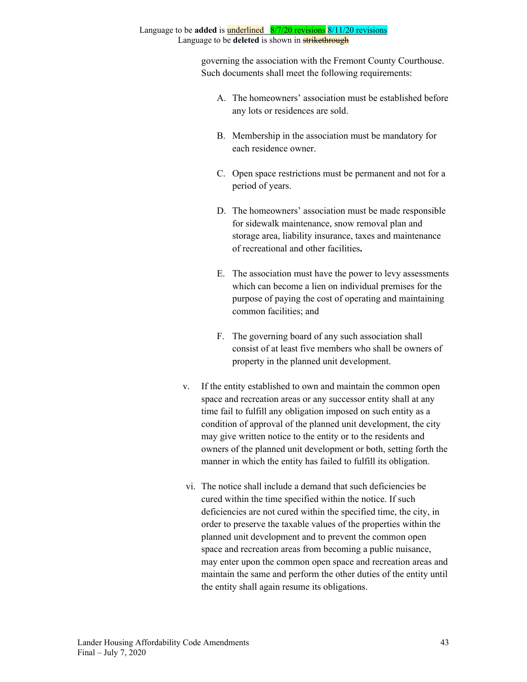governing the association with the Fremont County Courthouse. Such documents shall meet the following requirements:

- A. The homeowners' association must be established before any lots or residences are sold.
- B. Membership in the association must be mandatory for each residence owner.
- C. Open space restrictions must be permanent and not for a period of years.
- D. The homeowners' association must be made responsible for sidewalk maintenance, snow removal plan and storage area, liability insurance, taxes and maintenance of recreational and other facilities**.**
- E. The association must have the power to levy assessments which can become a lien on individual premises for the purpose of paying the cost of operating and maintaining common facilities; and
- F. The governing board of any such association shall consist of at least five members who shall be owners of property in the planned unit development.
- v. If the entity established to own and maintain the common open space and recreation areas or any successor entity shall at any time fail to fulfill any obligation imposed on such entity as a condition of approval of the planned unit development, the city may give written notice to the entity or to the residents and owners of the planned unit development or both, setting forth the manner in which the entity has failed to fulfill its obligation.
- vi. The notice shall include a demand that such deficiencies be cured within the time specified within the notice. If such deficiencies are not cured within the specified time, the city, in order to preserve the taxable values of the properties within the planned unit development and to prevent the common open space and recreation areas from becoming a public nuisance, may enter upon the common open space and recreation areas and maintain the same and perform the other duties of the entity until the entity shall again resume its obligations.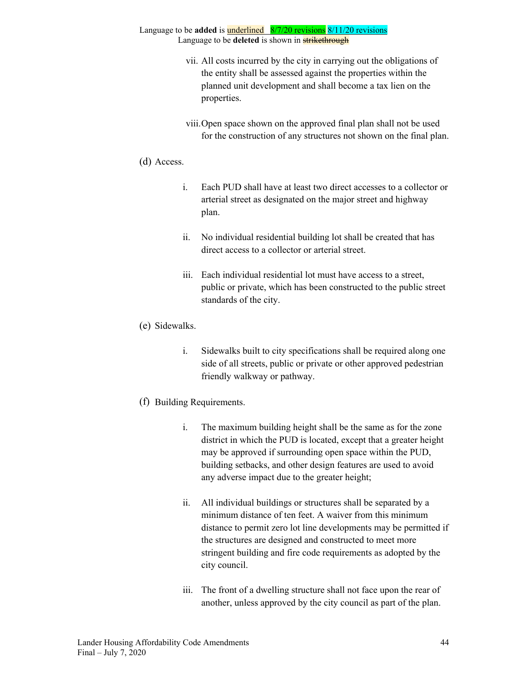- vii. All costs incurred by the city in carrying out the obligations of the entity shall be assessed against the properties within the planned unit development and shall become a tax lien on the properties.
- viii.Open space shown on the approved final plan shall not be used for the construction of any structures not shown on the final plan.

### (d) Access.

- i. Each PUD shall have at least two direct accesses to a collector or arterial street as designated on the major street and highway plan.
- ii. No individual residential building lot shall be created that has direct access to a collector or arterial street.
- iii. Each individual residential lot must have access to a street, public or private, which has been constructed to the public street standards of the city.
- (e) Sidewalks.
	- i. Sidewalks built to city specifications shall be required along one side of all streets, public or private or other approved pedestrian friendly walkway or pathway.

### (f) Building Requirements.

- i. The maximum building height shall be the same as for the zone district in which the PUD is located, except that a greater height may be approved if surrounding open space within the PUD, building setbacks, and other design features are used to avoid any adverse impact due to the greater height;
- ii. All individual buildings or structures shall be separated by a minimum distance of ten feet. A waiver from this minimum distance to permit zero lot line developments may be permitted if the structures are designed and constructed to meet more stringent building and fire code requirements as adopted by the city council.
- iii. The front of a dwelling structure shall not face upon the rear of another, unless approved by the city council as part of the plan.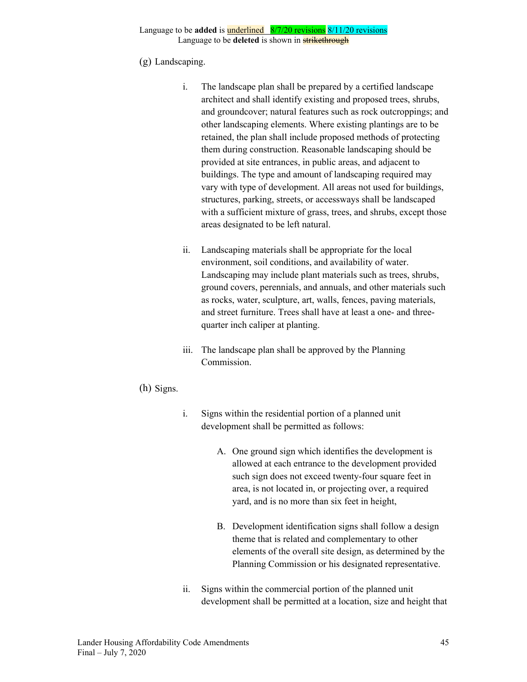### (g) Landscaping.

- i. The landscape plan shall be prepared by a certified landscape architect and shall identify existing and proposed trees, shrubs, and groundcover; natural features such as rock outcroppings; and other landscaping elements. Where existing plantings are to be retained, the plan shall include proposed methods of protecting them during construction. Reasonable landscaping should be provided at site entrances, in public areas, and adjacent to buildings. The type and amount of landscaping required may vary with type of development. All areas not used for buildings, structures, parking, streets, or accessways shall be landscaped with a sufficient mixture of grass, trees, and shrubs, except those areas designated to be left natural.
- ii. Landscaping materials shall be appropriate for the local environment, soil conditions, and availability of water. Landscaping may include plant materials such as trees, shrubs, ground covers, perennials, and annuals, and other materials such as rocks, water, sculpture, art, walls, fences, paving materials, and street furniture. Trees shall have at least a one- and threequarter inch caliper at planting.
- iii. The landscape plan shall be approved by the Planning Commission.

### (h) Signs.

- i. Signs within the residential portion of a planned unit development shall be permitted as follows:
	- A. One ground sign which identifies the development is allowed at each entrance to the development provided such sign does not exceed twenty-four square feet in area, is not located in, or projecting over, a required yard, and is no more than six feet in height,
	- B. Development identification signs shall follow a design theme that is related and complementary to other elements of the overall site design, as determined by the Planning Commission or his designated representative.
- ii. Signs within the commercial portion of the planned unit development shall be permitted at a location, size and height that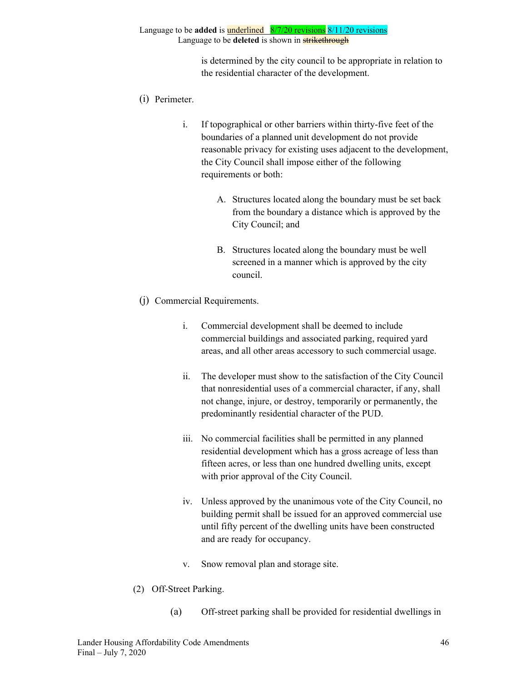> is determined by the city council to be appropriate in relation to the residential character of the development.

- (i) Perimeter.
	- i. If topographical or other barriers within thirty-five feet of the boundaries of a planned unit development do not provide reasonable privacy for existing uses adjacent to the development, the City Council shall impose either of the following requirements or both:
		- A. Structures located along the boundary must be set back from the boundary a distance which is approved by the City Council; and
		- B. Structures located along the boundary must be well screened in a manner which is approved by the city council.
- (j) Commercial Requirements.
	- i. Commercial development shall be deemed to include commercial buildings and associated parking, required yard areas, and all other areas accessory to such commercial usage.
	- ii. The developer must show to the satisfaction of the City Council that nonresidential uses of a commercial character, if any, shall not change, injure, or destroy, temporarily or permanently, the predominantly residential character of the PUD.
	- iii. No commercial facilities shall be permitted in any planned residential development which has a gross acreage of less than fifteen acres, or less than one hundred dwelling units, except with prior approval of the City Council.
	- iv. Unless approved by the unanimous vote of the City Council, no building permit shall be issued for an approved commercial use until fifty percent of the dwelling units have been constructed and are ready for occupancy.
	- v. Snow removal plan and storage site.
- (2) Off-Street Parking.
	- (a) Off-street parking shall be provided for residential dwellings in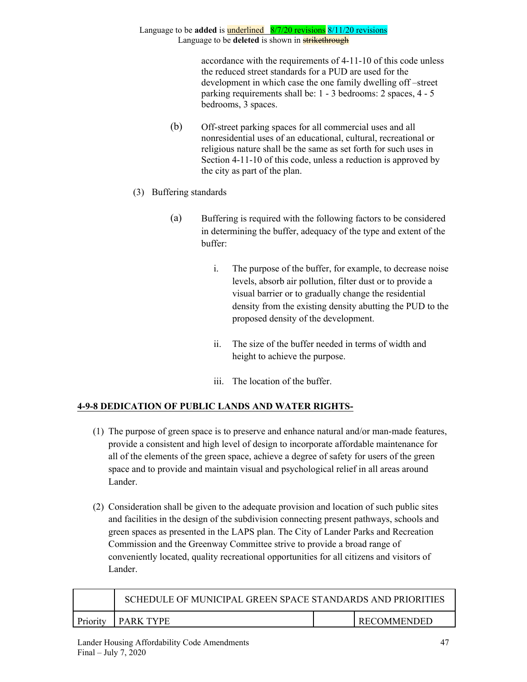> accordance with the requirements of 4-11-10 of this code unless the reduced street standards for a PUD are used for the development in which case the one family dwelling off –street parking requirements shall be: 1 - 3 bedrooms: 2 spaces, 4 - 5 bedrooms, 3 spaces.

- (b) Off-street parking spaces for all commercial uses and all nonresidential uses of an educational, cultural, recreational or religious nature shall be the same as set forth for such uses in Section 4-11-10 of this code, unless a reduction is approved by the city as part of the plan.
- (3) Buffering standards
	- (a) Buffering is required with the following factors to be considered in determining the buffer, adequacy of the type and extent of the buffer:
		- i. The purpose of the buffer, for example, to decrease noise levels, absorb air pollution, filter dust or to provide a visual barrier or to gradually change the residential density from the existing density abutting the PUD to the proposed density of the development.
		- ii. The size of the buffer needed in terms of width and height to achieve the purpose.
		- iii. The location of the buffer.

## **4-9-8 DEDICATION OF PUBLIC LANDS AND WATER RIGHTS-**

- (1) The purpose of green space is to preserve and enhance natural and/or man-made features, provide a consistent and high level of design to incorporate affordable maintenance for all of the elements of the green space, achieve a degree of safety for users of the green space and to provide and maintain visual and psychological relief in all areas around Lander.
- (2) Consideration shall be given to the adequate provision and location of such public sites and facilities in the design of the subdivision connecting present pathways, schools and green spaces as presented in the LAPS plan. The City of Lander Parks and Recreation Commission and the Greenway Committee strive to provide a broad range of conveniently located, quality recreational opportunities for all citizens and visitors of Lander.

|          | SCHEDULE OF MUNICIPAL GREEN SPACE STANDARDS AND PRIORITIES |             |
|----------|------------------------------------------------------------|-------------|
| Priority | I PARK TYPE                                                | RECOMMENDED |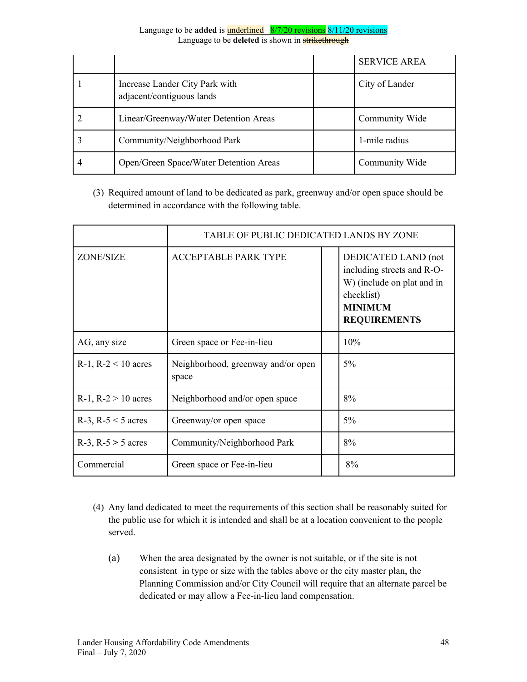|   |                                                             | <b>SERVICE AREA</b> |
|---|-------------------------------------------------------------|---------------------|
|   | Increase Lander City Park with<br>adjacent/contiguous lands | City of Lander      |
|   | Linear/Greenway/Water Detention Areas                       | Community Wide      |
|   | Community/Neighborhood Park                                 | 1-mile radius       |
| 4 | Open/Green Space/Water Detention Areas                      | Community Wide      |

(3) Required amount of land to be dedicated as park, greenway and/or open space should be determined in accordance with the following table.

|                         | TABLE OF PUBLIC DEDICATED LANDS BY ZONE     |                                                                                                                                        |
|-------------------------|---------------------------------------------|----------------------------------------------------------------------------------------------------------------------------------------|
| <b>ZONE/SIZE</b>        | <b>ACCEPTABLE PARK TYPE</b>                 | DEDICATED LAND (not<br>including streets and R-O-<br>W) (include on plat and in<br>checklist)<br><b>MINIMUM</b><br><b>REQUIREMENTS</b> |
| AG, any size            | Green space or Fee-in-lieu                  | 10%                                                                                                                                    |
| R-1, R-2 $<$ 10 acres   | Neighborhood, greenway and/or open<br>space | $5\%$                                                                                                                                  |
| R-1, $R-2 > 10$ acres   | Neighborhood and/or open space              | 8%                                                                                                                                     |
| R-3, R-5 $<$ 5 acres    | Greenway/or open space                      | $5\%$                                                                                                                                  |
| $R-3$ , $R-5 > 5$ acres | Community/Neighborhood Park                 | 8%                                                                                                                                     |
| Commercial              | Green space or Fee-in-lieu                  | 8%                                                                                                                                     |

- (4) Any land dedicated to meet the requirements of this section shall be reasonably suited for the public use for which it is intended and shall be at a location convenient to the people served.
	- (a) When the area designated by the owner is not suitable, or if the site is not consistent in type or size with the tables above or the city master plan, the Planning Commission and/or City Council will require that an alternate parcel be dedicated or may allow a Fee-in-lieu land compensation.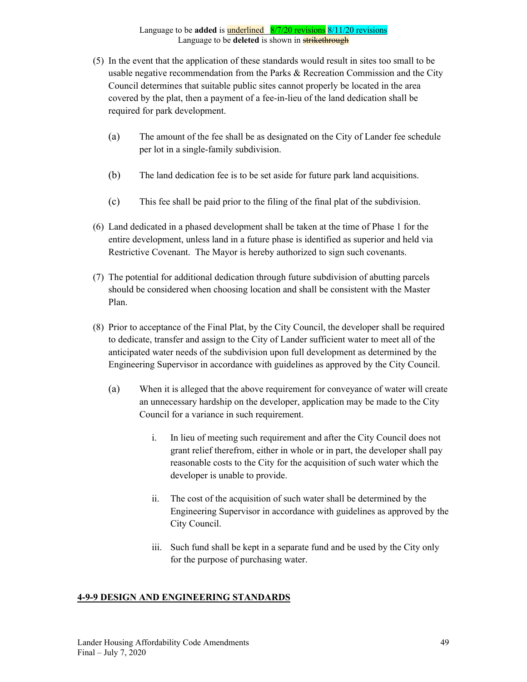- (5) In the event that the application of these standards would result in sites too small to be usable negative recommendation from the Parks  $\&$  Recreation Commission and the City Council determines that suitable public sites cannot properly be located in the area covered by the plat, then a payment of a fee-in-lieu of the land dedication shall be required for park development.
	- (a) The amount of the fee shall be as designated on the City of Lander fee schedule per lot in a single-family subdivision.
	- (b) The land dedication fee is to be set aside for future park land acquisitions.
	- (c) This fee shall be paid prior to the filing of the final plat of the subdivision.
- (6) Land dedicated in a phased development shall be taken at the time of Phase 1 for the entire development, unless land in a future phase is identified as superior and held via Restrictive Covenant. The Mayor is hereby authorized to sign such covenants.
- (7) The potential for additional dedication through future subdivision of abutting parcels should be considered when choosing location and shall be consistent with the Master Plan.
- (8) Prior to acceptance of the Final Plat, by the City Council, the developer shall be required to dedicate, transfer and assign to the City of Lander sufficient water to meet all of the anticipated water needs of the subdivision upon full development as determined by the Engineering Supervisor in accordance with guidelines as approved by the City Council.
	- (a) When it is alleged that the above requirement for conveyance of water will create an unnecessary hardship on the developer, application may be made to the City Council for a variance in such requirement.
		- i. In lieu of meeting such requirement and after the City Council does not grant relief therefrom, either in whole or in part, the developer shall pay reasonable costs to the City for the acquisition of such water which the developer is unable to provide.
		- ii. The cost of the acquisition of such water shall be determined by the Engineering Supervisor in accordance with guidelines as approved by the City Council.
		- iii. Such fund shall be kept in a separate fund and be used by the City only for the purpose of purchasing water.

## **4-9-9 DESIGN AND ENGINEERING STANDARDS**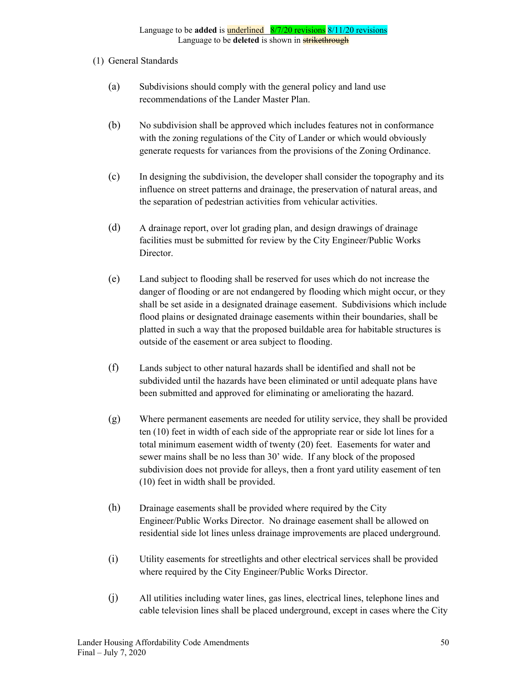### (1) General Standards

- (a) Subdivisions should comply with the general policy and land use recommendations of the Lander Master Plan.
- (b) No subdivision shall be approved which includes features not in conformance with the zoning regulations of the City of Lander or which would obviously generate requests for variances from the provisions of the Zoning Ordinance.
- (c) In designing the subdivision, the developer shall consider the topography and its influence on street patterns and drainage, the preservation of natural areas, and the separation of pedestrian activities from vehicular activities.
- (d) A drainage report, over lot grading plan, and design drawings of drainage facilities must be submitted for review by the City Engineer/Public Works Director.
- (e) Land subject to flooding shall be reserved for uses which do not increase the danger of flooding or are not endangered by flooding which might occur, or they shall be set aside in a designated drainage easement. Subdivisions which include flood plains or designated drainage easements within their boundaries, shall be platted in such a way that the proposed buildable area for habitable structures is outside of the easement or area subject to flooding.
- (f) Lands subject to other natural hazards shall be identified and shall not be subdivided until the hazards have been eliminated or until adequate plans have been submitted and approved for eliminating or ameliorating the hazard.
- (g) Where permanent easements are needed for utility service, they shall be provided ten (10) feet in width of each side of the appropriate rear or side lot lines for a total minimum easement width of twenty (20) feet. Easements for water and sewer mains shall be no less than 30' wide. If any block of the proposed subdivision does not provide for alleys, then a front yard utility easement of ten (10) feet in width shall be provided.
- (h) Drainage easements shall be provided where required by the City Engineer/Public Works Director. No drainage easement shall be allowed on residential side lot lines unless drainage improvements are placed underground.
- (i) Utility easements for streetlights and other electrical services shall be provided where required by the City Engineer/Public Works Director.
- (j) All utilities including water lines, gas lines, electrical lines, telephone lines and cable television lines shall be placed underground, except in cases where the City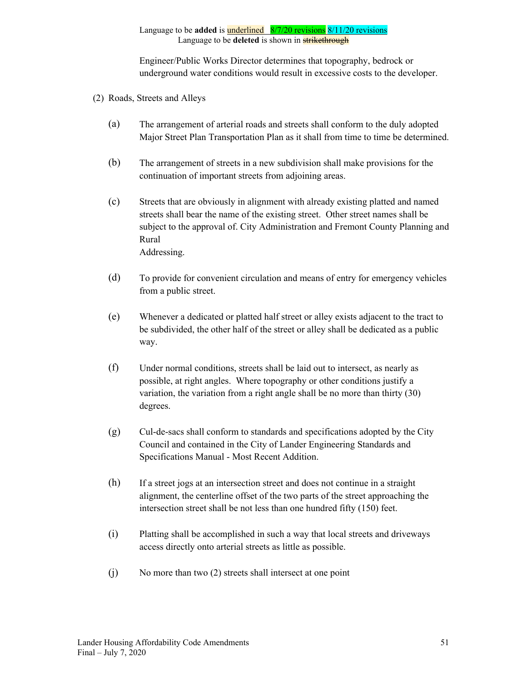Engineer/Public Works Director determines that topography, bedrock or underground water conditions would result in excessive costs to the developer.

- (2) Roads, Streets and Alleys
	- (a) The arrangement of arterial roads and streets shall conform to the duly adopted Major Street Plan Transportation Plan as it shall from time to time be determined.
	- (b) The arrangement of streets in a new subdivision shall make provisions for the continuation of important streets from adjoining areas.
	- (c) Streets that are obviously in alignment with already existing platted and named streets shall bear the name of the existing street. Other street names shall be subject to the approval of. City Administration and Fremont County Planning and Rural Addressing.
	- (d) To provide for convenient circulation and means of entry for emergency vehicles from a public street.
	- (e) Whenever a dedicated or platted half street or alley exists adjacent to the tract to be subdivided, the other half of the street or alley shall be dedicated as a public way.
	- (f) Under normal conditions, streets shall be laid out to intersect, as nearly as possible, at right angles. Where topography or other conditions justify a variation, the variation from a right angle shall be no more than thirty (30) degrees.
	- (g) Cul-de-sacs shall conform to standards and specifications adopted by the City Council and contained in the City of Lander Engineering Standards and Specifications Manual - Most Recent Addition.
	- (h) If a street jogs at an intersection street and does not continue in a straight alignment, the centerline offset of the two parts of the street approaching the intersection street shall be not less than one hundred fifty (150) feet.
	- (i) Platting shall be accomplished in such a way that local streets and driveways access directly onto arterial streets as little as possible.
	- (j) No more than two (2) streets shall intersect at one point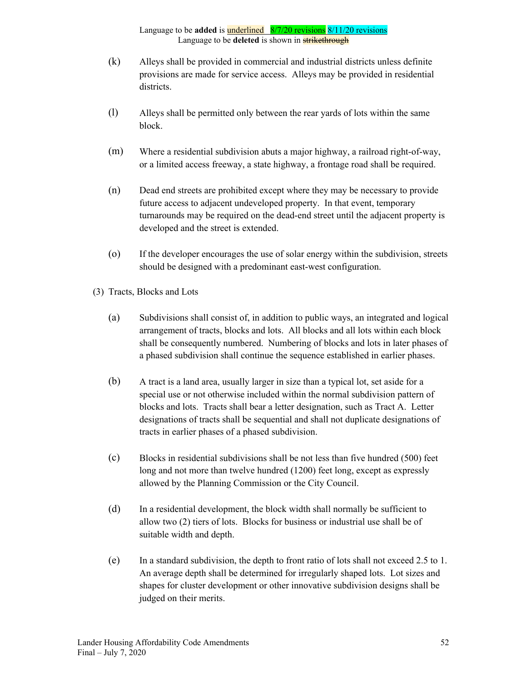- (k) Alleys shall be provided in commercial and industrial districts unless definite provisions are made for service access. Alleys may be provided in residential districts.
- (l) Alleys shall be permitted only between the rear yards of lots within the same block.
- (m) Where a residential subdivision abuts a major highway, a railroad right-of-way, or a limited access freeway, a state highway, a frontage road shall be required.
- (n) Dead end streets are prohibited except where they may be necessary to provide future access to adjacent undeveloped property. In that event, temporary turnarounds may be required on the dead-end street until the adjacent property is developed and the street is extended.
- (o) If the developer encourages the use of solar energy within the subdivision, streets should be designed with a predominant east-west configuration.
- (3) Tracts, Blocks and Lots
	- (a) Subdivisions shall consist of, in addition to public ways, an integrated and logical arrangement of tracts, blocks and lots. All blocks and all lots within each block shall be consequently numbered. Numbering of blocks and lots in later phases of a phased subdivision shall continue the sequence established in earlier phases.
	- (b) A tract is a land area, usually larger in size than a typical lot, set aside for a special use or not otherwise included within the normal subdivision pattern of blocks and lots. Tracts shall bear a letter designation, such as Tract A. Letter designations of tracts shall be sequential and shall not duplicate designations of tracts in earlier phases of a phased subdivision.
	- (c) Blocks in residential subdivisions shall be not less than five hundred (500) feet long and not more than twelve hundred (1200) feet long, except as expressly allowed by the Planning Commission or the City Council.
	- (d) In a residential development, the block width shall normally be sufficient to allow two (2) tiers of lots. Blocks for business or industrial use shall be of suitable width and depth.
	- (e) In a standard subdivision, the depth to front ratio of lots shall not exceed 2.5 to 1. An average depth shall be determined for irregularly shaped lots. Lot sizes and shapes for cluster development or other innovative subdivision designs shall be judged on their merits.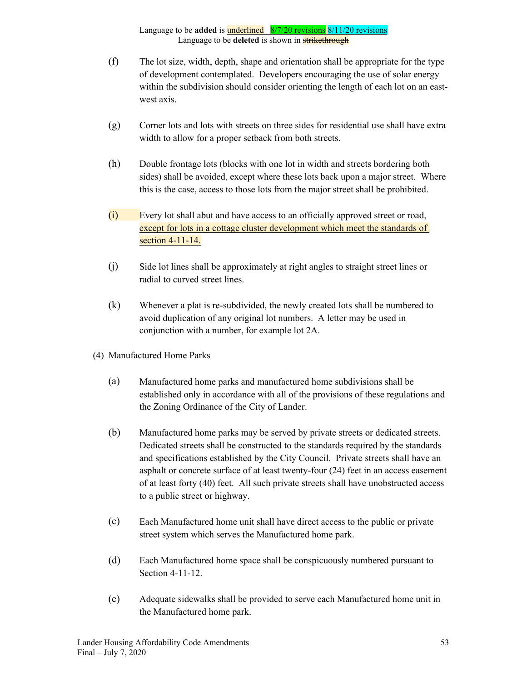- (f) The lot size, width, depth, shape and orientation shall be appropriate for the type of development contemplated. Developers encouraging the use of solar energy within the subdivision should consider orienting the length of each lot on an eastwest axis.
- (g) Corner lots and lots with streets on three sides for residential use shall have extra width to allow for a proper setback from both streets.
- (h) Double frontage lots (blocks with one lot in width and streets bordering both sides) shall be avoided, except where these lots back upon a major street. Where this is the case, access to those lots from the major street shall be prohibited.
- (i) Every lot shall abut and have access to an officially approved street or road, except for lots in a cottage cluster development which meet the standards of section 4-11-14.
- (j) Side lot lines shall be approximately at right angles to straight street lines or radial to curved street lines.
- (k) Whenever a plat is re-subdivided, the newly created lots shall be numbered to avoid duplication of any original lot numbers. A letter may be used in conjunction with a number, for example lot 2A.
- (4) Manufactured Home Parks
	- (a) Manufactured home parks and manufactured home subdivisions shall be established only in accordance with all of the provisions of these regulations and the Zoning Ordinance of the City of Lander.
	- (b) Manufactured home parks may be served by private streets or dedicated streets. Dedicated streets shall be constructed to the standards required by the standards and specifications established by the City Council. Private streets shall have an asphalt or concrete surface of at least twenty-four (24) feet in an access easement of at least forty (40) feet. All such private streets shall have unobstructed access to a public street or highway.
	- (c) Each Manufactured home unit shall have direct access to the public or private street system which serves the Manufactured home park.
	- (d) Each Manufactured home space shall be conspicuously numbered pursuant to Section 4-11-12.
	- (e) Adequate sidewalks shall be provided to serve each Manufactured home unit in the Manufactured home park.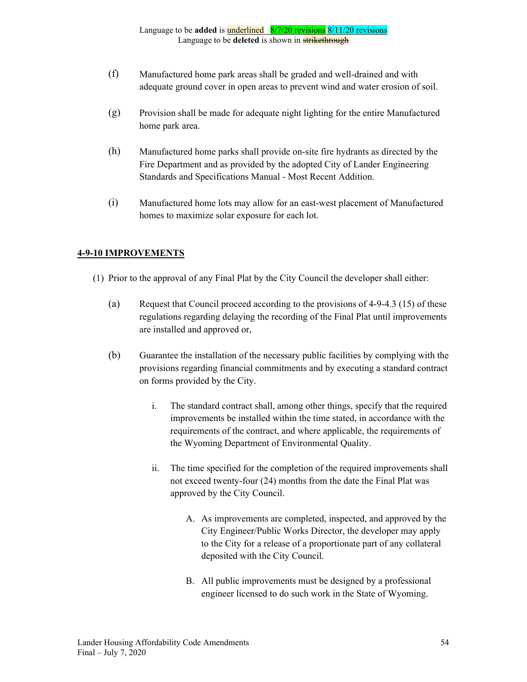- (f) Manufactured home park areas shall be graded and well-drained and with adequate ground cover in open areas to prevent wind and water erosion of soil.
- (g) Provision shall be made for adequate night lighting for the entire Manufactured home park area.
- (h) Manufactured home parks shall provide on-site fire hydrants as directed by the Fire Department and as provided by the adopted City of Lander Engineering Standards and Specifications Manual - Most Recent Addition.
- (i) Manufactured home lots may allow for an east-west placement of Manufactured homes to maximize solar exposure for each lot.

## **4-9-10 IMPROVEMENTS**

- (1) Prior to the approval of any Final Plat by the City Council the developer shall either:
	- (a) Request that Council proceed according to the provisions of 4-9-4.3 (15) of these regulations regarding delaying the recording of the Final Plat until improvements are installed and approved or,
	- (b) Guarantee the installation of the necessary public facilities by complying with the provisions regarding financial commitments and by executing a standard contract on forms provided by the City.
		- i. The standard contract shall, among other things, specify that the required improvements be installed within the time stated, in accordance with the requirements of the contract, and where applicable, the requirements of the Wyoming Department of Environmental Quality.
		- ii. The time specified for the completion of the required improvements shall not exceed twenty-four (24) months from the date the Final Plat was approved by the City Council.
			- A. As improvements are completed, inspected, and approved by the City Engineer/Public Works Director, the developer may apply to the City for a release of a proportionate part of any collateral deposited with the City Council.
			- B. All public improvements must be designed by a professional engineer licensed to do such work in the State of Wyoming.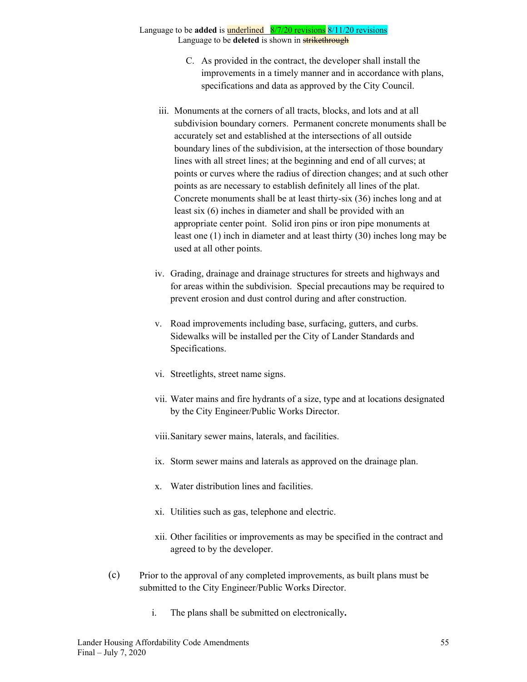# Language to be **added** is underlined 8/7/20 revisions 8/11/20 revisions

Language to be **deleted** is shown in **strikethrough** 

- C. As provided in the contract, the developer shall install the improvements in a timely manner and in accordance with plans, specifications and data as approved by the City Council.
- iii. Monuments at the corners of all tracts, blocks, and lots and at all subdivision boundary corners. Permanent concrete monuments shall be accurately set and established at the intersections of all outside boundary lines of the subdivision, at the intersection of those boundary lines with all street lines; at the beginning and end of all curves; at points or curves where the radius of direction changes; and at such other points as are necessary to establish definitely all lines of the plat. Concrete monuments shall be at least thirty-six (36) inches long and at least six (6) inches in diameter and shall be provided with an appropriate center point. Solid iron pins or iron pipe monuments at least one (1) inch in diameter and at least thirty (30) inches long may be used at all other points.
- iv. Grading, drainage and drainage structures for streets and highways and for areas within the subdivision. Special precautions may be required to prevent erosion and dust control during and after construction.
- v. Road improvements including base, surfacing, gutters, and curbs. Sidewalks will be installed per the City of Lander Standards and Specifications.
- vi. Streetlights, street name signs.
- vii. Water mains and fire hydrants of a size, type and at locations designated by the City Engineer/Public Works Director.
- viii.Sanitary sewer mains, laterals, and facilities.
- ix. Storm sewer mains and laterals as approved on the drainage plan.
- x. Water distribution lines and facilities.
- xi. Utilities such as gas, telephone and electric.
- xii. Other facilities or improvements as may be specified in the contract and agreed to by the developer.
- (c) Prior to the approval of any completed improvements, as built plans must be submitted to the City Engineer/Public Works Director.
	- i. The plans shall be submitted on electronically**.**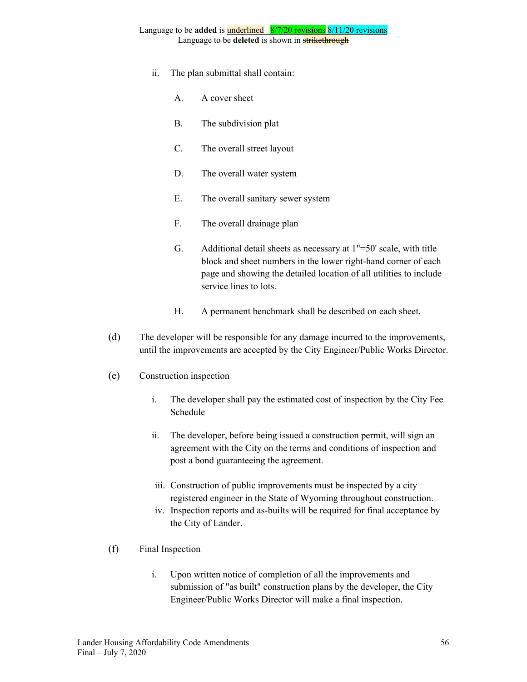- ii. The plan submittal shall contain:
	- A. A cover sheet
	- B. The subdivision plat
	- C. The overall street layout
	- D. The overall water system
	- E. The overall sanitary sewer system
	- F. The overall drainage plan
	- G. Additional detail sheets as necessary at 1"=50' scale, with title block and sheet numbers in the lower right-hand corner of each page and showing the detailed location of all utilities to include service lines to lots.
	- H. A permanent benchmark shall be described on each sheet.
- (d) The developer will be responsible for any damage incurred to the improvements, until the improvements are accepted by the City Engineer/Public Works Director.
- (e) Construction inspection
	- i. The developer shall pay the estimated cost of inspection by the City Fee Schedule
	- ii. The developer, before being issued a construction permit, will sign an agreement with the City on the terms and conditions of inspection and post a bond guaranteeing the agreement.
	- iii. Construction of public improvements must be inspected by a city registered engineer in the State of Wyoming throughout construction.
	- iv. Inspection reports and as-builts will be required for final acceptance by the City of Lander.
- (f) Final Inspection
	- i. Upon written notice of completion of all the improvements and submission of "as built" construction plans by the developer, the City Engineer/Public Works Director will make a final inspection.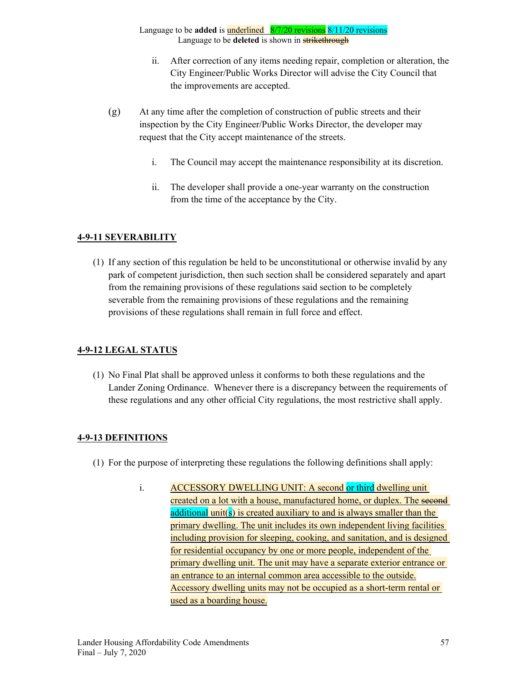- ii. After correction of any items needing repair, completion or alteration, the City Engineer/Public Works Director will advise the City Council that the improvements are accepted.
- (g) At any time after the completion of construction of public streets and their inspection by the City Engineer/Public Works Director, the developer may request that the City accept maintenance of the streets.
	- i. The Council may accept the maintenance responsibility at its discretion.
	- ii. The developer shall provide a one-year warranty on the construction from the time of the acceptance by the City.

## **4-9-11 SEVERABILITY**

(1) If any section of this regulation be held to be unconstitutional or otherwise invalid by any park of competent jurisdiction, then such section shall be considered separately and apart from the remaining provisions of these regulations said section to be completely severable from the remaining provisions of these regulations and the remaining provisions of these regulations shall remain in full force and effect.

## **4-9-12 LEGAL STATUS**

(1) No Final Plat shall be approved unless it conforms to both these regulations and the Lander Zoning Ordinance. Whenever there is a discrepancy between the requirements of these regulations and any other official City regulations, the most restrictive shall apply.

## **4-9-13 DEFINITIONS**

- (1) For the purpose of interpreting these regulations the following definitions shall apply:
	- i. ACCESSORY DWELLING UNIT: A second or third dwelling unit created on a lot with a house, manufactured home, or duplex. The second additional unit(s) is created auxiliary to and is always smaller than the primary dwelling. The unit includes its own independent living facilities including provision for sleeping, cooking, and sanitation, and is designed for residential occupancy by one or more people, independent of the primary dwelling unit. The unit may have a separate exterior entrance or an entrance to an internal common area accessible to the outside. Accessory dwelling units may not be occupied as a short-term rental or used as a boarding house.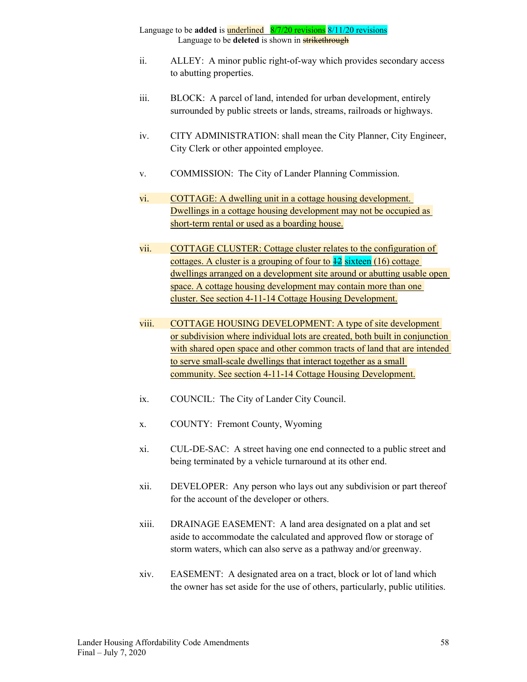- ii. ALLEY: A minor public right-of-way which provides secondary access to abutting properties.
- iii. BLOCK: A parcel of land, intended for urban development, entirely surrounded by public streets or lands, streams, railroads or highways.
- iv. CITY ADMINISTRATION: shall mean the City Planner, City Engineer, City Clerk or other appointed employee.
- v. COMMISSION: The City of Lander Planning Commission.
- vi. COTTAGE: A dwelling unit in a cottage housing development. Dwellings in a cottage housing development may not be occupied as short-term rental or used as a boarding house.
- vii. COTTAGE CLUSTER: Cottage cluster relates to the configuration of cottages. A cluster is a grouping of four to  $\frac{12}{2}$  sixteen (16) cottage dwellings arranged on a development site around or abutting usable open space. A cottage housing development may contain more than one cluster. See section 4-11-14 Cottage Housing Development.
- viii. COTTAGE HOUSING DEVELOPMENT: A type of site development or subdivision where individual lots are created, both built in conjunction with shared open space and other common tracts of land that are intended to serve small-scale dwellings that interact together as a small community. See section 4-11-14 Cottage Housing Development.
- ix. COUNCIL: The City of Lander City Council.
- x. COUNTY: Fremont County, Wyoming
- xi. CUL-DE-SAC: A street having one end connected to a public street and being terminated by a vehicle turnaround at its other end.
- xii. DEVELOPER: Any person who lays out any subdivision or part thereof for the account of the developer or others.
- xiii. DRAINAGE EASEMENT: A land area designated on a plat and set aside to accommodate the calculated and approved flow or storage of storm waters, which can also serve as a pathway and/or greenway.
- xiv. EASEMENT: A designated area on a tract, block or lot of land which the owner has set aside for the use of others, particularly, public utilities.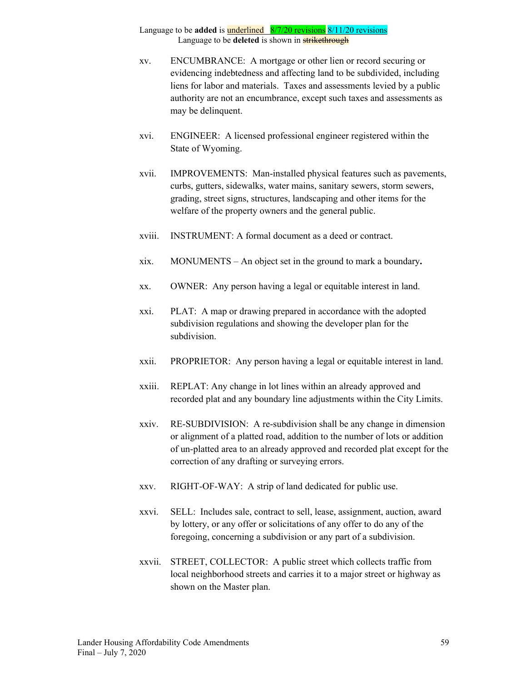- xv. ENCUMBRANCE: A mortgage or other lien or record securing or evidencing indebtedness and affecting land to be subdivided, including liens for labor and materials. Taxes and assessments levied by a public authority are not an encumbrance, except such taxes and assessments as may be delinquent.
- xvi. ENGINEER: A licensed professional engineer registered within the State of Wyoming.
- xvii. IMPROVEMENTS: Man-installed physical features such as pavements, curbs, gutters, sidewalks, water mains, sanitary sewers, storm sewers, grading, street signs, structures, landscaping and other items for the welfare of the property owners and the general public.
- xviii. INSTRUMENT: A formal document as a deed or contract.
- xix. MONUMENTS An object set in the ground to mark a boundary**.**
- xx. OWNER: Any person having a legal or equitable interest in land.
- xxi. PLAT: A map or drawing prepared in accordance with the adopted subdivision regulations and showing the developer plan for the subdivision.
- xxii. PROPRIETOR: Any person having a legal or equitable interest in land.
- xxiii. REPLAT: Any change in lot lines within an already approved and recorded plat and any boundary line adjustments within the City Limits.
- xxiv. RE-SUBDIVISION: A re-subdivision shall be any change in dimension or alignment of a platted road, addition to the number of lots or addition of un-platted area to an already approved and recorded plat except for the correction of any drafting or surveying errors.
- xxv. RIGHT-OF-WAY: A strip of land dedicated for public use.
- xxvi. SELL: Includes sale, contract to sell, lease, assignment, auction, award by lottery, or any offer or solicitations of any offer to do any of the foregoing, concerning a subdivision or any part of a subdivision.
- xxvii. STREET, COLLECTOR: A public street which collects traffic from local neighborhood streets and carries it to a major street or highway as shown on the Master plan.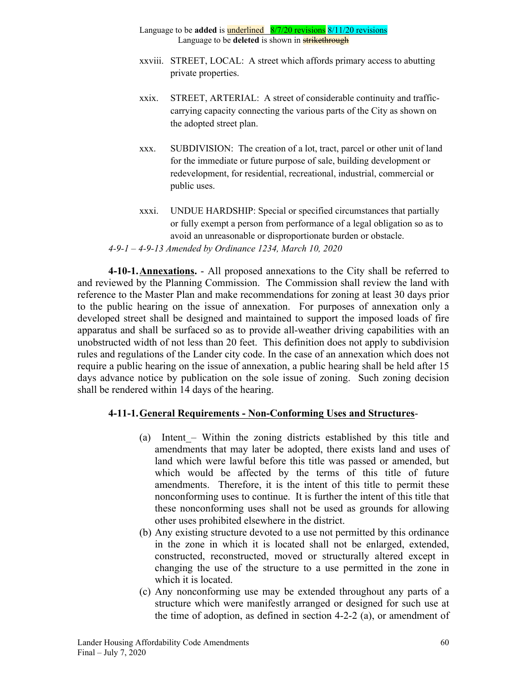- Language to be **added** is underlined 8/7/20 revisions 8/11/20 revisions Language to be **deleted** is shown in **strikethrough**
- xxviii. STREET, LOCAL: A street which affords primary access to abutting private properties.
- xxix. STREET, ARTERIAL: A street of considerable continuity and trafficcarrying capacity connecting the various parts of the City as shown on the adopted street plan.
- xxx. SUBDIVISION: The creation of a lot, tract, parcel or other unit of land for the immediate or future purpose of sale, building development or redevelopment, for residential, recreational, industrial, commercial or public uses.
- xxxi. UNDUE HARDSHIP: Special or specified circumstances that partially or fully exempt a person from performance of a legal obligation so as to avoid an unreasonable or disproportionate burden or obstacle. *4-9-1 – 4-9-13 Amended by Ordinance 1234, March 10, 2020*

**4-10-1.Annexations.** - All proposed annexations to the City shall be referred to and reviewed by the Planning Commission. The Commission shall review the land with reference to the Master Plan and make recommendations for zoning at least 30 days prior to the public hearing on the issue of annexation. For purposes of annexation only a developed street shall be designed and maintained to support the imposed loads of fire apparatus and shall be surfaced so as to provide all-weather driving capabilities with an unobstructed width of not less than 20 feet. This definition does not apply to subdivision rules and regulations of the Lander city code. In the case of an annexation which does not require a public hearing on the issue of annexation, a public hearing shall be held after 15 days advance notice by publication on the sole issue of zoning. Such zoning decision shall be rendered within 14 days of the hearing.

## **4-11-1.General Requirements - Non-Conforming Uses and Structures**-

- (a) Intent Within the zoning districts established by this title and amendments that may later be adopted, there exists land and uses of land which were lawful before this title was passed or amended, but which would be affected by the terms of this title of future amendments. Therefore, it is the intent of this title to permit these nonconforming uses to continue. It is further the intent of this title that these nonconforming uses shall not be used as grounds for allowing other uses prohibited elsewhere in the district.
- (b) Any existing structure devoted to a use not permitted by this ordinance in the zone in which it is located shall not be enlarged, extended, constructed, reconstructed, moved or structurally altered except in changing the use of the structure to a use permitted in the zone in which it is located.
- (c) Any nonconforming use may be extended throughout any parts of a structure which were manifestly arranged or designed for such use at the time of adoption, as defined in section 4-2-2 (a), or amendment of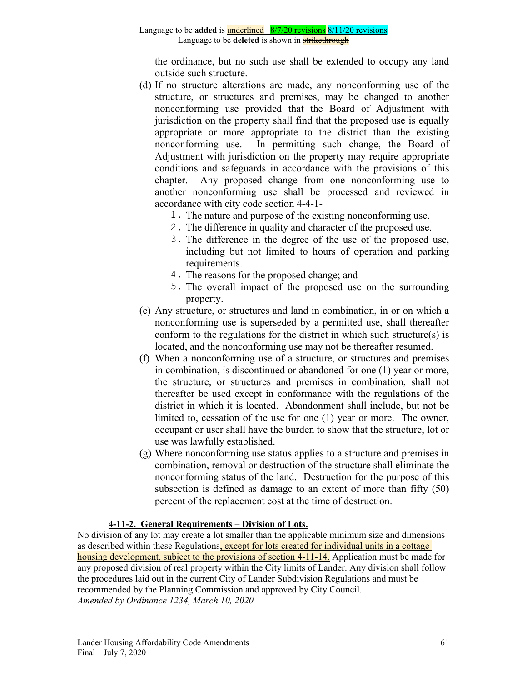the ordinance, but no such use shall be extended to occupy any land outside such structure.

- (d) If no structure alterations are made, any nonconforming use of the structure, or structures and premises, may be changed to another nonconforming use provided that the Board of Adjustment with jurisdiction on the property shall find that the proposed use is equally appropriate or more appropriate to the district than the existing nonconforming use. In permitting such change, the Board of Adjustment with jurisdiction on the property may require appropriate conditions and safeguards in accordance with the provisions of this chapter. Any proposed change from one nonconforming use to another nonconforming use shall be processed and reviewed in accordance with city code section 4-4-1-
	- 1. The nature and purpose of the existing nonconforming use.
	- 2. The difference in quality and character of the proposed use.
	- 3. The difference in the degree of the use of the proposed use, including but not limited to hours of operation and parking requirements.
	- 4. The reasons for the proposed change; and
	- 5. The overall impact of the proposed use on the surrounding property.
- (e) Any structure, or structures and land in combination, in or on which a nonconforming use is superseded by a permitted use, shall thereafter conform to the regulations for the district in which such structure(s) is located, and the nonconforming use may not be thereafter resumed.
- (f) When a nonconforming use of a structure, or structures and premises in combination, is discontinued or abandoned for one (1) year or more, the structure, or structures and premises in combination, shall not thereafter be used except in conformance with the regulations of the district in which it is located. Abandonment shall include, but not be limited to, cessation of the use for one (1) year or more. The owner, occupant or user shall have the burden to show that the structure, lot or use was lawfully established.
- (g) Where nonconforming use status applies to a structure and premises in combination, removal or destruction of the structure shall eliminate the nonconforming status of the land. Destruction for the purpose of this subsection is defined as damage to an extent of more than fifty (50) percent of the replacement cost at the time of destruction.

## **4-11-2. General Requirements – Division of Lots.**

No division of any lot may create a lot smaller than the applicable minimum size and dimensions as described within these Regulations, except for lots created for individual units in a cottage housing development, subject to the provisions of section 4-11-14. Application must be made for any proposed division of real property within the City limits of Lander. Any division shall follow the procedures laid out in the current City of Lander Subdivision Regulations and must be recommended by the Planning Commission and approved by City Council. *Amended by Ordinance 1234, March 10, 2020*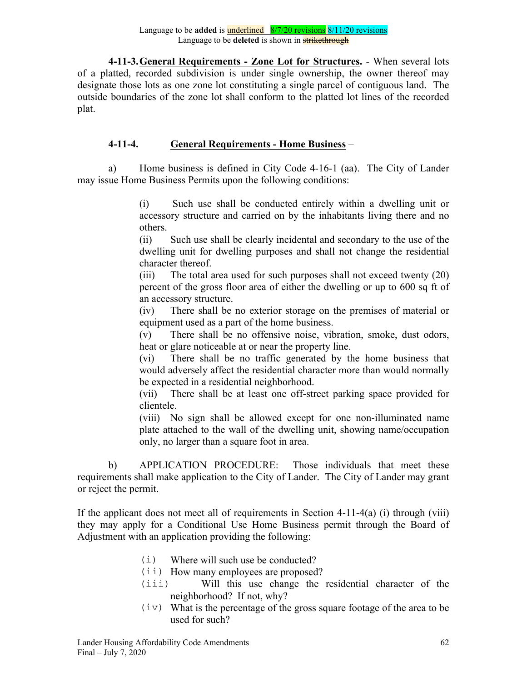**4-11-3.General Requirements - Zone Lot for Structures.** - When several lots of a platted, recorded subdivision is under single ownership, the owner thereof may designate those lots as one zone lot constituting a single parcel of contiguous land. The outside boundaries of the zone lot shall conform to the platted lot lines of the recorded plat.

# **4-11-4. General Requirements - Home Business** –

a) Home business is defined in City Code 4-16-1 (aa). The City of Lander may issue Home Business Permits upon the following conditions:

> (i) Such use shall be conducted entirely within a dwelling unit or accessory structure and carried on by the inhabitants living there and no others.

> (ii) Such use shall be clearly incidental and secondary to the use of the dwelling unit for dwelling purposes and shall not change the residential character thereof.

> (iii) The total area used for such purposes shall not exceed twenty (20) percent of the gross floor area of either the dwelling or up to 600 sq ft of an accessory structure.

> (iv) There shall be no exterior storage on the premises of material or equipment used as a part of the home business.

> (v) There shall be no offensive noise, vibration, smoke, dust odors, heat or glare noticeable at or near the property line.

> (vi) There shall be no traffic generated by the home business that would adversely affect the residential character more than would normally be expected in a residential neighborhood.

> (vii) There shall be at least one off-street parking space provided for clientele.

> (viii) No sign shall be allowed except for one non-illuminated name plate attached to the wall of the dwelling unit, showing name/occupation only, no larger than a square foot in area.

b) APPLICATION PROCEDURE: Those individuals that meet these requirements shall make application to the City of Lander. The City of Lander may grant or reject the permit.

If the applicant does not meet all of requirements in Section  $4-11-4(a)$  (i) through (viii) they may apply for a Conditional Use Home Business permit through the Board of Adjustment with an application providing the following:

- (i) Where will such use be conducted?
- (ii) How many employees are proposed?
- (iii) Will this use change the residential character of the neighborhood? If not, why?
- $(iv)$  What is the percentage of the gross square footage of the area to be used for such?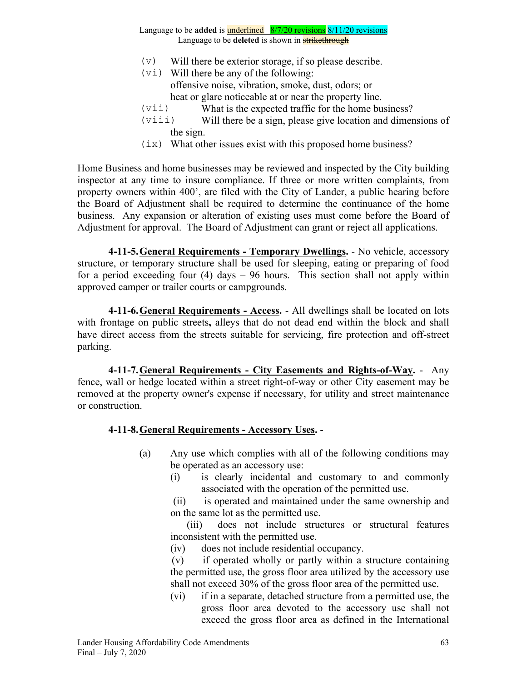- $(v)$  Will there be exterior storage, if so please describe.
- $(v_i)$  Will there be any of the following: offensive noise, vibration, smoke, dust, odors; or heat or glare noticeable at or near the property line.
- (vii) What is the expected traffic for the home business?
- (viii) Will there be a sign, please give location and dimensions of the sign.
- $(ix)$  What other issues exist with this proposed home business?

Home Business and home businesses may be reviewed and inspected by the City building inspector at any time to insure compliance. If three or more written complaints, from property owners within 400', are filed with the City of Lander, a public hearing before the Board of Adjustment shall be required to determine the continuance of the home business. Any expansion or alteration of existing uses must come before the Board of Adjustment for approval. The Board of Adjustment can grant or reject all applications.

**4-11-5.General Requirements - Temporary Dwellings.** - No vehicle, accessory structure, or temporary structure shall be used for sleeping, eating or preparing of food for a period exceeding four (4) days – 96 hours. This section shall not apply within approved camper or trailer courts or campgrounds.

**4-11-6.General Requirements - Access.** - All dwellings shall be located on lots with frontage on public streets**,** alleys that do not dead end within the block and shall have direct access from the streets suitable for servicing, fire protection and off-street parking.

**4-11-7.General Requirements - City Easements and Rights-of-Way.** - Any fence, wall or hedge located within a street right-of-way or other City easement may be removed at the property owner's expense if necessary, for utility and street maintenance or construction.

## **4-11-8.General Requirements - Accessory Uses.** -

- (a) Any use which complies with all of the following conditions may be operated as an accessory use:
	- (i) is clearly incidental and customary to and commonly associated with the operation of the permitted use.

 (ii) is operated and maintained under the same ownership and on the same lot as the permitted use.

 (iii) does not include structures or structural features inconsistent with the permitted use.

(iv) does not include residential occupancy.

 (v) if operated wholly or partly within a structure containing the permitted use, the gross floor area utilized by the accessory use shall not exceed 30% of the gross floor area of the permitted use.

(vi) if in a separate, detached structure from a permitted use, the gross floor area devoted to the accessory use shall not exceed the gross floor area as defined in the International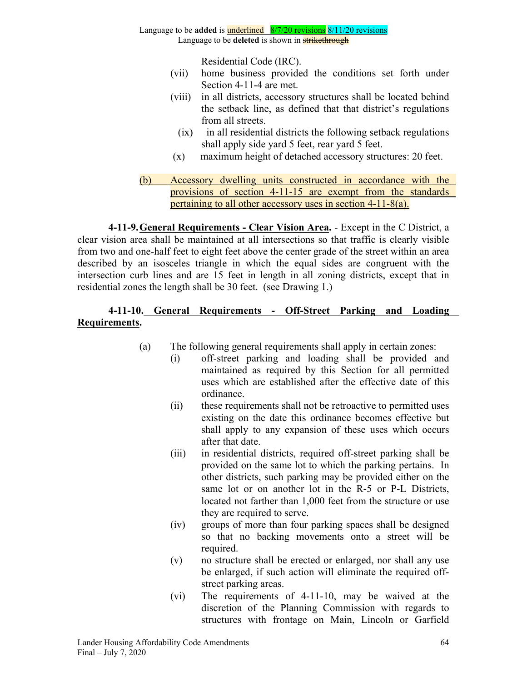Residential Code (IRC).

- (vii) home business provided the conditions set forth under Section 4-11-4 are met.
- (viii) in all districts, accessory structures shall be located behind the setback line, as defined that that district's regulations from all streets.
	- (ix) in all residential districts the following setback regulations shall apply side yard 5 feet, rear yard 5 feet.
- (x) maximum height of detached accessory structures: 20 feet.
- (b) Accessory dwelling units constructed in accordance with the provisions of section 4-11-15 are exempt from the standards pertaining to all other accessory uses in section 4-11-8(a).

**4-11-9.General Requirements - Clear Vision Area.** - Except in the C District, a clear vision area shall be maintained at all intersections so that traffic is clearly visible from two and one-half feet to eight feet above the center grade of the street within an area described by an isosceles triangle in which the equal sides are congruent with the intersection curb lines and are 15 feet in length in all zoning districts, except that in residential zones the length shall be 30 feet. (see Drawing 1.)

## **4-11-10. General Requirements - Off-Street Parking and Loading Requirements.**

- (a) The following general requirements shall apply in certain zones:
	- (i) off-street parking and loading shall be provided and maintained as required by this Section for all permitted uses which are established after the effective date of this ordinance.
	- (ii) these requirements shall not be retroactive to permitted uses existing on the date this ordinance becomes effective but shall apply to any expansion of these uses which occurs after that date.
	- (iii) in residential districts, required off-street parking shall be provided on the same lot to which the parking pertains. In other districts, such parking may be provided either on the same lot or on another lot in the R-5 or P-L Districts, located not farther than 1,000 feet from the structure or use they are required to serve.
	- (iv) groups of more than four parking spaces shall be designed so that no backing movements onto a street will be required.
	- (v) no structure shall be erected or enlarged, nor shall any use be enlarged, if such action will eliminate the required offstreet parking areas.
	- (vi) The requirements of 4-11-10, may be waived at the discretion of the Planning Commission with regards to structures with frontage on Main, Lincoln or Garfield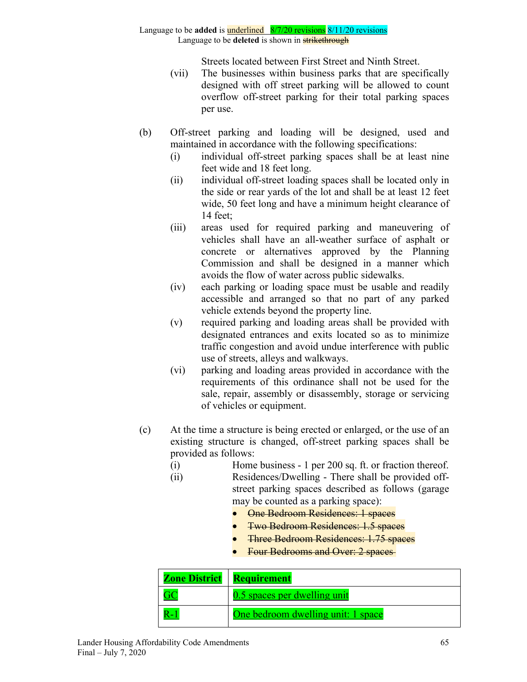Streets located between First Street and Ninth Street.

- (vii) The businesses within business parks that are specifically designed with off street parking will be allowed to count overflow off-street parking for their total parking spaces per use.
- (b) Off-street parking and loading will be designed, used and maintained in accordance with the following specifications:
	- (i) individual off-street parking spaces shall be at least nine feet wide and 18 feet long.
	- (ii) individual off-street loading spaces shall be located only in the side or rear yards of the lot and shall be at least 12 feet wide, 50 feet long and have a minimum height clearance of 14 feet;
	- (iii) areas used for required parking and maneuvering of vehicles shall have an all-weather surface of asphalt or concrete or alternatives approved by the Planning Commission and shall be designed in a manner which avoids the flow of water across public sidewalks.
	- (iv) each parking or loading space must be usable and readily accessible and arranged so that no part of any parked vehicle extends beyond the property line.
	- (v) required parking and loading areas shall be provided with designated entrances and exits located so as to minimize traffic congestion and avoid undue interference with public use of streets, alleys and walkways.
	- (vi) parking and loading areas provided in accordance with the requirements of this ordinance shall not be used for the sale, repair, assembly or disassembly, storage or servicing of vehicles or equipment.
- (c) At the time a structure is being erected or enlarged, or the use of an existing structure is changed, off-street parking spaces shall be provided as follows:
	- (i) Home business 1 per 200 sq. ft. or fraction thereof.
	- (ii) Residences/Dwelling There shall be provided offstreet parking spaces described as follows (garage may be counted as a parking space):
		- **•** One Bedroom Residences: 1 spaces
		- Two Bedroom Residences: 1.5 spaces
		- Three Bedroom Residences: 1.75 spaces
		- Four Bedrooms and Over: 2 spaces-

| <b>Zone District</b> | <b>Requirement</b>                 |
|----------------------|------------------------------------|
|                      | 0.5 spaces per dwelling unit       |
|                      | One bedroom dwelling unit: 1 space |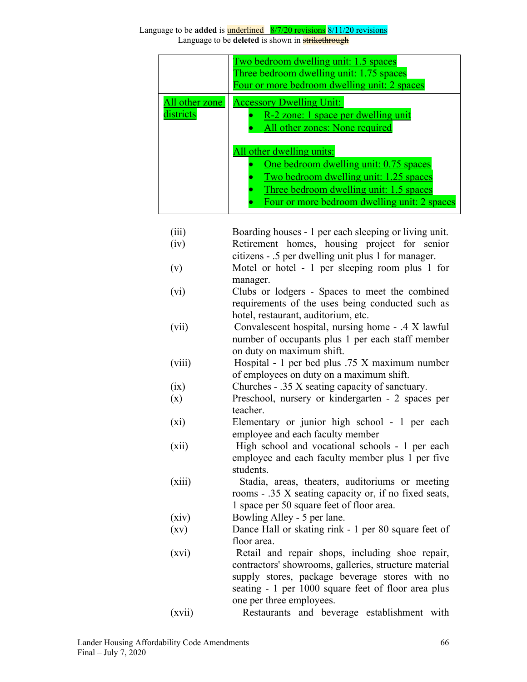|                             | Two bedroom dwelling unit: 1.5 spaces<br>Three bedroom dwelling unit: 1.75 spaces<br>Four or more bedroom dwelling unit: 2 spaces                                                                                                                                                                                    |
|-----------------------------|----------------------------------------------------------------------------------------------------------------------------------------------------------------------------------------------------------------------------------------------------------------------------------------------------------------------|
| All other zone<br>districts | <b>Accessory Dwelling Unit:</b><br>R-2 zone: 1 space per dwelling unit<br>All other zones: None required<br>All other dwelling units:<br>One bedroom dwelling unit: 0.75 spaces<br>Two bedroom dwelling unit: 1.25 spaces<br>Three bedroom dwelling unit: 1.5 spaces<br>Four or more bedroom dwelling unit: 2 spaces |

| (iii)<br>(iv) | Boarding houses - 1 per each sleeping or living unit.<br>Retirement homes, housing project for senior |
|---------------|-------------------------------------------------------------------------------------------------------|
|               | citizens - .5 per dwelling unit plus 1 for manager.                                                   |
| (v)           | Motel or hotel - 1 per sleeping room plus 1 for                                                       |
|               | manager.                                                                                              |
| (vi)          | Clubs or lodgers - Spaces to meet the combined                                                        |
|               | requirements of the uses being conducted such as                                                      |
|               | hotel, restaurant, auditorium, etc.                                                                   |
| (vii)         | Convalescent hospital, nursing home - .4 X lawful                                                     |
|               | number of occupants plus 1 per each staff member                                                      |
|               | on duty on maximum shift.                                                                             |
| (viii)        | Hospital - 1 per bed plus .75 X maximum number                                                        |
|               | of employees on duty on a maximum shift.                                                              |
| (ix)          | Churches - .35 X seating capacity of sanctuary.                                                       |
| (x)           | Preschool, nursery or kindergarten - 2 spaces per                                                     |
|               | teacher.                                                                                              |
| (xi)          | Elementary or junior high school - 1 per each                                                         |
|               | employee and each faculty member                                                                      |
| (xii)         | High school and vocational schools - 1 per each                                                       |
|               | employee and each faculty member plus 1 per five                                                      |
|               | students.                                                                                             |
| (xiii)        | Stadia, areas, theaters, auditoriums or meeting                                                       |
|               | rooms - .35 X seating capacity or, if no fixed seats,                                                 |
|               | 1 space per 50 square feet of floor area.                                                             |
| (xiv)         | Bowling Alley - 5 per lane.                                                                           |
| (xv)          | Dance Hall or skating rink - 1 per 80 square feet of                                                  |
|               | floor area.                                                                                           |
| (xvi)         | Retail and repair shops, including shoe repair,                                                       |
|               | contractors' showrooms, galleries, structure material                                                 |
|               | supply stores, package beverage stores with no                                                        |
|               | seating - 1 per 1000 square feet of floor area plus                                                   |
|               | one per three employees.                                                                              |

(xvii) Restaurants and beverage establishment with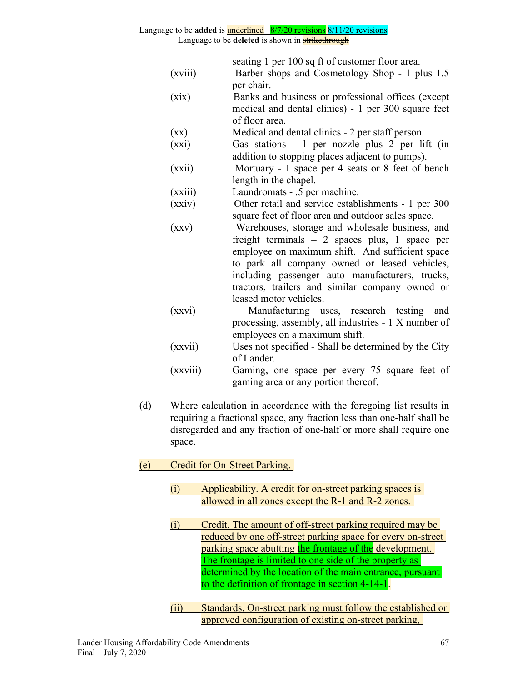# Language to be **added** is underlined 8/7/20 revisions 8/11/20 revisions

Language to be **deleted** is shown in **strikethrough** 

|         | seating 1 per 100 sq ft of customer floor area.     |
|---------|-----------------------------------------------------|
| (xviii) | Barber shops and Cosmetology Shop - 1 plus 1.5      |
|         | per chair.                                          |
| (xix)   | Banks and business or professional offices (except  |
|         | medical and dental clinics) - 1 per 300 square feet |
|         | of floor area.                                      |

- (xx) Medical and dental clinics 2 per staff person.
- (xxi) Gas stations 1 per nozzle plus 2 per lift (in addition to stopping places adjacent to pumps).
- (xxii) Mortuary 1 space per 4 seats or 8 feet of bench length in the chapel.
- (xxiii) Laundromats .5 per machine.
- (xxiv) Other retail and service establishments 1 per 300 square feet of floor area and outdoor sales space.
- (xxv) Warehouses, storage and wholesale business, and freight terminals – 2 spaces plus, 1 space per employee on maximum shift. And sufficient space to park all company owned or leased vehicles, including passenger auto manufacturers, trucks, tractors, trailers and similar company owned or leased motor vehicles.
- (xxvi) Manufacturing uses, research testing and processing, assembly, all industries - 1 X number of employees on a maximum shift.
- (xxvii) Uses not specified Shall be determined by the City of Lander.
- (xxviii) Gaming, one space per every 75 square feet of gaming area or any portion thereof.
- (d) Where calculation in accordance with the foregoing list results in requiring a fractional space, any fraction less than one-half shall be disregarded and any fraction of one-half or more shall require one space.
- (e) Credit for On-Street Parking.
	- (i) Applicability. A credit for on-street parking spaces is allowed in all zones except the R-1 and R-2 zones.
	- (i) Credit. The amount of off-street parking required may be reduced by one off-street parking space for every on-street parking space abutting the frontage of the development. The frontage is limited to one side of the property as determined by the location of the main entrance, pursuant to the definition of frontage in section 4-14-1.
	- (ii) Standards. On-street parking must follow the established or approved configuration of existing on-street parking,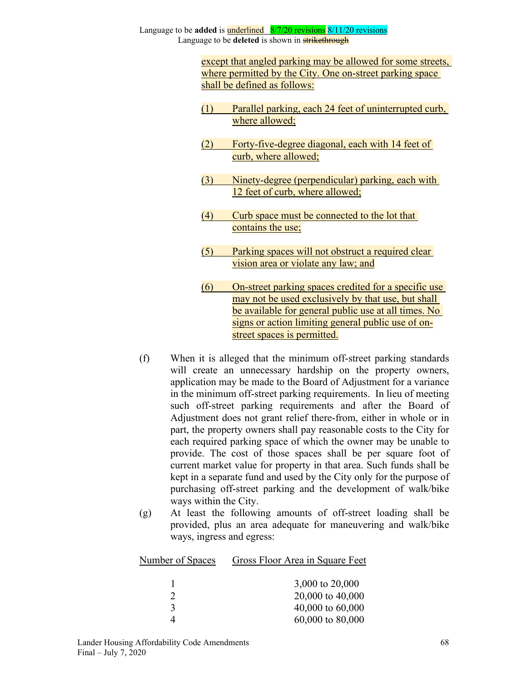> except that angled parking may be allowed for some streets, where permitted by the City. One on-street parking space shall be defined as follows:

- (1) Parallel parking, each 24 feet of uninterrupted curb, where allowed;
- (2) Forty-five-degree diagonal, each with 14 feet of curb, where allowed;
- (3) Ninety-degree (perpendicular) parking, each with 12 feet of curb, where allowed;
- (4) Curb space must be connected to the lot that contains the use;
- (5) Parking spaces will not obstruct a required clear vision area or violate any law; and
- (6) On-street parking spaces credited for a specific use may not be used exclusively by that use, but shall be available for general public use at all times. No signs or action limiting general public use of onstreet spaces is permitted.
- (f) When it is alleged that the minimum off-street parking standards will create an unnecessary hardship on the property owners, application may be made to the Board of Adjustment for a variance in the minimum off-street parking requirements. In lieu of meeting such off-street parking requirements and after the Board of Adjustment does not grant relief there-from, either in whole or in part, the property owners shall pay reasonable costs to the City for each required parking space of which the owner may be unable to provide. The cost of those spaces shall be per square foot of current market value for property in that area. Such funds shall be kept in a separate fund and used by the City only for the purpose of purchasing off-street parking and the development of walk/bike ways within the City.
- (g) At least the following amounts of off-street loading shall be provided, plus an area adequate for maneuvering and walk/bike ways, ingress and egress:

| Number of Spaces | Gross Floor Area in Square Feet |
|------------------|---------------------------------|
|                  | 3,000 to 20,000                 |
|                  | 20,000 to 40,000                |
| 3                | 40,000 to 60,000                |
|                  | 60,000 to 80,000                |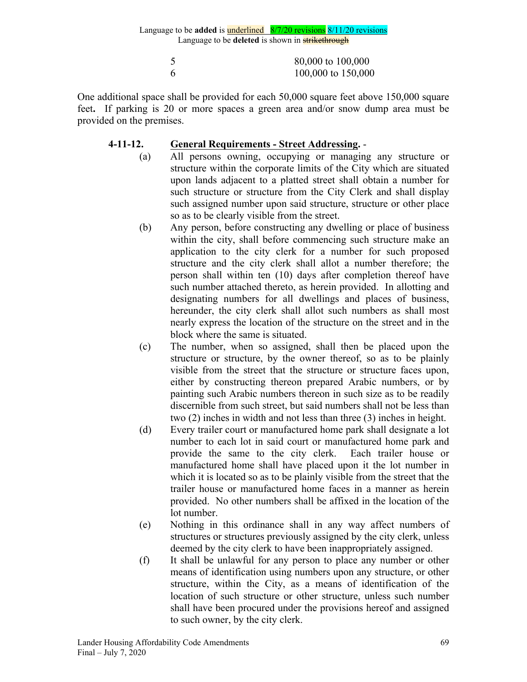| 80,000 to 100,000  |
|--------------------|
| 100,000 to 150,000 |

One additional space shall be provided for each 50,000 square feet above 150,000 square feet**.** If parking is 20 or more spaces a green area and/or snow dump area must be provided on the premises.

## **4-11-12. General Requirements - Street Addressing.** -

- (a) All persons owning, occupying or managing any structure or structure within the corporate limits of the City which are situated upon lands adjacent to a platted street shall obtain a number for such structure or structure from the City Clerk and shall display such assigned number upon said structure, structure or other place so as to be clearly visible from the street.
- (b) Any person, before constructing any dwelling or place of business within the city, shall before commencing such structure make an application to the city clerk for a number for such proposed structure and the city clerk shall allot a number therefore; the person shall within ten (10) days after completion thereof have such number attached thereto, as herein provided. In allotting and designating numbers for all dwellings and places of business, hereunder, the city clerk shall allot such numbers as shall most nearly express the location of the structure on the street and in the block where the same is situated.
- (c) The number, when so assigned, shall then be placed upon the structure or structure, by the owner thereof, so as to be plainly visible from the street that the structure or structure faces upon, either by constructing thereon prepared Arabic numbers, or by painting such Arabic numbers thereon in such size as to be readily discernible from such street, but said numbers shall not be less than two (2) inches in width and not less than three (3) inches in height.
- (d) Every trailer court or manufactured home park shall designate a lot number to each lot in said court or manufactured home park and provide the same to the city clerk. Each trailer house or manufactured home shall have placed upon it the lot number in which it is located so as to be plainly visible from the street that the trailer house or manufactured home faces in a manner as herein provided. No other numbers shall be affixed in the location of the lot number.
- (e) Nothing in this ordinance shall in any way affect numbers of structures or structures previously assigned by the city clerk, unless deemed by the city clerk to have been inappropriately assigned.
- (f) It shall be unlawful for any person to place any number or other means of identification using numbers upon any structure, or other structure, within the City, as a means of identification of the location of such structure or other structure, unless such number shall have been procured under the provisions hereof and assigned to such owner, by the city clerk.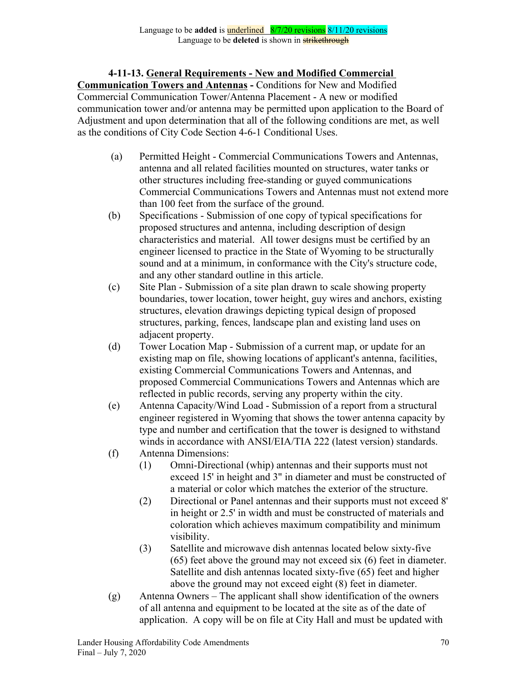# **4-11-13. General Requirements - New and Modified Commercial**

**Communication Towers and Antennas -** Conditions for New and Modified Commercial Communication Tower/Antenna Placement - A new or modified communication tower and/or antenna may be permitted upon application to the Board of Adjustment and upon determination that all of the following conditions are met, as well as the conditions of City Code Section 4-6-1 Conditional Uses.

- (a) Permitted Height Commercial Communications Towers and Antennas, antenna and all related facilities mounted on structures, water tanks or other structures including free-standing or guyed communications Commercial Communications Towers and Antennas must not extend more than 100 feet from the surface of the ground.
- (b) Specifications Submission of one copy of typical specifications for proposed structures and antenna, including description of design characteristics and material. All tower designs must be certified by an engineer licensed to practice in the State of Wyoming to be structurally sound and at a minimum, in conformance with the City's structure code, and any other standard outline in this article.
- (c) Site Plan Submission of a site plan drawn to scale showing property boundaries, tower location, tower height, guy wires and anchors, existing structures, elevation drawings depicting typical design of proposed structures, parking, fences, landscape plan and existing land uses on adjacent property.
- (d) Tower Location Map Submission of a current map, or update for an existing map on file, showing locations of applicant's antenna, facilities, existing Commercial Communications Towers and Antennas, and proposed Commercial Communications Towers and Antennas which are reflected in public records, serving any property within the city.
- (e) Antenna Capacity/Wind Load Submission of a report from a structural engineer registered in Wyoming that shows the tower antenna capacity by type and number and certification that the tower is designed to withstand winds in accordance with ANSI/EIA/TIA 222 (latest version) standards.
- (f) Antenna Dimensions:
	- (1) Omni-Directional (whip) antennas and their supports must not exceed 15' in height and 3" in diameter and must be constructed of a material or color which matches the exterior of the structure.
	- (2) Directional or Panel antennas and their supports must not exceed 8' in height or 2.5' in width and must be constructed of materials and coloration which achieves maximum compatibility and minimum visibility.
	- (3) Satellite and microwave dish antennas located below sixty-five (65) feet above the ground may not exceed six (6) feet in diameter. Satellite and dish antennas located sixty-five (65) feet and higher above the ground may not exceed eight (8) feet in diameter.
- (g) Antenna Owners The applicant shall show identification of the owners of all antenna and equipment to be located at the site as of the date of application. A copy will be on file at City Hall and must be updated with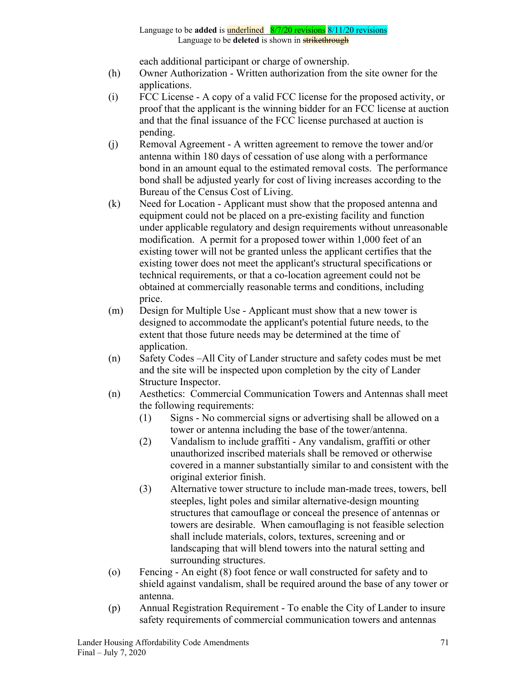each additional participant or charge of ownership.

- (h) Owner Authorization Written authorization from the site owner for the applications.
- (i) FCC License A copy of a valid FCC license for the proposed activity, or proof that the applicant is the winning bidder for an FCC license at auction and that the final issuance of the FCC license purchased at auction is pending.
- (j) Removal Agreement A written agreement to remove the tower and/or antenna within 180 days of cessation of use along with a performance bond in an amount equal to the estimated removal costs. The performance bond shall be adjusted yearly for cost of living increases according to the Bureau of the Census Cost of Living.
- (k) Need for Location Applicant must show that the proposed antenna and equipment could not be placed on a pre-existing facility and function under applicable regulatory and design requirements without unreasonable modification. A permit for a proposed tower within 1,000 feet of an existing tower will not be granted unless the applicant certifies that the existing tower does not meet the applicant's structural specifications or technical requirements, or that a co-location agreement could not be obtained at commercially reasonable terms and conditions, including price.
- (m) Design for Multiple Use Applicant must show that a new tower is designed to accommodate the applicant's potential future needs, to the extent that those future needs may be determined at the time of application.
- (n) Safety Codes –All City of Lander structure and safety codes must be met and the site will be inspected upon completion by the city of Lander Structure Inspector.
- (n) Aesthetics: Commercial Communication Towers and Antennas shall meet the following requirements:
	- (1) Signs No commercial signs or advertising shall be allowed on a tower or antenna including the base of the tower/antenna.
	- (2) Vandalism to include graffiti Any vandalism, graffiti or other unauthorized inscribed materials shall be removed or otherwise covered in a manner substantially similar to and consistent with the original exterior finish.
	- (3) Alternative tower structure to include man-made trees, towers, bell steeples, light poles and similar alternative-design mounting structures that camouflage or conceal the presence of antennas or towers are desirable. When camouflaging is not feasible selection shall include materials, colors, textures, screening and or landscaping that will blend towers into the natural setting and surrounding structures.
- (o) Fencing An eight (8) foot fence or wall constructed for safety and to shield against vandalism, shall be required around the base of any tower or antenna.
- (p) Annual Registration Requirement To enable the City of Lander to insure safety requirements of commercial communication towers and antennas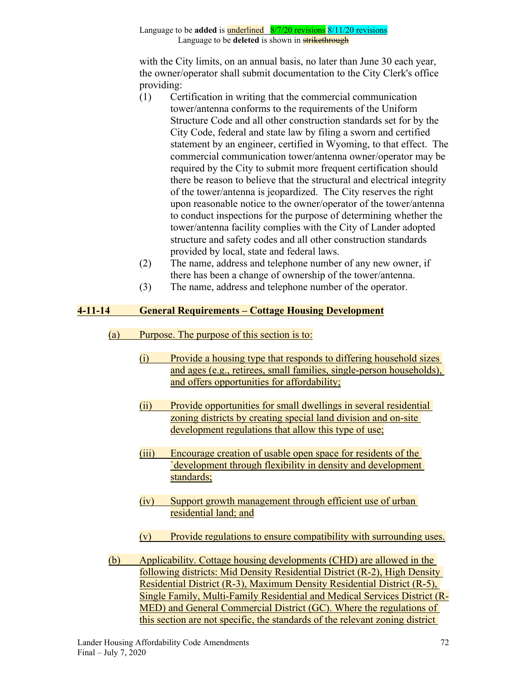with the City limits, on an annual basis, no later than June 30 each year, the owner/operator shall submit documentation to the City Clerk's office providing:

- (1) Certification in writing that the commercial communication tower/antenna conforms to the requirements of the Uniform Structure Code and all other construction standards set for by the City Code, federal and state law by filing a sworn and certified statement by an engineer, certified in Wyoming, to that effect. The commercial communication tower/antenna owner/operator may be required by the City to submit more frequent certification should there be reason to believe that the structural and electrical integrity of the tower/antenna is jeopardized. The City reserves the right upon reasonable notice to the owner/operator of the tower/antenna to conduct inspections for the purpose of determining whether the tower/antenna facility complies with the City of Lander adopted structure and safety codes and all other construction standards provided by local, state and federal laws.
- (2) The name, address and telephone number of any new owner, if there has been a change of ownership of the tower/antenna.
- (3) The name, address and telephone number of the operator.

# **4-11-14 General Requirements – Cottage Housing Development**

- (a) Purpose. The purpose of this section is to:
	- (i) Provide a housing type that responds to differing household sizes and ages (e.g., retirees, small families, single-person households), and offers opportunities for affordability;
	- (ii) Provide opportunities for small dwellings in several residential zoning districts by creating special land division and on-site development regulations that allow this type of use;
	- (iii) Encourage creation of usable open space for residents of the `development through flexibility in density and development standards;
	- (iv) Support growth management through efficient use of urban residential land; and
	- (v) Provide regulations to ensure compatibility with surrounding uses.
- (b) Applicability. Cottage housing developments (CHD) are allowed in the following districts: Mid Density Residential District (R-2), High Density Residential District (R-3), Maximum Density Residential District (R-5), Single Family, Multi-Family Residential and Medical Services District (R-MED) and General Commercial District (GC). Where the regulations of this section are not specific, the standards of the relevant zoning district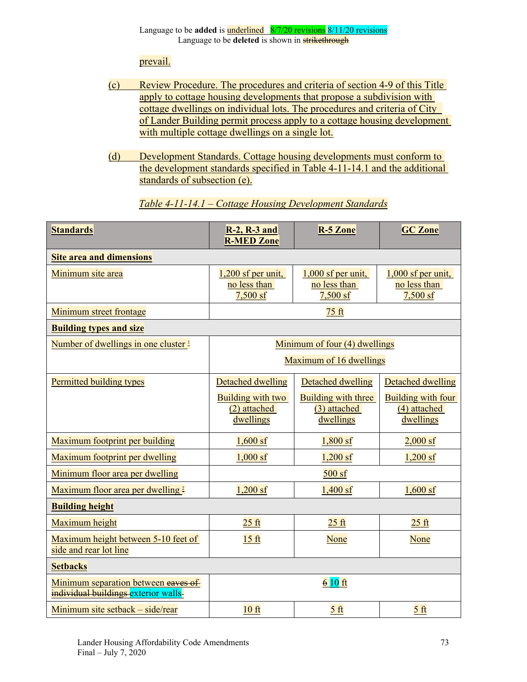prevail.

- (c) Review Procedure. The procedures and criteria of section 4-9 of this Title apply to cottage housing developments that propose a subdivision with cottage dwellings on individual lots. The procedures and criteria of City of Lander Building permit process apply to a cottage housing development with multiple cottage dwellings on a single lot.
- (d) Development Standards. Cottage housing developments must conform to the development standards specified in Table 4-11-14.1 and the additional standards of subsection (e).

| <b>Standards</b>                                                            | <b>R-2, R-3 and</b><br><b>R-MED Zone</b>                 | <b>R-5 Zone</b>                                         | <b>GC Zone</b>                                         |  |
|-----------------------------------------------------------------------------|----------------------------------------------------------|---------------------------------------------------------|--------------------------------------------------------|--|
| <b>Site area and dimensions</b>                                             |                                                          |                                                         |                                                        |  |
| Minimum site area                                                           | $1,200$ sf per unit,<br>no less than<br>$7,500$ sf       | $1,000$ sf per unit,<br>no less than<br>$7,500$ sf      | $1,000$ sf per unit,<br>no less than<br>$7,500$ sf     |  |
| Minimum street frontage                                                     | 75 ft                                                    |                                                         |                                                        |  |
| <b>Building types and size</b>                                              |                                                          |                                                         |                                                        |  |
| Number of dwellings in one cluster 1                                        | Minimum of four (4) dwellings<br>Maximum of 16 dwellings |                                                         |                                                        |  |
|                                                                             |                                                          |                                                         |                                                        |  |
| Permitted building types                                                    | Detached dwelling                                        | <b>Detached dwelling</b>                                | <b>Detached dwelling</b>                               |  |
|                                                                             | <b>Building with two</b><br>(2) attached<br>dwellings    | <b>Building with three</b><br>(3) attached<br>dwellings | <b>Building with four</b><br>(4) attached<br>dwellings |  |
| Maximum footprint per building                                              | $1,600$ sf                                               | $1,800$ sf                                              | $2,000$ sf                                             |  |
| Maximum footprint per dwelling                                              | $1,000$ sf                                               | $1,200$ sf                                              | $1,200$ sf                                             |  |
| Minimum floor area per dwelling                                             | $500$ sf                                                 |                                                         |                                                        |  |
| Maximum floor area per dwelling 2                                           | $1,200$ sf                                               | $1,400$ sf                                              | $1,600$ sf                                             |  |
| <b>Building height</b>                                                      |                                                          |                                                         |                                                        |  |
| Maximum height                                                              | $25$ ft                                                  | $25$ ft                                                 | $25$ ft                                                |  |
| Maximum height between 5-10 feet of<br>side and rear lot line               | 15 <sub>ft</sub>                                         | None                                                    | None                                                   |  |
| <b>Setbacks</b>                                                             |                                                          |                                                         |                                                        |  |
| Minimum separation between eaves of<br>individual buildings-exterior walls- | $610$ ft                                                 |                                                         |                                                        |  |
| Minimum site setback – side/rear                                            | $10$ ft                                                  | 5 <sub>ft</sub>                                         | 5 <sub>ft</sub>                                        |  |

*Table 4-11-14.1 – Cottage Housing Development Standards*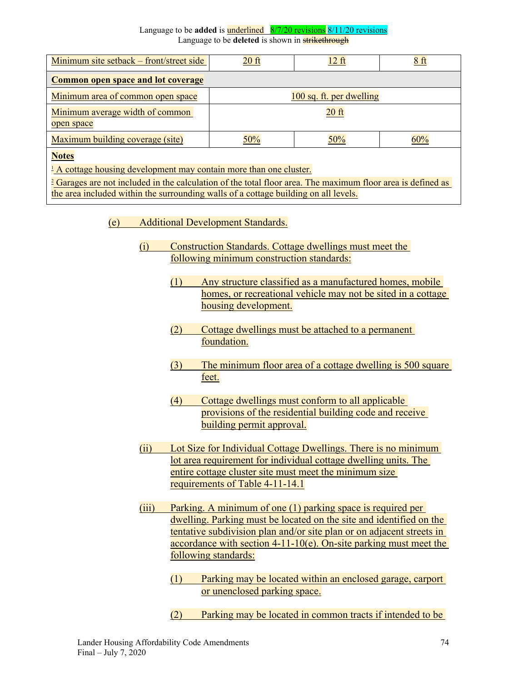| Minimum site setback – front/street side                                                                        | $20$ ft                  | $12 \text{ ft}$ | 8 <sub>ft</sub> |  |
|-----------------------------------------------------------------------------------------------------------------|--------------------------|-----------------|-----------------|--|
| <b>Common open space and lot coverage</b>                                                                       |                          |                 |                 |  |
| Minimum area of common open space                                                                               | 100 sq. ft. per dwelling |                 |                 |  |
| Minimum average width of common<br>open space                                                                   |                          | $20$ ft         |                 |  |
| Maximum building coverage (site)                                                                                | 50%                      | 50%             | 60%             |  |
| <b>Notes</b>                                                                                                    |                          |                 |                 |  |
| <sup>1</sup> A cottage housing development may contain more than one cluster.                                   |                          |                 |                 |  |
| the contract of the contract of the contract of the contract of the contract of the contract of the contract of |                          |                 |                 |  |

<sup>2</sup> Garages are not included in the calculation of the total floor area. The maximum floor area is defined as the area included within the surrounding walls of a cottage building on all levels.

- (e) Additional Development Standards.
	- (i) Construction Standards. Cottage dwellings must meet the following minimum construction standards:
		- (1) Any structure classified as a manufactured homes, mobile homes, or recreational vehicle may not be sited in a cottage housing development.
		- (2) Cottage dwellings must be attached to a permanent foundation.
		- (3) The minimum floor area of a cottage dwelling is 500 square feet.
		- (4) Cottage dwellings must conform to all applicable provisions of the residential building code and receive building permit approval.
	- (ii) Lot Size for Individual Cottage Dwellings. There is no minimum lot area requirement for individual cottage dwelling units. The entire cottage cluster site must meet the minimum size requirements of Table 4-11-14.1
	- (iii) Parking. A minimum of one (1) parking space is required per dwelling. Parking must be located on the site and identified on the tentative subdivision plan and/or site plan or on adjacent streets in accordance with section  $4-11-10(e)$ . On-site parking must meet the following standards:
		- (1) Parking may be located within an enclosed garage, carport or unenclosed parking space.
		- (2) Parking may be located in common tracts if intended to be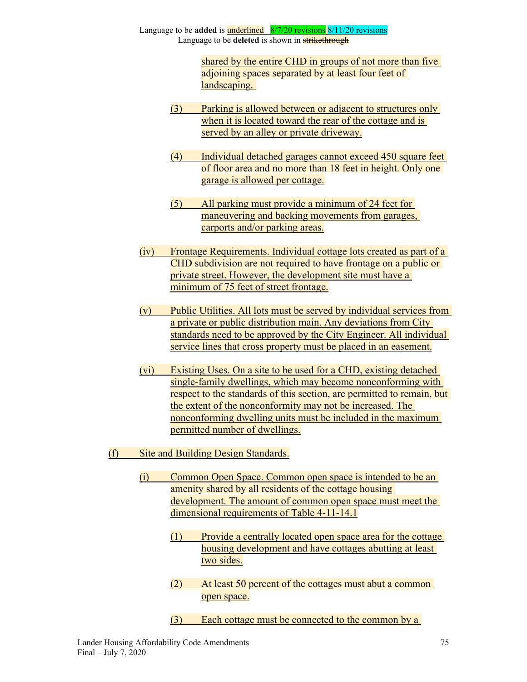> shared by the entire CHD in groups of not more than five adjoining spaces separated by at least four feet of landscaping.

- (3) Parking is allowed between or adjacent to structures only when it is located toward the rear of the cottage and is served by an alley or private driveway.
- (4) Individual detached garages cannot exceed 450 square feet of floor area and no more than 18 feet in height. Only one garage is allowed per cottage.
- (5) All parking must provide a minimum of 24 feet for maneuvering and backing movements from garages, carports and/or parking areas.
- (iv) Frontage Requirements. Individual cottage lots created as part of a CHD subdivision are not required to have frontage on a public or private street. However, the development site must have a minimum of 75 feet of street frontage.
- $(v)$  Public Utilities. All lots must be served by individual services from a private or public distribution main. Any deviations from City standards need to be approved by the City Engineer. All individual service lines that cross property must be placed in an easement.
- (vi) Existing Uses. On a site to be used for a CHD, existing detached single-family dwellings, which may become nonconforming with respect to the standards of this section, are permitted to remain, but the extent of the nonconformity may not be increased. The nonconforming dwelling units must be included in the maximum permitted number of dwellings.
- (f) Site and Building Design Standards.
	- (i) Common Open Space. Common open space is intended to be an amenity shared by all residents of the cottage housing development. The amount of common open space must meet the dimensional requirements of Table 4-11-14.1
		- (1) Provide a centrally located open space area for the cottage housing development and have cottages abutting at least two sides.
		- (2) At least 50 percent of the cottages must abut a common open space.
		- (3) Each cottage must be connected to the common by a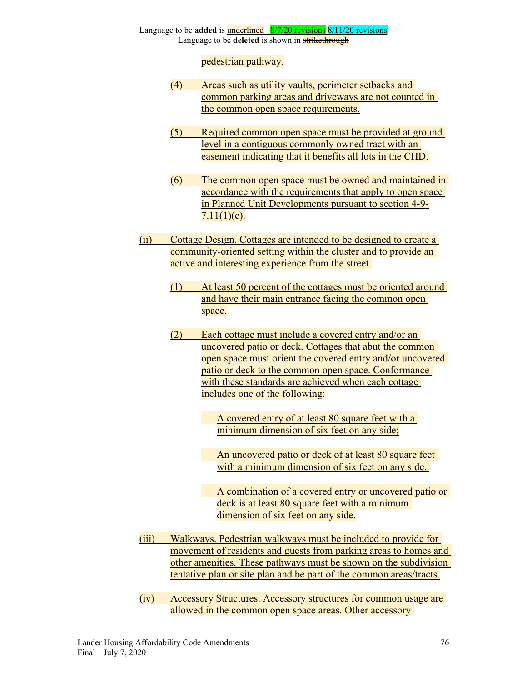pedestrian pathway.

- (4) Areas such as utility vaults, perimeter setbacks and common parking areas and driveways are not counted in the common open space requirements.
- (5) Required common open space must be provided at ground level in a contiguous commonly owned tract with an easement indicating that it benefits all lots in the CHD.
- (6) The common open space must be owned and maintained in accordance with the requirements that apply to open space in Planned Unit Developments pursuant to section 4-9-  $7.11(1)(c)$ .
- (ii) Cottage Design. Cottages are intended to be designed to create a community-oriented setting within the cluster and to provide an active and interesting experience from the street.
	- (1) At least 50 percent of the cottages must be oriented around and have their main entrance facing the common open space.
	- (2) Each cottage must include a covered entry and/or an uncovered patio or deck. Cottages that abut the common open space must orient the covered entry and/or uncovered patio or deck to the common open space. Conformance with these standards are achieved when each cottage includes one of the following:

A covered entry of at least 80 square feet with a minimum dimension of six feet on any side;

An uncovered patio or deck of at least 80 square feet with a minimum dimension of six feet on any side.

A combination of a covered entry or uncovered patio or deck is at least 80 square feet with a minimum dimension of six feet on any side.

- (iii) Walkways. Pedestrian walkways must be included to provide for movement of residents and guests from parking areas to homes and other amenities. These pathways must be shown on the subdivision tentative plan or site plan and be part of the common areas/tracts.
- (iv) Accessory Structures. Accessory structures for common usage are allowed in the common open space areas. Other accessory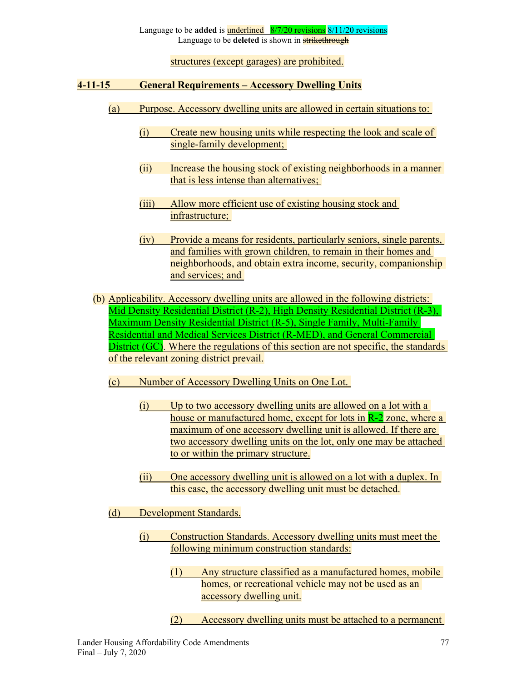structures (except garages) are prohibited.

#### **4-11-15 General Requirements – Accessory Dwelling Units**

- (a) Purpose. Accessory dwelling units are allowed in certain situations to:
	- (i) Create new housing units while respecting the look and scale of single-family development;
	- (ii) Increase the housing stock of existing neighborhoods in a manner that is less intense than alternatives;
	- (iii) Allow more efficient use of existing housing stock and infrastructure;
	- (iv) Provide a means for residents, particularly seniors, single parents, and families with grown children, to remain in their homes and neighborhoods, and obtain extra income, security, companionship and services; and
- (b) Applicability. Accessory dwelling units are allowed in the following districts: Mid Density Residential District (R-2), High Density Residential District (R-3), Maximum Density Residential District (R-5), Single Family, Multi-Family Residential and Medical Services District (R-MED), and General Commercial District (GC). Where the regulations of this section are not specific, the standards of the relevant zoning district prevail.
	- (c) Number of Accessory Dwelling Units on One Lot.
		- (i) Up to two accessory dwelling units are allowed on a lot with a house or manufactured home, except for lots in R-2 zone, where a maximum of one accessory dwelling unit is allowed. If there are two accessory dwelling units on the lot, only one may be attached to or within the primary structure.
		- (ii) One accessory dwelling unit is allowed on a lot with a duplex. In this case, the accessory dwelling unit must be detached.
	- (d) Development Standards.
		- (i) Construction Standards. Accessory dwelling units must meet the following minimum construction standards:
			- (1) Any structure classified as a manufactured homes, mobile homes, or recreational vehicle may not be used as an accessory dwelling unit.
			- (2) Accessory dwelling units must be attached to a permanent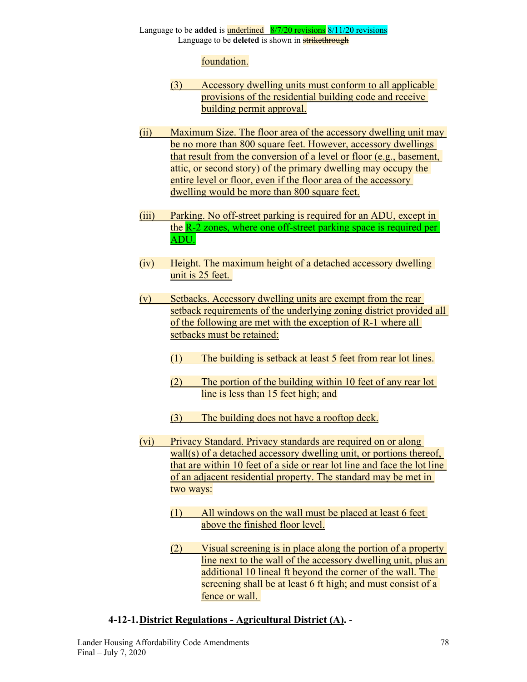# foundation.

- (3) Accessory dwelling units must conform to all applicable provisions of the residential building code and receive building permit approval.
- (ii) Maximum Size. The floor area of the accessory dwelling unit may be no more than 800 square feet. However, accessory dwellings that result from the conversion of a level or floor (e.g., basement, attic, or second story) of the primary dwelling may occupy the entire level or floor, even if the floor area of the accessory dwelling would be more than 800 square feet.
- (iii) Parking. No off-street parking is required for an ADU, except in the R-2 zones, where one off-street parking space is required per ADU.
- (iv) Height. The maximum height of a detached accessory dwelling unit is 25 feet.
- (v) Setbacks. Accessory dwelling units are exempt from the rear setback requirements of the underlying zoning district provided all of the following are met with the exception of R-1 where all setbacks must be retained:
	- (1) The building is setback at least 5 feet from rear lot lines.
	- (2) The portion of the building within 10 feet of any rear lot line is less than 15 feet high; and
	- (3) The building does not have a rooftop deck.
- (vi) Privacy Standard. Privacy standards are required on or along wall(s) of a detached accessory dwelling unit, or portions thereof, that are within 10 feet of a side or rear lot line and face the lot line of an adjacent residential property. The standard may be met in two ways:
	- (1) All windows on the wall must be placed at least 6 feet above the finished floor level.
	- (2) Visual screening is in place along the portion of a property line next to the wall of the accessory dwelling unit, plus an additional 10 lineal ft beyond the corner of the wall. The screening shall be at least 6 ft high; and must consist of a fence or wall.

### **4-12-1.District Regulations - Agricultural District (A).** -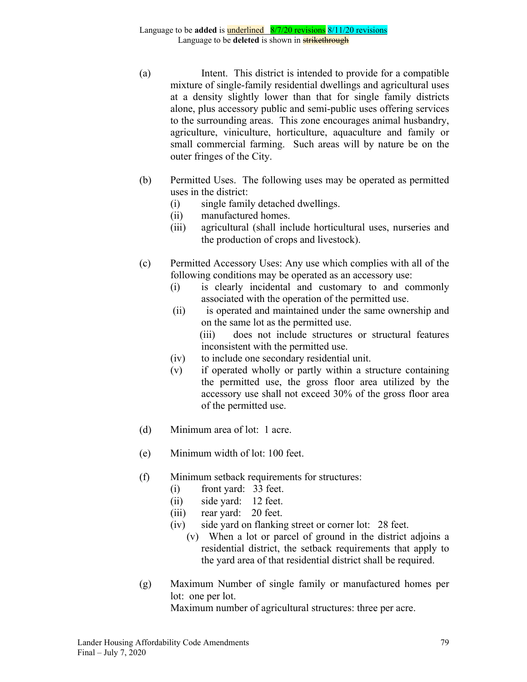- (a) Intent. This district is intended to provide for a compatible mixture of single-family residential dwellings and agricultural uses at a density slightly lower than that for single family districts alone, plus accessory public and semi-public uses offering services to the surrounding areas. This zone encourages animal husbandry, agriculture, viniculture, horticulture, aquaculture and family or small commercial farming. Such areas will by nature be on the outer fringes of the City.
- (b) Permitted Uses. The following uses may be operated as permitted uses in the district:
	- (i) single family detached dwellings.
	- (ii) manufactured homes.
	- (iii) agricultural (shall include horticultural uses, nurseries and the production of crops and livestock).
- (c) Permitted Accessory Uses: Any use which complies with all of the following conditions may be operated as an accessory use:
	- (i) is clearly incidental and customary to and commonly associated with the operation of the permitted use.
	- (ii) is operated and maintained under the same ownership and on the same lot as the permitted use.

 (iii) does not include structures or structural features inconsistent with the permitted use.

- (iv) to include one secondary residential unit.
- (v) if operated wholly or partly within a structure containing the permitted use, the gross floor area utilized by the accessory use shall not exceed 30% of the gross floor area of the permitted use.
- (d) Minimum area of lot: 1 acre.
- (e) Minimum width of lot: 100 feet.
- (f) Minimum setback requirements for structures:
	- (i) front yard: 33 feet.
	- (ii) side yard: 12 feet.
	- (iii) rear yard: 20 feet.
	- (iv) side yard on flanking street or corner lot: 28 feet.
		- (v) When a lot or parcel of ground in the district adjoins a residential district, the setback requirements that apply to the yard area of that residential district shall be required.
- (g) Maximum Number of single family or manufactured homes per lot: one per lot.

Maximum number of agricultural structures: three per acre.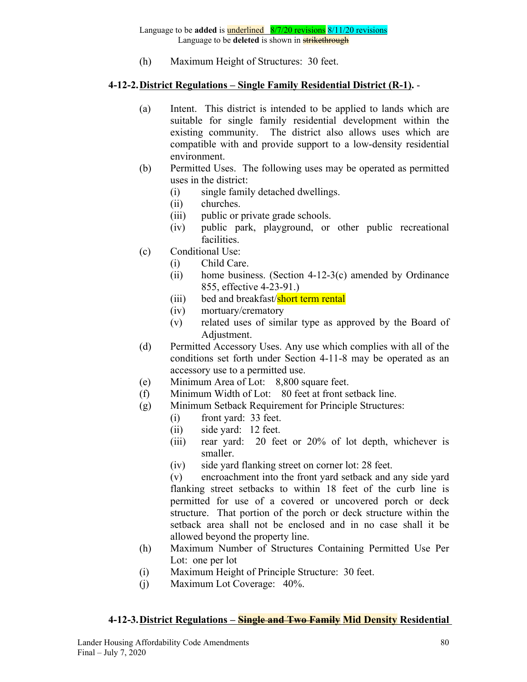(h) Maximum Height of Structures: 30 feet.

#### **4-12-2.District Regulations – Single Family Residential District (R-1).** -

- (a) Intent. This district is intended to be applied to lands which are suitable for single family residential development within the existing community. The district also allows uses which are compatible with and provide support to a low-density residential environment.
- (b) Permitted Uses. The following uses may be operated as permitted uses in the district:
	- (i) single family detached dwellings.
	- (ii) churches.
	- (iii) public or private grade schools.
	- (iv) public park, playground, or other public recreational facilities.
- (c) Conditional Use:
	- (i) Child Care.
	- (ii) home business. (Section 4-12-3(c) amended by Ordinance 855, effective 4-23-91.)
	- (iii) bed and breakfast/short term rental
	- (iv) mortuary/crematory
	- (v) related uses of similar type as approved by the Board of Adjustment.
- (d) Permitted Accessory Uses. Any use which complies with all of the conditions set forth under Section 4-11-8 may be operated as an accessory use to a permitted use.
- (e) Minimum Area of Lot: 8,800 square feet.
- (f) Minimum Width of Lot: 80 feet at front setback line.
- (g) Minimum Setback Requirement for Principle Structures:
	- (i) front yard: 33 feet.
	- (ii) side yard: 12 feet.
	- (iii) rear yard: 20 feet or 20% of lot depth, whichever is smaller.
	- (iv) side yard flanking street on corner lot: 28 feet.

(v) encroachment into the front yard setback and any side yard flanking street setbacks to within 18 feet of the curb line is permitted for use of a covered or uncovered porch or deck structure. That portion of the porch or deck structure within the setback area shall not be enclosed and in no case shall it be allowed beyond the property line.

- (h) Maximum Number of Structures Containing Permitted Use Per Lot: one per lot
- (i) Maximum Height of Principle Structure: 30 feet.
- (j) Maximum Lot Coverage: 40%.

### **4-12-3.District Regulations – Single and Two Family Mid Density Residential**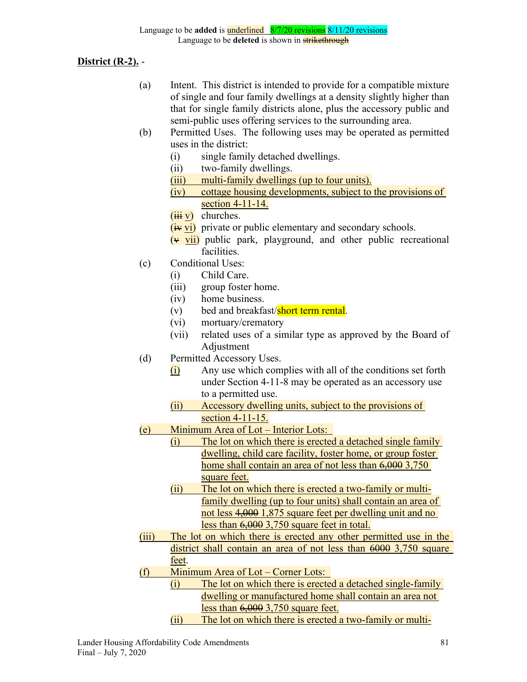**District (R-2).** -

- (a) Intent. This district is intended to provide for a compatible mixture of single and four family dwellings at a density slightly higher than that for single family districts alone, plus the accessory public and semi-public uses offering services to the surrounding area.
- (b) Permitted Uses. The following uses may be operated as permitted uses in the district:
	- (i) single family detached dwellings.
	- (ii) two-family dwellings.
	- (iii) multi-family dwellings (up to four units).
	- (iv) cottage housing developments, subject to the provisions of section 4-11-14.
	- $(iii \text{ } v)$  churches.
	- $(i\mathbf{\hat{y}}\mathbf{v})$  private or public elementary and secondary schools.
	- $(v$  vii) public park, playground, and other public recreational facilities.
- (c) Conditional Uses:
	- (i) Child Care.
	- (iii) group foster home.
	- (iv) home business.
	- (v) bed and breakfast/**short term rental**.
	- (vi) mortuary/crematory
	- (vii) related uses of a similar type as approved by the Board of Adjustment
- (d) Permitted Accessory Uses.
	- $(i)$  Any use which complies with all of the conditions set forth under Section 4-11-8 may be operated as an accessory use to a permitted use.
	- (ii) Accessory dwelling units, subject to the provisions of section 4-11-15.
- (e) Minimum Area of Lot Interior Lots:
	- (i) The lot on which there is erected a detached single family dwelling, child care facility, foster home, or group foster home shall contain an area of not less than  $6,0003,750$ square feet.
	- (ii) The lot on which there is erected a two-family or multifamily dwelling (up to four units) shall contain an area of not less 4,000 1,875 square feet per dwelling unit and no less than 6,000 3,750 square feet in total.
- (iii) The lot on which there is erected any other permitted use in the district shall contain an area of not less than 6000 3,750 square feet.
- (f) Minimum Area of Lot Corner Lots:
	- (i) The lot on which there is erected a detached single-family dwelling or manufactured home shall contain an area not less than 6,000 3,750 square feet.
	- (ii) The lot on which there is erected a two-family or multi-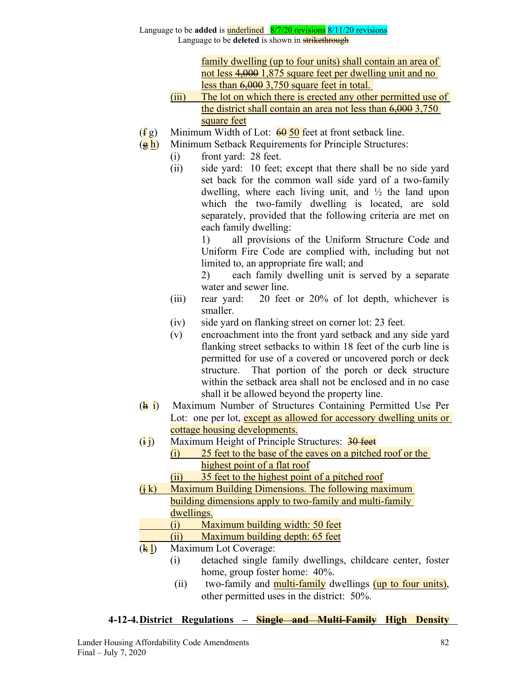# Language to be **added** is underlined 8/7/20 revisions 8/11/20 revisions

Language to be **deleted** is shown in **strikethrough** 

family dwelling (up to four units) shall contain an area of not less 4,000 1,875 square feet per dwelling unit and no less than 6,000 3,750 square feet in total.

- (iii) The lot on which there is erected any other permitted use of the district shall contain an area not less than 6,000 3,750 square feet
- $(\frac{f}{f}g)$  Minimum Width of Lot:  $\frac{60}{90}$  feet at front setback line.
- $(g h)$  Minimum Setback Requirements for Principle Structures:
	- (i) front yard: 28 feet.
	- (ii) side yard: 10 feet; except that there shall be no side yard set back for the common wall side yard of a two-family dwelling, where each living unit, and  $\frac{1}{2}$  the land upon which the two-family dwelling is located, are sold separately, provided that the following criteria are met on each family dwelling:

1) all provisions of the Uniform Structure Code and Uniform Fire Code are complied with, including but not limited to, an appropriate fire wall; and

2) each family dwelling unit is served by a separate water and sewer line.

- (iii) rear yard: 20 feet or 20% of lot depth, whichever is smaller.
- (iv) side yard on flanking street on corner lot: 23 feet.
- (v) encroachment into the front yard setback and any side yard flanking street setbacks to within 18 feet of the curb line is permitted for use of a covered or uncovered porch or deck structure. That portion of the porch or deck structure within the setback area shall not be enclosed and in no case shall it be allowed beyond the property line.
- $(\frac{h}{h})$  Maximum Number of Structures Containing Permitted Use Per Lot: one per lot, except as allowed for accessory dwelling units or cottage housing developments.
- $(i \, i)$  Maximum Height of Principle Structures:  $\frac{30 \text{ feet}}{20 \text{ feet}}$ 
	- (i) 25 feet to the base of the eaves on a pitched roof or the highest point of a flat roof
	- (ii) 35 feet to the highest point of a pitched roof
- $(i, k)$  Maximum Building Dimensions. The following maximum building dimensions apply to two-family and multi-family dwellings.
	- (i) Maximum building width: 50 feet
		- (ii) Maximum building depth: 65 feet
- $(k l)$  Maximum Lot Coverage:
	- (i) detached single family dwellings, childcare center, foster home, group foster home: 40%.
	- (ii) two-family and **multi-family** dwellings (up to four units), other permitted uses in the district: 50%.

### **4-12-4.District Regulations – Single and Multi-Family High Density**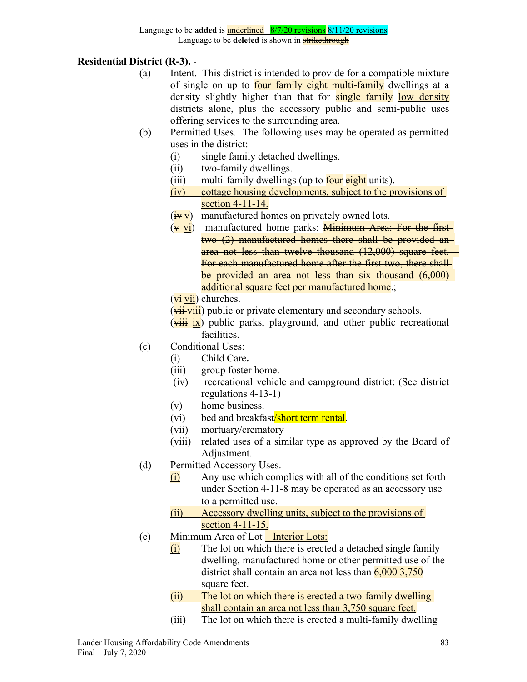**Residential District (R-3).** -

- (a) Intent. This district is intended to provide for a compatible mixture of single on up to **four family eight multi-family** dwellings at a density slightly higher than that for **single family** low density districts alone, plus the accessory public and semi-public uses offering services to the surrounding area.
- (b) Permitted Uses. The following uses may be operated as permitted uses in the district:
	- (i) single family detached dwellings.
	- (ii) two-family dwellings.
	- (iii) multi-family dwellings (up to  $\frac{f_{\text{out}}}{f_{\text{out}}}$  eight units).
	- (iv) cottage housing developments, subject to the provisions of section 4-11-14.
	- $(\frac{iv}{iv}v)$  manufactured homes on privately owned lots.
	- $(\overline{v} \overline{vi})$  manufactured home parks: **Minimum Area: For the first** two (2) manufactured homes there shall be provided an area not less than twelve thousand (12,000) square feet. For each manufactured home after the first two, there shall be provided an area not less than six thousand (6,000) additional square feet per manufactured home.;
	- $(\overrightarrow{vi} \overrightarrow{vii})$  churches.
	- $(\overrightarrow{vii} \cdot \overrightarrow{viii})$  public or private elementary and secondary schools.
	- $(\overrightarrow{viii} \overrightarrow{ix})$  public parks, playground, and other public recreational **facilities**
- (c) Conditional Uses:
	- (i) Child Care**.**
	- (iii) group foster home.
	- (iv) recreational vehicle and campground district; (See district regulations 4-13-1)
	- (v) home business.
	- (vi) bed and breakfast/short term rental.
	- (vii) mortuary/crematory
	- (viii) related uses of a similar type as approved by the Board of Adjustment.
- (d) Permitted Accessory Uses.
	- (i) Any use which complies with all of the conditions set forth under Section 4-11-8 may be operated as an accessory use to a permitted use.
	- (ii) Accessory dwelling units, subject to the provisions of section 4-11-15.
- (e) Minimum Area of Lot Interior Lots:
	- $(i)$  The lot on which there is erected a detached single family dwelling, manufactured home or other permitted use of the district shall contain an area not less than  $\frac{6,0003,750}{6,0003}$ square feet.
	- (ii) The lot on which there is erected a two-family dwelling shall contain an area not less than 3,750 square feet.
	- (iii) The lot on which there is erected a multi-family dwelling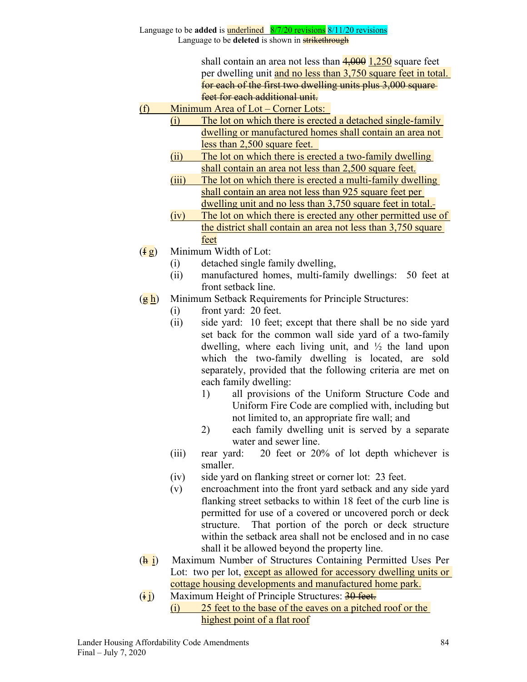> shall contain an area not less than  $4,000$  1,250 square feet per dwelling unit and no less than 3,750 square feet in total. for each of the first two dwelling units plus 3,000 square feet for each additional unit.

- (f) Minimum Area of Lot Corner Lots:
	- (i) The lot on which there is erected a detached single-family dwelling or manufactured homes shall contain an area not less than 2,500 square feet.
		- (ii) The lot on which there is erected a two-family dwelling shall contain an area not less than 2,500 square feet.
		- (iii) The lot on which there is erected a multi-family dwelling shall contain an area not less than 925 square feet per dwelling unit and no less than 3,750 square feet in total.
		- (iv) The lot on which there is erected any other permitted use of the district shall contain an area not less than 3,750 square feet
- $(f \, g)$  Minimum Width of Lot:
	- (i) detached single family dwelling,
	- (ii) manufactured homes, multi-family dwellings: 50 feet at front setback line.
- $(g h)$  Minimum Setback Requirements for Principle Structures:
	- (i) front yard: 20 feet.
	- (ii) side yard: 10 feet; except that there shall be no side yard set back for the common wall side yard of a two-family dwelling, where each living unit, and  $\frac{1}{2}$  the land upon which the two-family dwelling is located, are sold separately, provided that the following criteria are met on each family dwelling:
		- 1) all provisions of the Uniform Structure Code and Uniform Fire Code are complied with, including but not limited to, an appropriate fire wall; and
		- 2) each family dwelling unit is served by a separate water and sewer line.
	- (iii) rear yard: 20 feet or 20% of lot depth whichever is smaller.
	- (iv) side yard on flanking street or corner lot: 23 feet.
	- (v) encroachment into the front yard setback and any side yard flanking street setbacks to within 18 feet of the curb line is permitted for use of a covered or uncovered porch or deck structure. That portion of the porch or deck structure within the setback area shall not be enclosed and in no case shall it be allowed beyond the property line.
- $(\frac{h}{h})$  Maximum Number of Structures Containing Permitted Uses Per Lot: two per lot, except as allowed for accessory dwelling units or cottage housing developments and manufactured home park.
- $(i)$  Maximum Height of Principle Structures:  $30$  feet. (i) 25 feet to the base of the eaves on a pitched roof or the highest point of a flat roof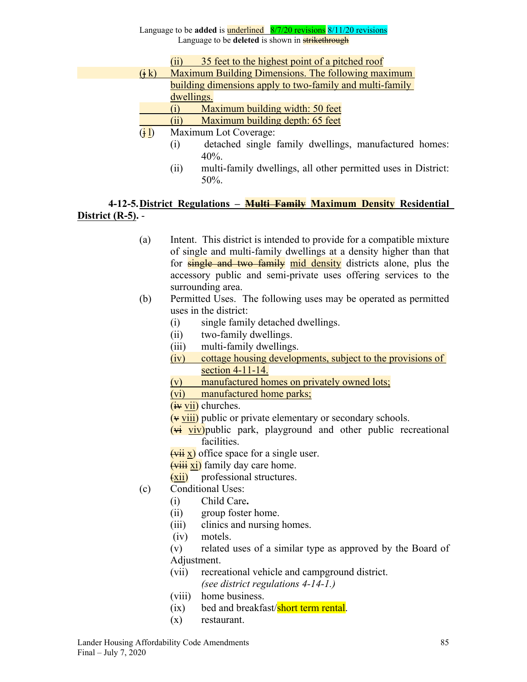- (ii) 35 feet to the highest point of a pitched roof
- $(i, k)$  Maximum Building Dimensions. The following maximum building dimensions apply to two-family and multi-family dwellings.
	- (i) Maximum building width: 50 feet
	- (ii) Maximum building depth: 65 feet
- $(i)$  Maximum Lot Coverage:
	- (i) detached single family dwellings, manufactured homes: 40%.
	- (ii) multi-family dwellings, all other permitted uses in District: 50%.

# **4-12-5.District Regulations – Multi Family Maximum Density Residential District (R-5).** -

- (a) Intent. This district is intended to provide for a compatible mixture of single and multi-family dwellings at a density higher than that for **single and two family** mid density districts alone, plus the accessory public and semi-private uses offering services to the surrounding area.
- (b) Permitted Uses. The following uses may be operated as permitted uses in the district:
	- (i) single family detached dwellings.
	- (ii) two-family dwellings.
	- (iii) multi-family dwellings.
	- (iv) cottage housing developments, subject to the provisions of section 4-11-14.
	- (v) manufactured homes on privately owned lots;
	- (vi) manufactured home parks;
	- $(iv vii)$  churches.
	- $(v$  viii) public or private elementary or secondary schools.
	- $(\overline{vi}$  viv)public park, playground and other public recreational facilities.
	- $(\overrightarrow{vii} x)$  office space for a single user.
	- $(viii xi)$  family day care home.
	- $(xii)$  professional structures.
- (c) Conditional Uses:
	- (i) Child Care**.**
	- (ii) group foster home.
	- (iii) clinics and nursing homes.
	- (iv) motels.
	- (v) related uses of a similar type as approved by the Board of Adjustment.
	- (vii) recreational vehicle and campground district. *(see district regulations 4-14-1.)*
	- (viii) home business.
	- (ix) bed and breakfast/short term rental.
	- (x) restaurant.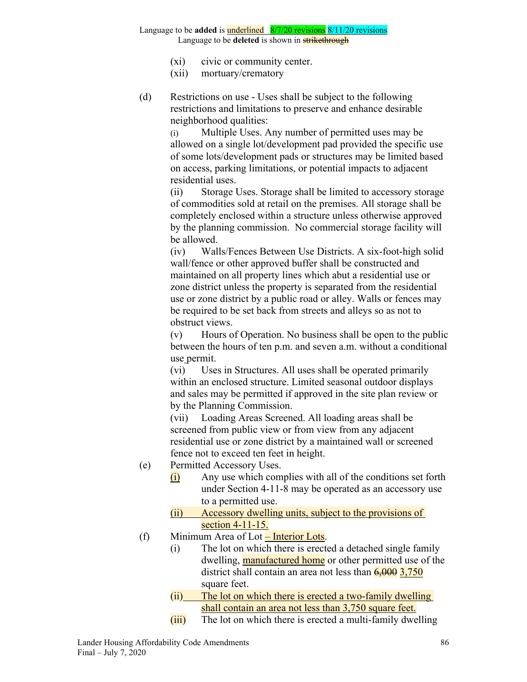- (xi) civic or community center.
- (xii) mortuary/crematory
- (d) Restrictions on use Uses shall be subject to the following restrictions and limitations to preserve and enhance desirable neighborhood qualities:

(i) Multiple Uses. Any number of permitted uses may be allowed on a single lot/development pad provided the specific use of some lots/development pads or structures may be limited based on access, parking limitations, or potential impacts to adjacent residential uses.

(ii) Storage Uses. Storage shall be limited to accessory storage of commodities sold at retail on the premises. All storage shall be completely enclosed within a structure unless otherwise approved by the planning commission. No commercial storage facility will be allowed.

(iv) Walls/Fences Between Use Districts. A six-foot-high solid wall/fence or other approved buffer shall be constructed and maintained on all property lines which abut a residential use or zone district unless the property is separated from the residential use or zone district by a public road or alley. Walls or fences may be required to be set back from streets and alleys so as not to obstruct views.

(v) Hours of Operation. No business shall be open to the public between the hours of ten p.m. and seven a.m. without a conditional use permit.

(vi) Uses in Structures. All uses shall be operated primarily within an enclosed structure. Limited seasonal outdoor displays and sales may be permitted if approved in the site plan review or by the Planning Commission.

(vii) Loading Areas Screened. All loading areas shall be screened from public view or from view from any adjacent residential use or zone district by a maintained wall or screened fence not to exceed ten feet in height.

- (e) Permitted Accessory Uses.
	- (i) Any use which complies with all of the conditions set forth under Section 4-11-8 may be operated as an accessory use to a permitted use.
		- (ii) Accessory dwelling units, subject to the provisions of section 4-11-15.
- (f) Minimum Area of Lot  $\frac{-\text{Interior} \text{Lots}}{2}$ .
	- (i) The lot on which there is erected a detached single family dwelling, **manufactured home** or other permitted use of the district shall contain an area not less than  $\frac{6,000}{3,750}$ square feet.
	- (ii) The lot on which there is erected a two-family dwelling shall contain an area not less than 3,750 square feet.
	- $(iii)$  The lot on which there is erected a multi-family dwelling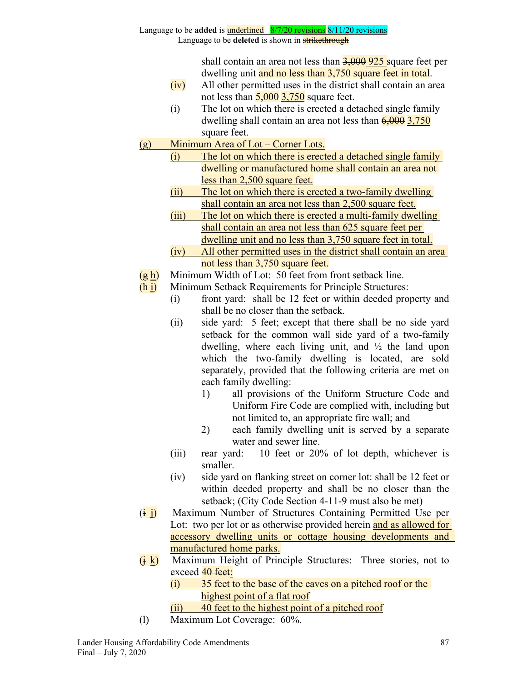shall contain an area not less than  $\frac{3,000}{925}$  square feet per dwelling unit and no less than 3,750 square feet in total.

- $(iv)$  All other permitted uses in the district shall contain an area not less than  $\frac{5,000}{3,750}$  square feet.
- (i) The lot on which there is erected a detached single family dwelling shall contain an area not less than  $\frac{6,000}{3,750}$ square feet.
- (g) Minimum Area of Lot Corner Lots.
	- (i) The lot on which there is erected a detached single family dwelling or manufactured home shall contain an area not less than 2,500 square feet.
	- (ii) The lot on which there is erected a two-family dwelling shall contain an area not less than 2,500 square feet.
	- (iii) The lot on which there is erected a multi-family dwelling shall contain an area not less than 625 square feet per dwelling unit and no less than 3,750 square feet in total.
	- (iv) All other permitted uses in the district shall contain an area not less than 3,750 square feet.
- $(g h)$  Minimum Width of Lot: 50 feet from front setback line.
- (h i) Minimum Setback Requirements for Principle Structures:
	- (i) front yard: shall be 12 feet or within deeded property and shall be no closer than the setback.
	- (ii) side yard: 5 feet; except that there shall be no side yard setback for the common wall side yard of a two-family dwelling, where each living unit, and  $\frac{1}{2}$  the land upon which the two-family dwelling is located, are sold separately, provided that the following criteria are met on each family dwelling:
		- 1) all provisions of the Uniform Structure Code and Uniform Fire Code are complied with, including but not limited to, an appropriate fire wall; and
		- 2) each family dwelling unit is served by a separate water and sewer line.
	- (iii) rear yard: 10 feet or 20% of lot depth, whichever is smaller.
	- (iv) side yard on flanking street on corner lot: shall be 12 feet or within deeded property and shall be no closer than the setback; (City Code Section 4-11-9 must also be met)
- $(i)$  Maximum Number of Structures Containing Permitted Use per Lot: two per lot or as otherwise provided herein and as allowed for accessory dwelling units or cottage housing developments and manufactured home parks.
- $(i \& j)$  Maximum Height of Principle Structures: Three stories, not to exceed 40 feet:

(i) 35 feet to the base of the eaves on a pitched roof or the highest point of a flat roof

- (ii) 40 feet to the highest point of a pitched roof
- (l) Maximum Lot Coverage: 60%.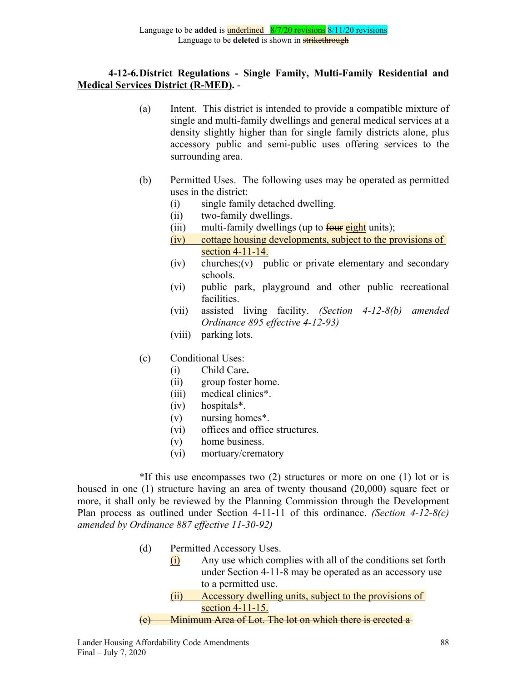# **4-12-6.District Regulations - Single Family, Multi-Family Residential and Medical Services District (R-MED).** -

- (a) Intent. This district is intended to provide a compatible mixture of single and multi-family dwellings and general medical services at a density slightly higher than for single family districts alone, plus accessory public and semi-public uses offering services to the surrounding area.
- (b) Permitted Uses. The following uses may be operated as permitted uses in the district:
	- (i) single family detached dwelling.
	- (ii) two-family dwellings.
	- (iii) multi-family dwellings (up to  $\frac{f_{\text{out}}}{f_{\text{out}}}$  units);
	- (iv) cottage housing developments, subject to the provisions of section 4-11-14.
	- (iv) churches;(v) public or private elementary and secondary schools.
	- (vi) public park, playground and other public recreational facilities.
	- (vii) assisted living facility. *(Section 4-12-8(b) amended Ordinance 895 effective 4-12-93)*
	- (viii) parking lots.
- (c) Conditional Uses:
	- (i) Child Care**.**
	- (ii) group foster home.
	- (iii) medical clinics\*.
	- (iv) hospitals\*.
	- (v) nursing homes\*.
	- (vi) offices and office structures.
	- (v) home business.
	- (vi) mortuary/crematory

\*If this use encompasses two (2) structures or more on one (1) lot or is housed in one (1) structure having an area of twenty thousand (20,000) square feet or more, it shall only be reviewed by the Planning Commission through the Development Plan process as outlined under Section 4-11-11 of this ordinance. *(Section 4-12-8(c) amended by Ordinance 887 effective 11-30-92)*

- (d) Permitted Accessory Uses.
	- (i) Any use which complies with all of the conditions set forth under Section 4-11-8 may be operated as an accessory use to a permitted use.
	- (ii) Accessory dwelling units, subject to the provisions of section 4-11-15.

#### (e) Minimum Area of Lot. The lot on which there is erected a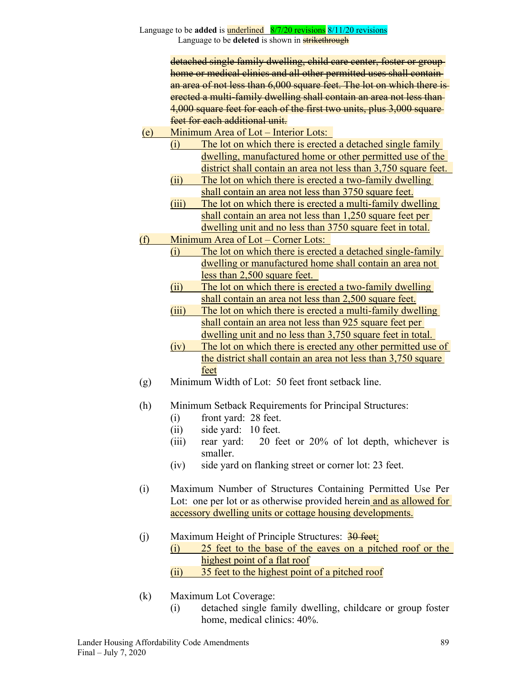> detached single family dwelling, child care center, foster or group home or medical clinics and all other permitted uses shall containan area of not less than 6,000 square feet. The lot on which there is erected a multi-family dwelling shall contain an area not less than 4,000 square feet for each of the first two units, plus 3,000 squarefeet for each additional unit.

- (e) Minimum Area of Lot Interior Lots:
	- (i) The lot on which there is erected a detached single family dwelling, manufactured home or other permitted use of the district shall contain an area not less than 3,750 square feet.
		- (ii) The lot on which there is erected a two-family dwelling shall contain an area not less than 3750 square feet.
	- (iii) The lot on which there is erected a multi-family dwelling shall contain an area not less than 1,250 square feet per dwelling unit and no less than 3750 square feet in total.
- (f) Minimum Area of Lot Corner Lots:
	- (i) The lot on which there is erected a detached single-family dwelling or manufactured home shall contain an area not less than 2,500 square feet.
		- (ii) The lot on which there is erected a two-family dwelling shall contain an area not less than 2,500 square feet.
		- (iii) The lot on which there is erected a multi-family dwelling shall contain an area not less than 925 square feet per dwelling unit and no less than 3,750 square feet in total.
		- (iv) The lot on which there is erected any other permitted use of the district shall contain an area not less than 3,750 square feet
- (g) Minimum Width of Lot: 50 feet front setback line.
- (h) Minimum Setback Requirements for Principal Structures:
	- (i) front yard: 28 feet.
	- (ii) side yard: 10 feet.
	- (iii) rear yard: 20 feet or 20% of lot depth, whichever is smaller.
	- (iv) side yard on flanking street or corner lot: 23 feet.
- (i) Maximum Number of Structures Containing Permitted Use Per Lot: one per lot or as otherwise provided herein and as allowed for accessory dwelling units or cottage housing developments.
- (i) Maximum Height of Principle Structures:  $\frac{30 \text{ feet}}{20 \text{ feet}}$ (i) 25 feet to the base of the eaves on a pitched roof or the highest point of a flat roof (ii) 35 feet to the highest point of a pitched roof
- (k) Maximum Lot Coverage:
	- (i) detached single family dwelling, childcare or group foster home, medical clinics: 40%.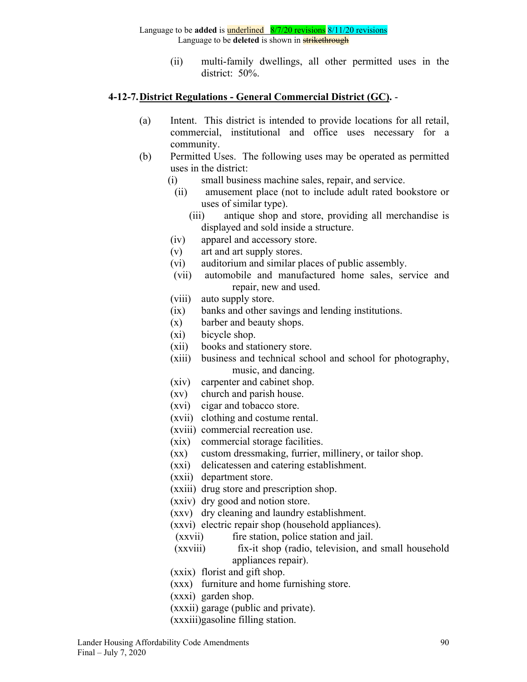(ii) multi-family dwellings, all other permitted uses in the district: 50%.

#### **4-12-7.District Regulations - General Commercial District (GC).** -

- (a) Intent. This district is intended to provide locations for all retail, commercial, institutional and office uses necessary for a community.
- (b) Permitted Uses. The following uses may be operated as permitted uses in the district:
	- (i) small business machine sales, repair, and service.
	- (ii) amusement place (not to include adult rated bookstore or uses of similar type).
		- (iii) antique shop and store, providing all merchandise is displayed and sold inside a structure.
	- (iv) apparel and accessory store.
	- (v) art and art supply stores.
	- (vi) auditorium and similar places of public assembly.
	- (vii) automobile and manufactured home sales, service and repair, new and used.
	- (viii) auto supply store.
	- (ix) banks and other savings and lending institutions.
	- (x) barber and beauty shops.
	- (xi) bicycle shop.
	- (xii) books and stationery store.
	- (xiii) business and technical school and school for photography, music, and dancing.
	- (xiv) carpenter and cabinet shop.
	- (xv) church and parish house.
	- (xvi) cigar and tobacco store.
	- (xvii) clothing and costume rental.
	- (xviii) commercial recreation use.
	- (xix) commercial storage facilities.
	- (xx) custom dressmaking, furrier, millinery, or tailor shop.
	- (xxi) delicatessen and catering establishment.
	- (xxii) department store.
	- (xxiii) drug store and prescription shop.
	- (xxiv) dry good and notion store.
	- (xxv) dry cleaning and laundry establishment.
	- (xxvi) electric repair shop (household appliances).
	- (xxvii) fire station, police station and jail.
	- (xxviii) fix-it shop (radio, television, and small household appliances repair).
	- (xxix) florist and gift shop.
	- (xxx) furniture and home furnishing store.
	- (xxxi) garden shop.
	- (xxxii) garage (public and private).
	- (xxxiii)gasoline filling station.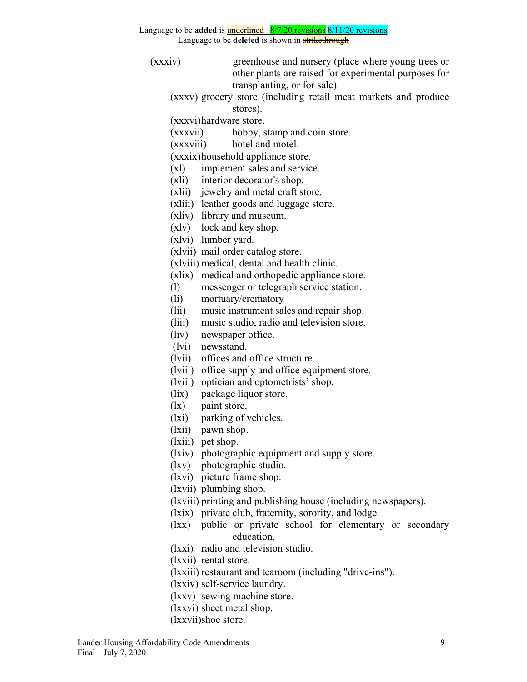Language to be **deleted** is shown in **strikethrough** 

- (xxxiv) greenhouse and nursery (place where young trees or other plants are raised for experimental purposes for transplanting, or for sale).
	- (xxxv) grocery store (including retail meat markets and produce stores).
	- (xxxvi)hardware store.
	- (xxxvii) hobby, stamp and coin store.
	- (xxxviii) hotel and motel.

(xxxix)household appliance store.

- (xl) implement sales and service.
- (xli) interior decorator's shop.
- (xlii) jewelry and metal craft store.
- (xliii) leather goods and luggage store.
- (xliv) library and museum.
- (xlv) lock and key shop.
- (xlvi) lumber yard.
- (xlvii) mail order catalog store.
- (xlviii) medical, dental and health clinic.
- (xlix) medical and orthopedic appliance store.
- (l) messenger or telegraph service station.
- (li) mortuary/crematory
- (lii) music instrument sales and repair shop.
- (liii) music studio, radio and television store.
- (liv) newspaper office.
- (lvi) newsstand.
- (lvii) offices and office structure.
- (lviii) office supply and office equipment store.
- (lviii) optician and optometrists' shop.
- (lix) package liquor store.
- (lx) paint store.
- (lxi) parking of vehicles.
- (lxii) pawn shop.
- (lxiii) pet shop.
- (lxiv) photographic equipment and supply store.
- (lxv) photographic studio.
- (lxvi) picture frame shop.
- (lxvii) plumbing shop.
- (lxviii) printing and publishing house (including newspapers).
- (lxix) private club, fraternity, sorority, and lodge.
- (lxx) public or private school for elementary or secondary education.
- (lxxi) radio and television studio.
- (lxxii) rental store.
- (lxxiii) restaurant and tearoom (including "drive-ins").
- (lxxiv) self-service laundry.
- (lxxv) sewing machine store.
- (lxxvi) sheet metal shop.
- (lxxvii)shoe store.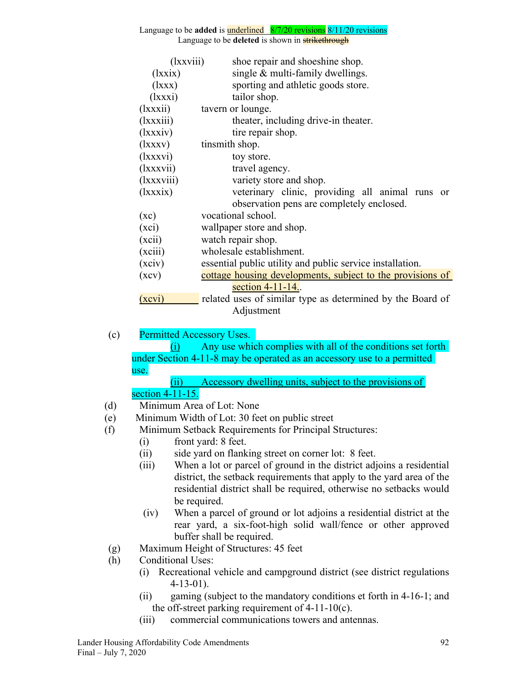| ( <i>xxviii</i> ) | shoe repair and shoeshine shop.                            |
|-------------------|------------------------------------------------------------|
| (lxxix)           | single $\&$ multi-family dwellings.                        |
| (lxxx)            | sporting and athletic goods store.                         |
| (lxxxi)           | tailor shop.                                               |
| (lxxxi)           | tavern or lounge.                                          |
| (lxxxiii)         | theater, including drive-in theater.                       |
| (lxxxiv)          | tire repair shop.                                          |
| (lxxxv)           | tinsmith shop.                                             |
| (lxxxvi)          | toy store.                                                 |
| (lxxxvii)         | travel agency.                                             |
| (lxxxviii)        | variety store and shop.                                    |
| (lxxxix)          | veterinary clinic, providing all animal runs or            |
|                   | observation pens are completely enclosed.                  |
| (xc)              | vocational school.                                         |
| (xci)             | wallpaper store and shop.                                  |
| (xci)             | watch repair shop.                                         |
| (xciii)           | wholesale establishment.                                   |
| (xciv)            | essential public utility and public service installation.  |
| (xcv)             | cottage housing developments, subject to the provisions of |
|                   | section 4-11-14.                                           |
| (xcvi)            | related uses of similar type as determined by the Board of |
|                   | Adjustment                                                 |

(c) Permitted Accessory Uses.

(i) Any use which complies with all of the conditions set forth under Section 4-11-8 may be operated as an accessory use to a permitted use.

(ii) Accessory dwelling units, subject to the provisions of section 4-11-15.

- (d) Minimum Area of Lot: None
- (e) Minimum Width of Lot: 30 feet on public street
- (f) Minimum Setback Requirements for Principal Structures:
	- (i) front yard: 8 feet.
	- (ii) side yard on flanking street on corner lot: 8 feet.
	- (iii) When a lot or parcel of ground in the district adjoins a residential district, the setback requirements that apply to the yard area of the residential district shall be required, otherwise no setbacks would be required.
	- (iv) When a parcel of ground or lot adjoins a residential district at the rear yard, a six-foot-high solid wall/fence or other approved buffer shall be required.
- (g) Maximum Height of Structures: 45 feet
- (h) Conditional Uses:
	- (i) Recreational vehicle and campground district (see district regulations 4-13-01).
	- (ii) gaming (subject to the mandatory conditions et forth in 4-16-1; and the off-street parking requirement of 4-11-10(c).
	- (iii) commercial communications towers and antennas.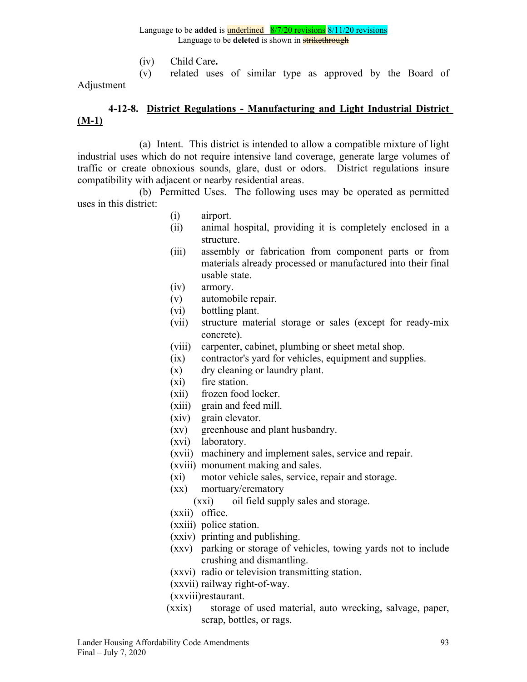(iv) Child Care**.**

(v) related uses of similar type as approved by the Board of Adjustment

# **4-12-8. District Regulations - Manufacturing and Light Industrial District (M-1)**

(a) Intent. This district is intended to allow a compatible mixture of light industrial uses which do not require intensive land coverage, generate large volumes of traffic or create obnoxious sounds, glare, dust or odors. District regulations insure compatibility with adjacent or nearby residential areas.

(b) Permitted Uses. The following uses may be operated as permitted uses in this district:

- (i) airport.
- (ii) animal hospital, providing it is completely enclosed in a structure.
- (iii) assembly or fabrication from component parts or from materials already processed or manufactured into their final usable state.
- (iv) armory.
- (v) automobile repair.
- (vi) bottling plant.
- (vii) structure material storage or sales (except for ready-mix concrete).
- (viii) carpenter, cabinet, plumbing or sheet metal shop.
- (ix) contractor's yard for vehicles, equipment and supplies.
- (x) dry cleaning or laundry plant.
- (xi) fire station.
- (xii) frozen food locker.
- (xiii) grain and feed mill.
- (xiv) grain elevator.
- (xv) greenhouse and plant husbandry.
- (xvi) laboratory.
- (xvii) machinery and implement sales, service and repair.
- (xviii) monument making and sales.
- (xi) motor vehicle sales, service, repair and storage.
- (xx) mortuary/crematory
	- (xxi) oil field supply sales and storage.
- (xxii) office.
- (xxiii) police station.
- (xxiv) printing and publishing.
- (xxv) parking or storage of vehicles, towing yards not to include crushing and dismantling.
- (xxvi) radio or television transmitting station.
- (xxvii) railway right-of-way.
- (xxviii)restaurant.
- (xxix) storage of used material, auto wrecking, salvage, paper, scrap, bottles, or rags.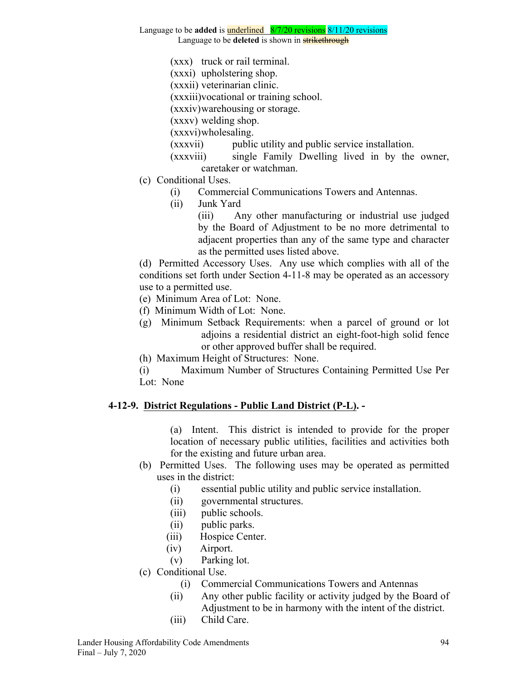#### Language to be **added** is underlined 8/7/20 revisions 8/11/20 revisions

Language to be **deleted** is shown in **strikethrough** 

- (xxx) truck or rail terminal.
- (xxxi) upholstering shop.
- (xxxii) veterinarian clinic.
- (xxxiii)vocational or training school.

(xxxiv)warehousing or storage.

(xxxv) welding shop.

(xxxvi)wholesaling.

- (xxxvii) public utility and public service installation.
- (xxxviii) single Family Dwelling lived in by the owner, caretaker or watchman.
- (c) Conditional Uses.
	- (i) Commercial Communications Towers and Antennas.
	- (ii) Junk Yard

(iii) Any other manufacturing or industrial use judged by the Board of Adjustment to be no more detrimental to adjacent properties than any of the same type and character as the permitted uses listed above.

(d) Permitted Accessory Uses. Any use which complies with all of the conditions set forth under Section 4-11-8 may be operated as an accessory use to a permitted use.

- (e) Minimum Area of Lot: None.
- (f) Minimum Width of Lot: None.
- (g) Minimum Setback Requirements: when a parcel of ground or lot adjoins a residential district an eight-foot-high solid fence or other approved buffer shall be required.
- (h) Maximum Height of Structures: None.
- (i) Maximum Number of Structures Containing Permitted Use Per Lot: None

### **4-12-9. District Regulations - Public Land District (P-L). -**

(a) Intent. This district is intended to provide for the proper location of necessary public utilities, facilities and activities both for the existing and future urban area.

- (b) Permitted Uses. The following uses may be operated as permitted uses in the district:
	- (i) essential public utility and public service installation.
	- (ii) governmental structures.
	- (iii) public schools.
	- (ii) public parks.
	- (iii) Hospice Center.
	- (iv) Airport.
	- (v) Parking lot.
- (c) Conditional Use.
	- (i) Commercial Communications Towers and Antennas
	- (ii) Any other public facility or activity judged by the Board of Adjustment to be in harmony with the intent of the district.
	- (iii) Child Care.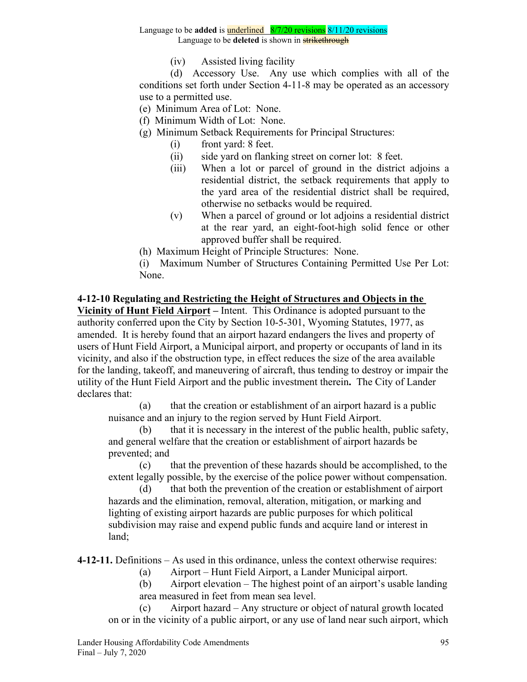Language to be **deleted** is shown in **strikethrough** 

(iv) Assisted living facility

(d) Accessory Use. Any use which complies with all of the conditions set forth under Section 4-11-8 may be operated as an accessory use to a permitted use.

- (e) Minimum Area of Lot: None.
- (f) Minimum Width of Lot: None.
- (g) Minimum Setback Requirements for Principal Structures:
	- (i) front yard: 8 feet.
	- (ii) side yard on flanking street on corner lot: 8 feet.
	- (iii) When a lot or parcel of ground in the district adjoins a residential district, the setback requirements that apply to the yard area of the residential district shall be required, otherwise no setbacks would be required.
	- (v) When a parcel of ground or lot adjoins a residential district at the rear yard, an eight-foot-high solid fence or other approved buffer shall be required.
- (h) Maximum Height of Principle Structures: None.

(i) Maximum Number of Structures Containing Permitted Use Per Lot: None.

# **4-12-10 Regulating and Restricting the Height of Structures and Objects in the**

**Vicinity of Hunt Field Airport –** Intent. This Ordinance is adopted pursuant to the authority conferred upon the City by Section 10-5-301, Wyoming Statutes, 1977, as amended. It is hereby found that an airport hazard endangers the lives and property of users of Hunt Field Airport, a Municipal airport, and property or occupants of land in its vicinity, and also if the obstruction type, in effect reduces the size of the area available for the landing, takeoff, and maneuvering of aircraft, thus tending to destroy or impair the utility of the Hunt Field Airport and the public investment therein**.** The City of Lander declares that:

(a) that the creation or establishment of an airport hazard is a public nuisance and an injury to the region served by Hunt Field Airport.

(b) that it is necessary in the interest of the public health, public safety, and general welfare that the creation or establishment of airport hazards be prevented; and

(c) that the prevention of these hazards should be accomplished, to the extent legally possible, by the exercise of the police power without compensation.

(d) that both the prevention of the creation or establishment of airport hazards and the elimination, removal, alteration, mitigation, or marking and lighting of existing airport hazards are public purposes for which political subdivision may raise and expend public funds and acquire land or interest in land;

**4-12-11.** Definitions – As used in this ordinance, unless the context otherwise requires:

- (a) Airport Hunt Field Airport, a Lander Municipal airport.
- (b) Airport elevation The highest point of an airport's usable landing area measured in feet from mean sea level.

(c) Airport hazard – Any structure or object of natural growth located on or in the vicinity of a public airport, or any use of land near such airport, which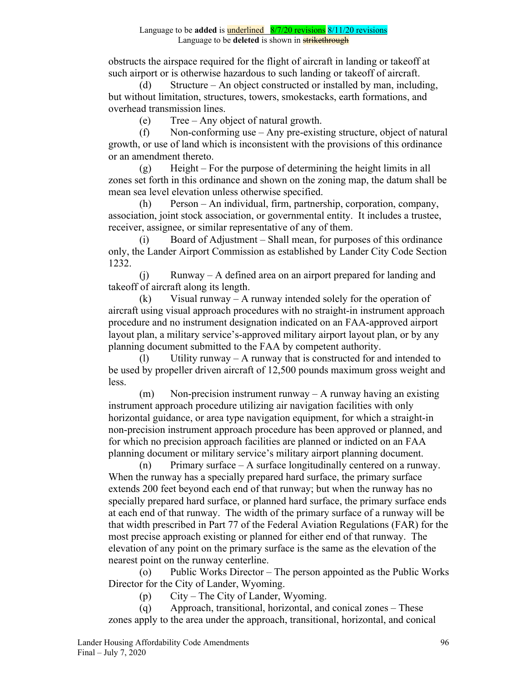obstructs the airspace required for the flight of aircraft in landing or takeoff at such airport or is otherwise hazardous to such landing or takeoff of aircraft.

(d) Structure – An object constructed or installed by man, including, but without limitation, structures, towers, smokestacks, earth formations, and overhead transmission lines.

(e) Tree – Any object of natural growth.

(f) Non-conforming use – Any pre-existing structure, object of natural growth, or use of land which is inconsistent with the provisions of this ordinance or an amendment thereto.

(g) Height – For the purpose of determining the height limits in all zones set forth in this ordinance and shown on the zoning map, the datum shall be mean sea level elevation unless otherwise specified.

(h) Person – An individual, firm, partnership, corporation, company, association, joint stock association, or governmental entity. It includes a trustee, receiver, assignee, or similar representative of any of them.

(i) Board of Adjustment – Shall mean, for purposes of this ordinance only, the Lander Airport Commission as established by Lander City Code Section 1232.

(j) Runway – A defined area on an airport prepared for landing and takeoff of aircraft along its length.

 $(k)$  Visual runway – A runway intended solely for the operation of aircraft using visual approach procedures with no straight-in instrument approach procedure and no instrument designation indicated on an FAA-approved airport layout plan, a military service's-approved military airport layout plan, or by any planning document submitted to the FAA by competent authority.

(1) Utility runway – A runway that is constructed for and intended to be used by propeller driven aircraft of 12,500 pounds maximum gross weight and less.

(m) Non-precision instrument runway – A runway having an existing instrument approach procedure utilizing air navigation facilities with only horizontal guidance, or area type navigation equipment, for which a straight-in non-precision instrument approach procedure has been approved or planned, and for which no precision approach facilities are planned or indicted on an FAA planning document or military service's military airport planning document.

(n) Primary surface – A surface longitudinally centered on a runway. When the runway has a specially prepared hard surface, the primary surface extends 200 feet beyond each end of that runway; but when the runway has no specially prepared hard surface, or planned hard surface, the primary surface ends at each end of that runway. The width of the primary surface of a runway will be that width prescribed in Part 77 of the Federal Aviation Regulations (FAR) for the most precise approach existing or planned for either end of that runway. The elevation of any point on the primary surface is the same as the elevation of the nearest point on the runway centerline.

(o) Public Works Director – The person appointed as the Public Works Director for the City of Lander, Wyoming.

(p) City – The City of Lander, Wyoming.

(q) Approach, transitional, horizontal, and conical zones – These zones apply to the area under the approach, transitional, horizontal, and conical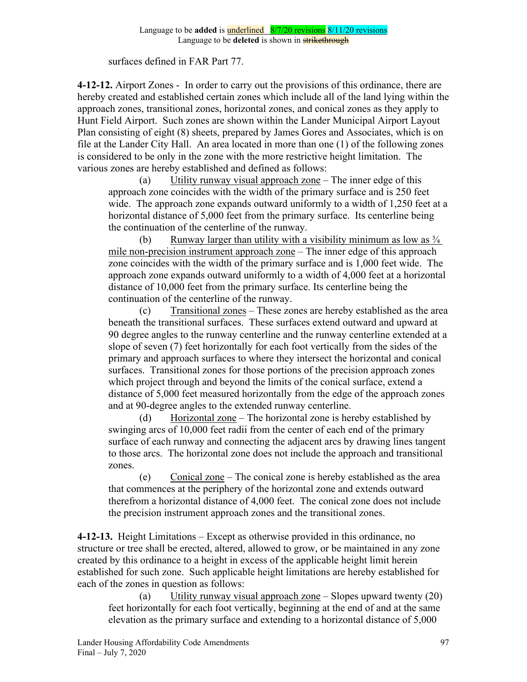#### surfaces defined in FAR Part 77.

**4-12-12.** Airport Zones - In order to carry out the provisions of this ordinance, there are hereby created and established certain zones which include all of the land lying within the approach zones, transitional zones, horizontal zones, and conical zones as they apply to Hunt Field Airport. Such zones are shown within the Lander Municipal Airport Layout Plan consisting of eight (8) sheets, prepared by James Gores and Associates, which is on file at the Lander City Hall. An area located in more than one (1) of the following zones is considered to be only in the zone with the more restrictive height limitation. The various zones are hereby established and defined as follows:

(a) Utility runway visual approach zone – The inner edge of this approach zone coincides with the width of the primary surface and is 250 feet wide. The approach zone expands outward uniformly to a width of 1,250 feet at a horizontal distance of 5,000 feet from the primary surface. Its centerline being the continuation of the centerline of the runway.

(b) Runway larger than utility with a visibility minimum as low as  $\frac{3}{4}$ mile non-precision instrument approach zone – The inner edge of this approach zone coincides with the width of the primary surface and is 1,000 feet wide. The approach zone expands outward uniformly to a width of 4,000 feet at a horizontal distance of 10,000 feet from the primary surface. Its centerline being the continuation of the centerline of the runway.

(c) Transitional zones – These zones are hereby established as the area beneath the transitional surfaces. These surfaces extend outward and upward at 90 degree angles to the runway centerline and the runway centerline extended at a slope of seven (7) feet horizontally for each foot vertically from the sides of the primary and approach surfaces to where they intersect the horizontal and conical surfaces. Transitional zones for those portions of the precision approach zones which project through and beyond the limits of the conical surface, extend a distance of 5,000 feet measured horizontally from the edge of the approach zones and at 90-degree angles to the extended runway centerline.

(d) Horizontal zone – The horizontal zone is hereby established by swinging arcs of 10,000 feet radii from the center of each end of the primary surface of each runway and connecting the adjacent arcs by drawing lines tangent to those arcs. The horizontal zone does not include the approach and transitional zones.

(e) Conical zone – The conical zone is hereby established as the area that commences at the periphery of the horizontal zone and extends outward therefrom a horizontal distance of 4,000 feet. The conical zone does not include the precision instrument approach zones and the transitional zones.

**4-12-13.** Height Limitations – Except as otherwise provided in this ordinance, no structure or tree shall be erected, altered, allowed to grow, or be maintained in any zone created by this ordinance to a height in excess of the applicable height limit herein established for such zone. Such applicable height limitations are hereby established for each of the zones in question as follows:

(a) Utility runway visual approach zone – Slopes upward twenty (20) feet horizontally for each foot vertically, beginning at the end of and at the same elevation as the primary surface and extending to a horizontal distance of 5,000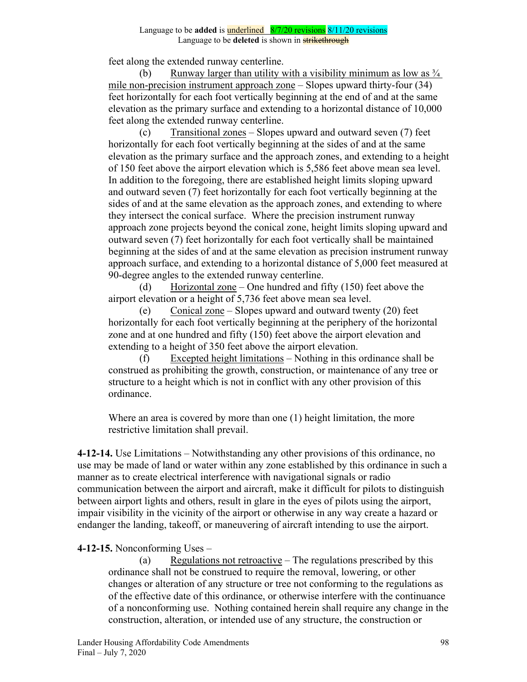feet along the extended runway centerline.

(b) Runway larger than utility with a visibility minimum as low as  $\frac{3}{4}$ mile non-precision instrument approach zone – Slopes upward thirty-four (34) feet horizontally for each foot vertically beginning at the end of and at the same elevation as the primary surface and extending to a horizontal distance of 10,000 feet along the extended runway centerline.

(c) Transitional zones – Slopes upward and outward seven (7) feet horizontally for each foot vertically beginning at the sides of and at the same elevation as the primary surface and the approach zones, and extending to a height of 150 feet above the airport elevation which is 5,586 feet above mean sea level. In addition to the foregoing, there are established height limits sloping upward and outward seven (7) feet horizontally for each foot vertically beginning at the sides of and at the same elevation as the approach zones, and extending to where they intersect the conical surface. Where the precision instrument runway approach zone projects beyond the conical zone, height limits sloping upward and outward seven (7) feet horizontally for each foot vertically shall be maintained beginning at the sides of and at the same elevation as precision instrument runway approach surface, and extending to a horizontal distance of 5,000 feet measured at 90-degree angles to the extended runway centerline.

(d) Horizontal zone – One hundred and fifty (150) feet above the airport elevation or a height of 5,736 feet above mean sea level.

(e) Conical zone – Slopes upward and outward twenty (20) feet horizontally for each foot vertically beginning at the periphery of the horizontal zone and at one hundred and fifty (150) feet above the airport elevation and extending to a height of 350 feet above the airport elevation.

(f) Excepted height limitations – Nothing in this ordinance shall be construed as prohibiting the growth, construction, or maintenance of any tree or structure to a height which is not in conflict with any other provision of this ordinance.

Where an area is covered by more than one (1) height limitation, the more restrictive limitation shall prevail.

**4-12-14.** Use Limitations – Notwithstanding any other provisions of this ordinance, no use may be made of land or water within any zone established by this ordinance in such a manner as to create electrical interference with navigational signals or radio communication between the airport and aircraft, make it difficult for pilots to distinguish between airport lights and others, result in glare in the eyes of pilots using the airport, impair visibility in the vicinity of the airport or otherwise in any way create a hazard or endanger the landing, takeoff, or maneuvering of aircraft intending to use the airport.

### **4-12-15.** Nonconforming Uses –

(a) Regulations not retroactive – The regulations prescribed by this ordinance shall not be construed to require the removal, lowering, or other changes or alteration of any structure or tree not conforming to the regulations as of the effective date of this ordinance, or otherwise interfere with the continuance of a nonconforming use. Nothing contained herein shall require any change in the construction, alteration, or intended use of any structure, the construction or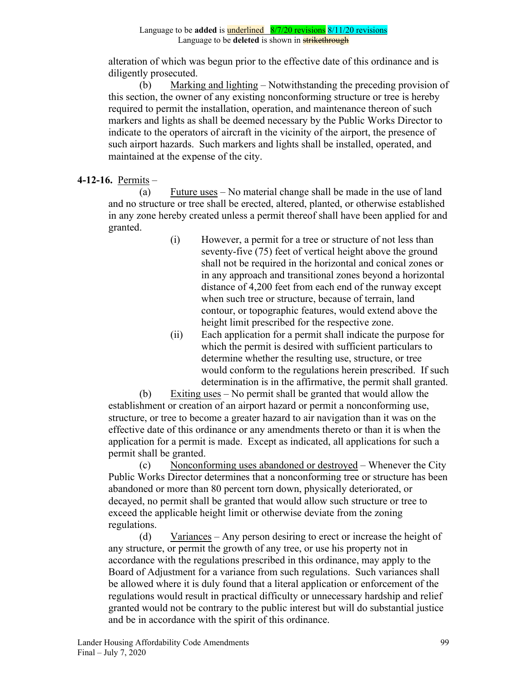alteration of which was begun prior to the effective date of this ordinance and is diligently prosecuted.

(b) Marking and lighting – Notwithstanding the preceding provision of this section, the owner of any existing nonconforming structure or tree is hereby required to permit the installation, operation, and maintenance thereon of such markers and lights as shall be deemed necessary by the Public Works Director to indicate to the operators of aircraft in the vicinity of the airport, the presence of such airport hazards. Such markers and lights shall be installed, operated, and maintained at the expense of the city.

# **4-12-16.** Permits –

(a) Future uses – No material change shall be made in the use of land and no structure or tree shall be erected, altered, planted, or otherwise established in any zone hereby created unless a permit thereof shall have been applied for and granted.

- (i) However, a permit for a tree or structure of not less than seventy-five (75) feet of vertical height above the ground shall not be required in the horizontal and conical zones or in any approach and transitional zones beyond a horizontal distance of 4,200 feet from each end of the runway except when such tree or structure, because of terrain, land contour, or topographic features, would extend above the height limit prescribed for the respective zone.
- (ii) Each application for a permit shall indicate the purpose for which the permit is desired with sufficient particulars to determine whether the resulting use, structure, or tree would conform to the regulations herein prescribed. If such determination is in the affirmative, the permit shall granted.

(b) Exiting uses – No permit shall be granted that would allow the establishment or creation of an airport hazard or permit a nonconforming use, structure, or tree to become a greater hazard to air navigation than it was on the effective date of this ordinance or any amendments thereto or than it is when the application for a permit is made. Except as indicated, all applications for such a permit shall be granted.

(c) Nonconforming uses abandoned or destroyed – Whenever the City Public Works Director determines that a nonconforming tree or structure has been abandoned or more than 80 percent torn down, physically deteriorated, or decayed, no permit shall be granted that would allow such structure or tree to exceed the applicable height limit or otherwise deviate from the zoning regulations.

(d) Variances – Any person desiring to erect or increase the height of any structure, or permit the growth of any tree, or use his property not in accordance with the regulations prescribed in this ordinance, may apply to the Board of Adjustment for a variance from such regulations. Such variances shall be allowed where it is duly found that a literal application or enforcement of the regulations would result in practical difficulty or unnecessary hardship and relief granted would not be contrary to the public interest but will do substantial justice and be in accordance with the spirit of this ordinance.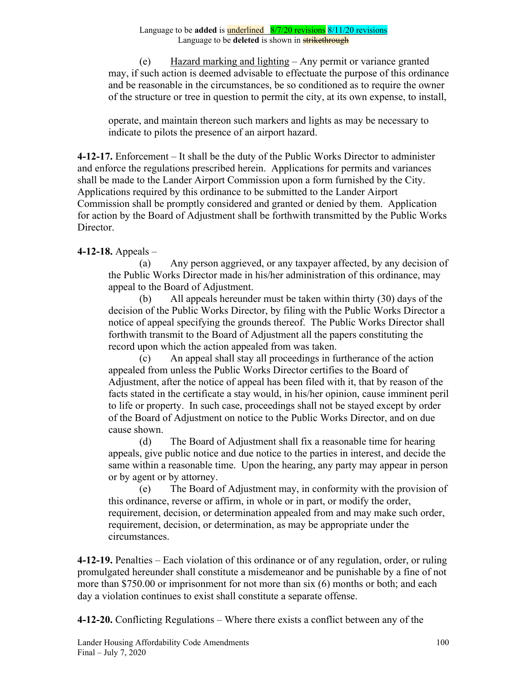(e) Hazard marking and lighting – Any permit or variance granted may, if such action is deemed advisable to effectuate the purpose of this ordinance and be reasonable in the circumstances, be so conditioned as to require the owner of the structure or tree in question to permit the city, at its own expense, to install,

operate, and maintain thereon such markers and lights as may be necessary to indicate to pilots the presence of an airport hazard.

**4-12-17.** Enforcement – It shall be the duty of the Public Works Director to administer and enforce the regulations prescribed herein. Applications for permits and variances shall be made to the Lander Airport Commission upon a form furnished by the City. Applications required by this ordinance to be submitted to the Lander Airport Commission shall be promptly considered and granted or denied by them. Application for action by the Board of Adjustment shall be forthwith transmitted by the Public Works Director.

# **4-12-18.** Appeals –

(a) Any person aggrieved, or any taxpayer affected, by any decision of the Public Works Director made in his/her administration of this ordinance, may appeal to the Board of Adjustment.

(b) All appeals hereunder must be taken within thirty (30) days of the decision of the Public Works Director, by filing with the Public Works Director a notice of appeal specifying the grounds thereof. The Public Works Director shall forthwith transmit to the Board of Adjustment all the papers constituting the record upon which the action appealed from was taken.

(c) An appeal shall stay all proceedings in furtherance of the action appealed from unless the Public Works Director certifies to the Board of Adjustment, after the notice of appeal has been filed with it, that by reason of the facts stated in the certificate a stay would, in his/her opinion, cause imminent peril to life or property. In such case, proceedings shall not be stayed except by order of the Board of Adjustment on notice to the Public Works Director, and on due cause shown.

(d) The Board of Adjustment shall fix a reasonable time for hearing appeals, give public notice and due notice to the parties in interest, and decide the same within a reasonable time. Upon the hearing, any party may appear in person or by agent or by attorney.

(e) The Board of Adjustment may, in conformity with the provision of this ordinance, reverse or affirm, in whole or in part, or modify the order, requirement, decision, or determination appealed from and may make such order, requirement, decision, or determination, as may be appropriate under the circumstances.

**4-12-19.** Penalties – Each violation of this ordinance or of any regulation, order, or ruling promulgated hereunder shall constitute a misdemeanor and be punishable by a fine of not more than \$750.00 or imprisonment for not more than six (6) months or both; and each day a violation continues to exist shall constitute a separate offense.

**4-12-20.** Conflicting Regulations – Where there exists a conflict between any of the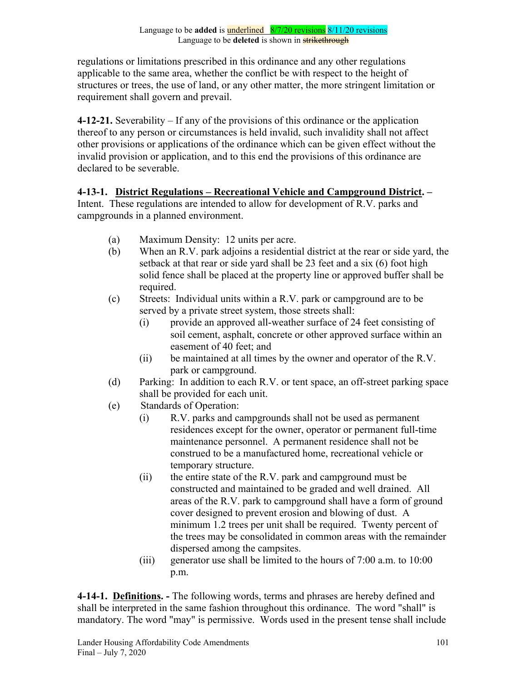regulations or limitations prescribed in this ordinance and any other regulations applicable to the same area, whether the conflict be with respect to the height of structures or trees, the use of land, or any other matter, the more stringent limitation or requirement shall govern and prevail.

**4-12-21.** Severability – If any of the provisions of this ordinance or the application thereof to any person or circumstances is held invalid, such invalidity shall not affect other provisions or applications of the ordinance which can be given effect without the invalid provision or application, and to this end the provisions of this ordinance are declared to be severable.

**4-13-1. District Regulations – Recreational Vehicle and Campground District. –**  Intent. These regulations are intended to allow for development of R.V. parks and campgrounds in a planned environment.

- (a) Maximum Density: 12 units per acre.
- (b) When an R.V. park adjoins a residential district at the rear or side yard, the setback at that rear or side yard shall be 23 feet and a six (6) foot high solid fence shall be placed at the property line or approved buffer shall be required.
- (c) Streets: Individual units within a R.V. park or campground are to be served by a private street system, those streets shall:
	- (i) provide an approved all-weather surface of 24 feet consisting of soil cement, asphalt, concrete or other approved surface within an easement of 40 feet; and
	- (ii) be maintained at all times by the owner and operator of the R.V. park or campground.
- (d) Parking: In addition to each R.V. or tent space, an off-street parking space shall be provided for each unit.
- (e) Standards of Operation:
	- (i) R.V. parks and campgrounds shall not be used as permanent residences except for the owner, operator or permanent full-time maintenance personnel. A permanent residence shall not be construed to be a manufactured home, recreational vehicle or temporary structure.
	- (ii) the entire state of the R.V. park and campground must be constructed and maintained to be graded and well drained. All areas of the R.V. park to campground shall have a form of ground cover designed to prevent erosion and blowing of dust. A minimum 1.2 trees per unit shall be required. Twenty percent of the trees may be consolidated in common areas with the remainder dispersed among the campsites.
	- (iii) generator use shall be limited to the hours of 7:00 a.m. to 10:00 p.m.

**4-14-1. Definitions. -** The following words, terms and phrases are hereby defined and shall be interpreted in the same fashion throughout this ordinance. The word "shall" is mandatory. The word "may" is permissive. Words used in the present tense shall include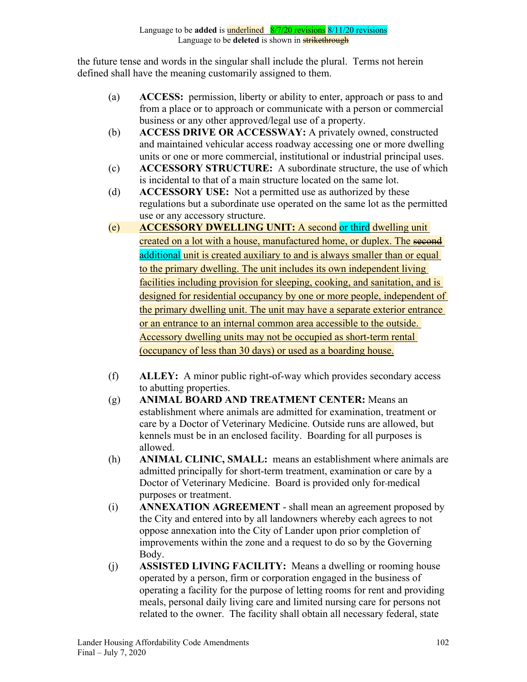the future tense and words in the singular shall include the plural. Terms not herein defined shall have the meaning customarily assigned to them.

- (a) **ACCESS:** permission, liberty or ability to enter, approach or pass to and from a place or to approach or communicate with a person or commercial business or any other approved/legal use of a property.
- (b) **ACCESS DRIVE OR ACCESSWAY:** A privately owned, constructed and maintained vehicular access roadway accessing one or more dwelling units or one or more commercial, institutional or industrial principal uses.
- (c) **ACCESSORY STRUCTURE:** A subordinate structure, the use of which is incidental to that of a main structure located on the same lot.
- (d) **ACCESSORY USE:** Not a permitted use as authorized by these regulations but a subordinate use operated on the same lot as the permitted use or any accessory structure.
- (e) **ACCESSORY DWELLING UNIT:** A second or third dwelling unit created on a lot with a house, manufactured home, or duplex. The second additional unit is created auxiliary to and is always smaller than or equal to the primary dwelling. The unit includes its own independent living facilities including provision for sleeping, cooking, and sanitation, and is designed for residential occupancy by one or more people, independent of the primary dwelling unit. The unit may have a separate exterior entrance or an entrance to an internal common area accessible to the outside. Accessory dwelling units may not be occupied as short-term rental (occupancy of less than 30 days) or used as a boarding house.
- (f) **ALLEY:** A minor public right-of-way which provides secondary access to abutting properties.
- (g) **ANIMAL BOARD AND TREATMENT CENTER:** Means an establishment where animals are admitted for examination, treatment or care by a Doctor of Veterinary Medicine. Outside runs are allowed, but kennels must be in an enclosed facility. Boarding for all purposes is allowed.
- (h) **ANIMAL CLINIC, SMALL:** means an establishment where animals are admitted principally for short-term treatment, examination or care by a Doctor of Veterinary Medicine. Board is provided only for medical purposes or treatment.
- (i) **ANNEXATION AGREEMENT** shall mean an agreement proposed by the City and entered into by all landowners whereby each agrees to not oppose annexation into the City of Lander upon prior completion of improvements within the zone and a request to do so by the Governing Body.
- (j) **ASSISTED LIVING FACILITY:** Means a dwelling or rooming house operated by a person, firm or corporation engaged in the business of operating a facility for the purpose of letting rooms for rent and providing meals, personal daily living care and limited nursing care for persons not related to the owner. The facility shall obtain all necessary federal, state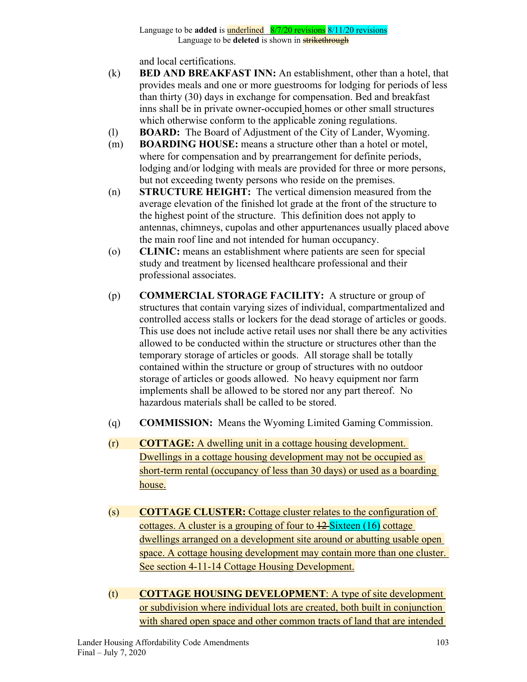and local certifications.

- (k) **BED AND BREAKFAST INN:** An establishment, other than a hotel, that provides meals and one or more guestrooms for lodging for periods of less than thirty (30) days in exchange for compensation. Bed and breakfast inns shall be in private owner-occupied homes or other small structures which otherwise conform to the applicable zoning regulations.
- (l) **BOARD:** The Board of Adjustment of the City of Lander, Wyoming.
- (m) **BOARDING HOUSE:** means a structure other than a hotel or motel, where for compensation and by prearrangement for definite periods, lodging and/or lodging with meals are provided for three or more persons, but not exceeding twenty persons who reside on the premises.
- (n) **STRUCTURE HEIGHT:** The vertical dimension measured from the average elevation of the finished lot grade at the front of the structure to the highest point of the structure. This definition does not apply to antennas, chimneys, cupolas and other appurtenances usually placed above the main roof line and not intended for human occupancy.
- (o) **CLINIC:** means an establishment where patients are seen for special study and treatment by licensed healthcare professional and their professional associates.
- (p) **COMMERCIAL STORAGE FACILITY:** A structure or group of structures that contain varying sizes of individual, compartmentalized and controlled access stalls or lockers for the dead storage of articles or goods. This use does not include active retail uses nor shall there be any activities allowed to be conducted within the structure or structures other than the temporary storage of articles or goods. All storage shall be totally contained within the structure or group of structures with no outdoor storage of articles or goods allowed. No heavy equipment nor farm implements shall be allowed to be stored nor any part thereof. No hazardous materials shall be called to be stored.
- (q) **COMMISSION:** Means the Wyoming Limited Gaming Commission.
- (r) **COTTAGE:** A dwelling unit in a cottage housing development. Dwellings in a cottage housing development may not be occupied as short-term rental (occupancy of less than 30 days) or used as a boarding house.
- (s) **COTTAGE CLUSTER:** Cottage cluster relates to the configuration of cottages. A cluster is a grouping of four to 12 Sixteen (16) cottage dwellings arranged on a development site around or abutting usable open space. A cottage housing development may contain more than one cluster. See section 4-11-14 Cottage Housing Development.
- (t) **COTTAGE HOUSING DEVELOPMENT**: A type of site development or subdivision where individual lots are created, both built in conjunction with shared open space and other common tracts of land that are intended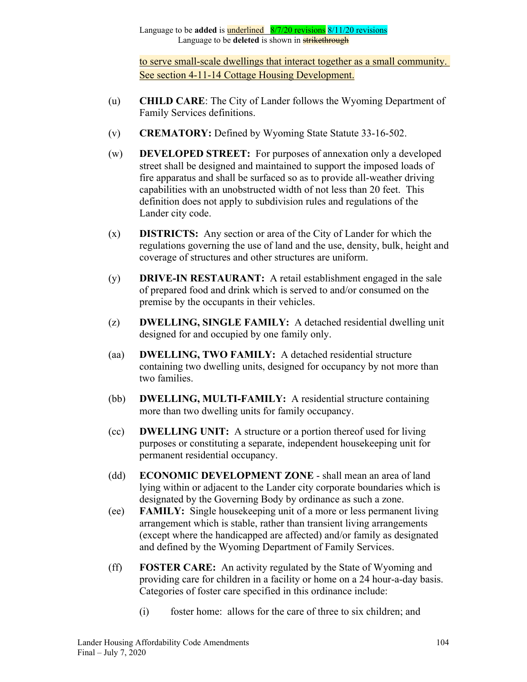to serve small-scale dwellings that interact together as a small community. See section 4-11-14 Cottage Housing Development.

- (u) **CHILD CARE**: The City of Lander follows the Wyoming Department of Family Services definitions.
- (v) **CREMATORY:** Defined by Wyoming State Statute 33-16-502.
- (w) **DEVELOPED STREET:** For purposes of annexation only a developed street shall be designed and maintained to support the imposed loads of fire apparatus and shall be surfaced so as to provide all-weather driving capabilities with an unobstructed width of not less than 20 feet. This definition does not apply to subdivision rules and regulations of the Lander city code.
- (x) **DISTRICTS:** Any section or area of the City of Lander for which the regulations governing the use of land and the use, density, bulk, height and coverage of structures and other structures are uniform.
- (y) **DRIVE-IN RESTAURANT:** A retail establishment engaged in the sale of prepared food and drink which is served to and/or consumed on the premise by the occupants in their vehicles.
- (z) **DWELLING, SINGLE FAMILY:** A detached residential dwelling unit designed for and occupied by one family only.
- (aa) **DWELLING, TWO FAMILY:** A detached residential structure containing two dwelling units, designed for occupancy by not more than two families.
- (bb) **DWELLING, MULTI-FAMILY:** A residential structure containing more than two dwelling units for family occupancy.
- (cc) **DWELLING UNIT:** A structure or a portion thereof used for living purposes or constituting a separate, independent housekeeping unit for permanent residential occupancy.
- (dd) **ECONOMIC DEVELOPMENT ZONE** shall mean an area of land lying within or adjacent to the Lander city corporate boundaries which is designated by the Governing Body by ordinance as such a zone.
- (ee) **FAMILY:** Single housekeeping unit of a more or less permanent living arrangement which is stable, rather than transient living arrangements (except where the handicapped are affected) and/or family as designated and defined by the Wyoming Department of Family Services.
- (ff) **FOSTER CARE:** An activity regulated by the State of Wyoming and providing care for children in a facility or home on a 24 hour-a-day basis. Categories of foster care specified in this ordinance include:
	- (i) foster home: allows for the care of three to six children; and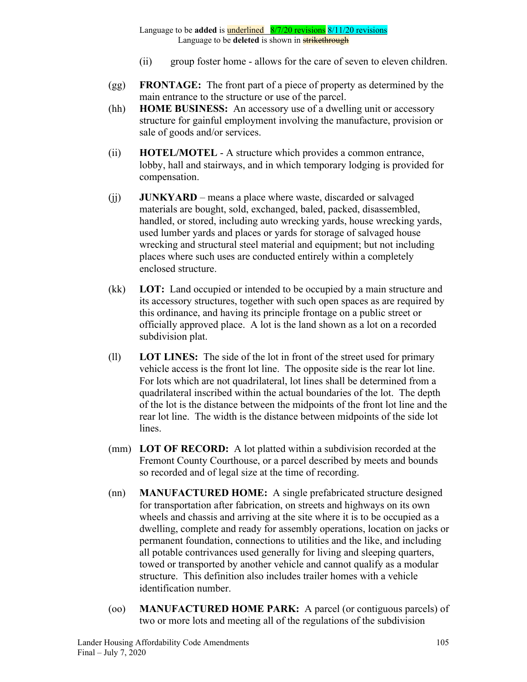- (ii) group foster home allows for the care of seven to eleven children.
- (gg) **FRONTAGE:** The front part of a piece of property as determined by the main entrance to the structure or use of the parcel.
- (hh) **HOME BUSINESS:** An accessory use of a dwelling unit or accessory structure for gainful employment involving the manufacture, provision or sale of goods and/or services.
- (ii) **HOTEL/MOTEL** A structure which provides a common entrance, lobby, hall and stairways, and in which temporary lodging is provided for compensation.
- (jj) **JUNKYARD** means a place where waste, discarded or salvaged materials are bought, sold, exchanged, baled, packed, disassembled, handled, or stored, including auto wrecking yards, house wrecking yards, used lumber yards and places or yards for storage of salvaged house wrecking and structural steel material and equipment; but not including places where such uses are conducted entirely within a completely enclosed structure.
- (kk) **LOT:** Land occupied or intended to be occupied by a main structure and its accessory structures, together with such open spaces as are required by this ordinance, and having its principle frontage on a public street or officially approved place. A lot is the land shown as a lot on a recorded subdivision plat.
- (ll) **LOT LINES:** The side of the lot in front of the street used for primary vehicle access is the front lot line. The opposite side is the rear lot line. For lots which are not quadrilateral, lot lines shall be determined from a quadrilateral inscribed within the actual boundaries of the lot. The depth of the lot is the distance between the midpoints of the front lot line and the rear lot line. The width is the distance between midpoints of the side lot lines.
- (mm) **LOT OF RECORD:** A lot platted within a subdivision recorded at the Fremont County Courthouse, or a parcel described by meets and bounds so recorded and of legal size at the time of recording.
- (nn) **MANUFACTURED HOME:** A single prefabricated structure designed for transportation after fabrication, on streets and highways on its own wheels and chassis and arriving at the site where it is to be occupied as a dwelling, complete and ready for assembly operations, location on jacks or permanent foundation, connections to utilities and the like, and including all potable contrivances used generally for living and sleeping quarters, towed or transported by another vehicle and cannot qualify as a modular structure. This definition also includes trailer homes with a vehicle identification number.
- (oo) **MANUFACTURED HOME PARK:** A parcel (or contiguous parcels) of two or more lots and meeting all of the regulations of the subdivision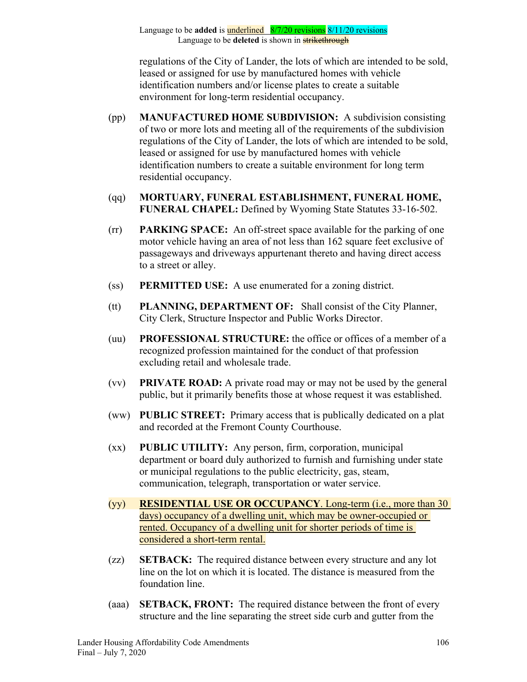regulations of the City of Lander, the lots of which are intended to be sold, leased or assigned for use by manufactured homes with vehicle identification numbers and/or license plates to create a suitable environment for long-term residential occupancy.

- (pp) **MANUFACTURED HOME SUBDIVISION:** A subdivision consisting of two or more lots and meeting all of the requirements of the subdivision regulations of the City of Lander, the lots of which are intended to be sold, leased or assigned for use by manufactured homes with vehicle identification numbers to create a suitable environment for long term residential occupancy.
- (qq) **MORTUARY, FUNERAL ESTABLISHMENT, FUNERAL HOME, FUNERAL CHAPEL:** Defined by Wyoming State Statutes 33-16-502.
- (rr) **PARKING SPACE:** An off-street space available for the parking of one motor vehicle having an area of not less than 162 square feet exclusive of passageways and driveways appurtenant thereto and having direct access to a street or alley.
- (ss) **PERMITTED USE:** A use enumerated for a zoning district.
- (tt) **PLANNING, DEPARTMENT OF:** Shall consist of the City Planner, City Clerk, Structure Inspector and Public Works Director.
- (uu) **PROFESSIONAL STRUCTURE:** the office or offices of a member of a recognized profession maintained for the conduct of that profession excluding retail and wholesale trade.
- (vv) **PRIVATE ROAD:** A private road may or may not be used by the general public, but it primarily benefits those at whose request it was established.
- (ww) **PUBLIC STREET:** Primary access that is publically dedicated on a plat and recorded at the Fremont County Courthouse.
- (xx) **PUBLIC UTILITY:** Any person, firm, corporation, municipal department or board duly authorized to furnish and furnishing under state or municipal regulations to the public electricity, gas, steam, communication, telegraph, transportation or water service.
- (yy) **RESIDENTIAL USE OR OCCUPANCY**. Long-term (i.e., more than 30 days) occupancy of a dwelling unit, which may be owner-occupied or rented. Occupancy of a dwelling unit for shorter periods of time is considered a short-term rental.
- (zz) **SETBACK:** The required distance between every structure and any lot line on the lot on which it is located. The distance is measured from the foundation line.
- (aaa) **SETBACK, FRONT:** The required distance between the front of every structure and the line separating the street side curb and gutter from the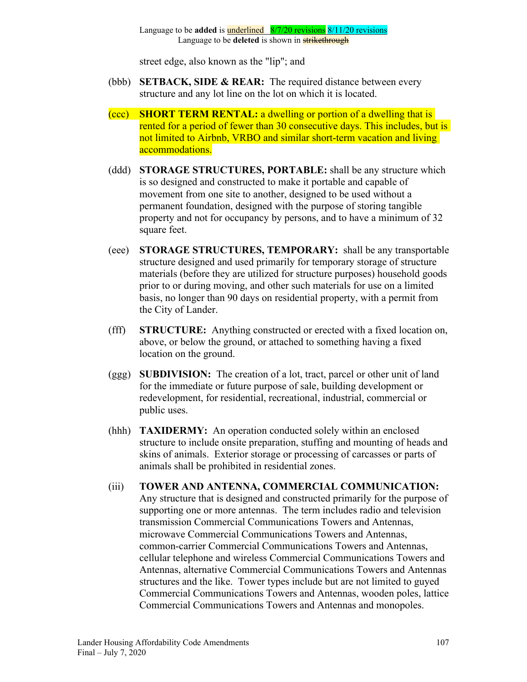street edge, also known as the "lip"; and

- (bbb) **SETBACK, SIDE & REAR:** The required distance between every structure and any lot line on the lot on which it is located.
- (ccc) **SHORT TERM RENTAL:** a dwelling or portion of a dwelling that is rented for a period of fewer than 30 consecutive days. This includes, but is not limited to Airbnb, VRBO and similar short-term vacation and living accommodations.
- (ddd) **STORAGE STRUCTURES, PORTABLE:** shall be any structure which is so designed and constructed to make it portable and capable of movement from one site to another, designed to be used without a permanent foundation, designed with the purpose of storing tangible property and not for occupancy by persons, and to have a minimum of 32 square feet.
- (eee) **STORAGE STRUCTURES, TEMPORARY:** shall be any transportable structure designed and used primarily for temporary storage of structure materials (before they are utilized for structure purposes) household goods prior to or during moving, and other such materials for use on a limited basis, no longer than 90 days on residential property, with a permit from the City of Lander.
- (fff) **STRUCTURE:** Anything constructed or erected with a fixed location on, above, or below the ground, or attached to something having a fixed location on the ground.
- (ggg) **SUBDIVISION:** The creation of a lot, tract, parcel or other unit of land for the immediate or future purpose of sale, building development or redevelopment, for residential, recreational, industrial, commercial or public uses.
- (hhh) **TAXIDERMY:** An operation conducted solely within an enclosed structure to include onsite preparation, stuffing and mounting of heads and skins of animals. Exterior storage or processing of carcasses or parts of animals shall be prohibited in residential zones.
- (iii) **TOWER AND ANTENNA, COMMERCIAL COMMUNICATION:** Any structure that is designed and constructed primarily for the purpose of supporting one or more antennas. The term includes radio and television transmission Commercial Communications Towers and Antennas, microwave Commercial Communications Towers and Antennas, common-carrier Commercial Communications Towers and Antennas, cellular telephone and wireless Commercial Communications Towers and Antennas, alternative Commercial Communications Towers and Antennas structures and the like. Tower types include but are not limited to guyed Commercial Communications Towers and Antennas, wooden poles, lattice Commercial Communications Towers and Antennas and monopoles.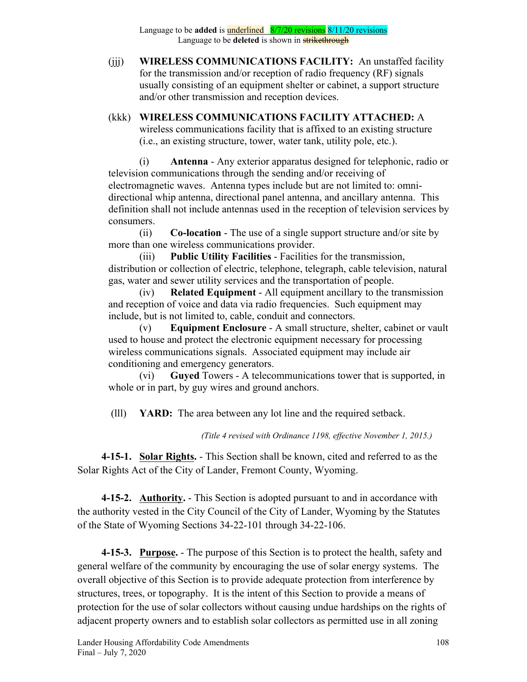(jjj) **WIRELESS COMMUNICATIONS FACILITY:** An unstaffed facility for the transmission and/or reception of radio frequency (RF) signals usually consisting of an equipment shelter or cabinet, a support structure and/or other transmission and reception devices.

(kkk) **WIRELESS COMMUNICATIONS FACILITY ATTACHED:** A wireless communications facility that is affixed to an existing structure (i.e., an existing structure, tower, water tank, utility pole, etc.).

(i) **Antenna** - Any exterior apparatus designed for telephonic, radio or television communications through the sending and/or receiving of electromagnetic waves. Antenna types include but are not limited to: omnidirectional whip antenna, directional panel antenna, and ancillary antenna. This definition shall not include antennas used in the reception of television services by consumers.

(ii) **Co-location** - The use of a single support structure and/or site by more than one wireless communications provider.

(iii) **Public Utility Facilities** - Facilities for the transmission, distribution or collection of electric, telephone, telegraph, cable television, natural gas, water and sewer utility services and the transportation of people.

(iv) **Related Equipment** - All equipment ancillary to the transmission and reception of voice and data via radio frequencies. Such equipment may include, but is not limited to, cable, conduit and connectors.

(v) **Equipment Enclosure** - A small structure, shelter, cabinet or vault used to house and protect the electronic equipment necessary for processing wireless communications signals. Associated equipment may include air conditioning and emergency generators.

(vi) **Guyed** Towers - A telecommunications tower that is supported, in whole or in part, by guy wires and ground anchors.

(lll) **YARD:** The area between any lot line and the required setback.

*(Title 4 revised with Ordinance 1198, effective November 1, 2015.)*

**4-15-1. Solar Rights.** - This Section shall be known, cited and referred to as the Solar Rights Act of the City of Lander, Fremont County, Wyoming.

**4-15-2. Authority.** - This Section is adopted pursuant to and in accordance with the authority vested in the City Council of the City of Lander, Wyoming by the Statutes of the State of Wyoming Sections 34-22-101 through 34-22-106.

**4-15-3. Purpose.** - The purpose of this Section is to protect the health, safety and general welfare of the community by encouraging the use of solar energy systems. The overall objective of this Section is to provide adequate protection from interference by structures, trees, or topography. It is the intent of this Section to provide a means of protection for the use of solar collectors without causing undue hardships on the rights of adjacent property owners and to establish solar collectors as permitted use in all zoning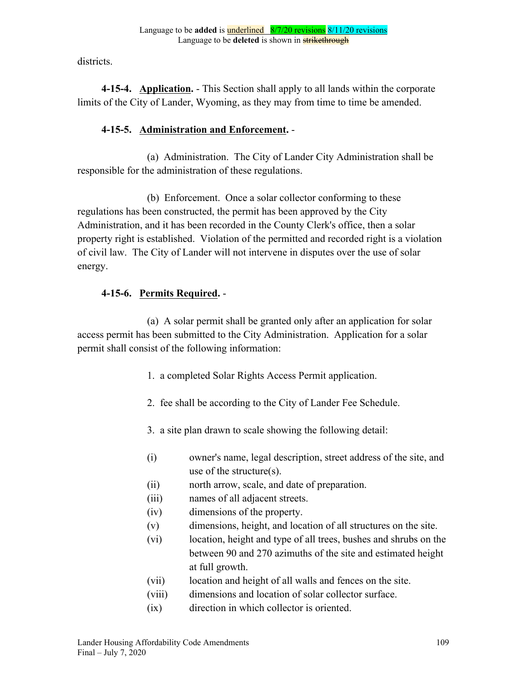districts.

**4-15-4. Application.** - This Section shall apply to all lands within the corporate limits of the City of Lander, Wyoming, as they may from time to time be amended.

## **4-15-5. Administration and Enforcement.** -

(a) Administration. The City of Lander City Administration shall be responsible for the administration of these regulations.

(b) Enforcement. Once a solar collector conforming to these regulations has been constructed, the permit has been approved by the City Administration, and it has been recorded in the County Clerk's office, then a solar property right is established. Violation of the permitted and recorded right is a violation of civil law. The City of Lander will not intervene in disputes over the use of solar energy.

## **4-15-6. Permits Required.** -

(a) A solar permit shall be granted only after an application for solar access permit has been submitted to the City Administration. Application for a solar permit shall consist of the following information:

- 1. a completed Solar Rights Access Permit application.
- 2. fee shall be according to the City of Lander Fee Schedule.
- 3. a site plan drawn to scale showing the following detail:
- (i) owner's name, legal description, street address of the site, and use of the structure(s).
- (ii) north arrow, scale, and date of preparation.
- (iii) names of all adjacent streets.
- (iv) dimensions of the property.
- (v) dimensions, height, and location of all structures on the site.
- (vi) location, height and type of all trees, bushes and shrubs on the between 90 and 270 azimuths of the site and estimated height at full growth.
- (vii) location and height of all walls and fences on the site.
- (viii) dimensions and location of solar collector surface.
- (ix) direction in which collector is oriented.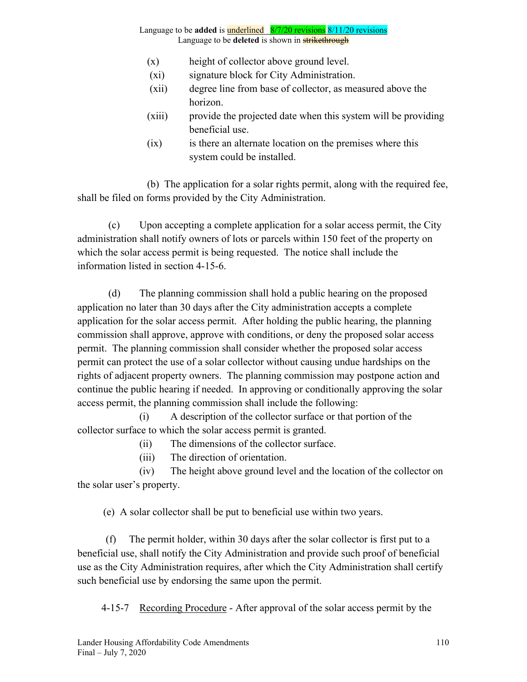- (x) height of collector above ground level.
- (xi) signature block for City Administration.
- (xii) degree line from base of collector, as measured above the horizon.
- (xiii) provide the projected date when this system will be providing beneficial use.
- (ix) is there an alternate location on the premises where this system could be installed.

(b) The application for a solar rights permit, along with the required fee, shall be filed on forms provided by the City Administration.

(c) Upon accepting a complete application for a solar access permit, the City administration shall notify owners of lots or parcels within 150 feet of the property on which the solar access permit is being requested. The notice shall include the information listed in section 4-15-6.

(d) The planning commission shall hold a public hearing on the proposed application no later than 30 days after the City administration accepts a complete application for the solar access permit. After holding the public hearing, the planning commission shall approve, approve with conditions, or deny the proposed solar access permit. The planning commission shall consider whether the proposed solar access permit can protect the use of a solar collector without causing undue hardships on the rights of adjacent property owners. The planning commission may postpone action and continue the public hearing if needed. In approving or conditionally approving the solar access permit, the planning commission shall include the following:

(i) A description of the collector surface or that portion of the collector surface to which the solar access permit is granted.

(ii) The dimensions of the collector surface.

(iii) The direction of orientation.

(iv) The height above ground level and the location of the collector on the solar user's property.

(e) A solar collector shall be put to beneficial use within two years.

 (f) The permit holder, within 30 days after the solar collector is first put to a beneficial use, shall notify the City Administration and provide such proof of beneficial use as the City Administration requires, after which the City Administration shall certify such beneficial use by endorsing the same upon the permit.

4-15-7 Recording Procedure - After approval of the solar access permit by the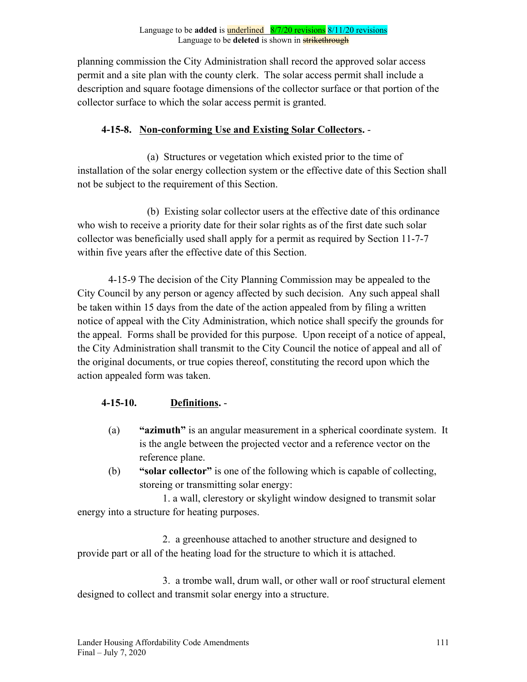planning commission the City Administration shall record the approved solar access permit and a site plan with the county clerk. The solar access permit shall include a description and square footage dimensions of the collector surface or that portion of the collector surface to which the solar access permit is granted.

## **4-15-8. Non-conforming Use and Existing Solar Collectors.** -

(a) Structures or vegetation which existed prior to the time of installation of the solar energy collection system or the effective date of this Section shall not be subject to the requirement of this Section.

(b) Existing solar collector users at the effective date of this ordinance who wish to receive a priority date for their solar rights as of the first date such solar collector was beneficially used shall apply for a permit as required by Section 11-7-7 within five years after the effective date of this Section.

4-15-9 The decision of the City Planning Commission may be appealed to the City Council by any person or agency affected by such decision. Any such appeal shall be taken within 15 days from the date of the action appealed from by filing a written notice of appeal with the City Administration, which notice shall specify the grounds for the appeal. Forms shall be provided for this purpose. Upon receipt of a notice of appeal, the City Administration shall transmit to the City Council the notice of appeal and all of the original documents, or true copies thereof, constituting the record upon which the action appealed form was taken.

## **4-15-10. Definitions.** -

- (a) **"azimuth"** is an angular measurement in a spherical coordinate system. It is the angle between the projected vector and a reference vector on the reference plane.
- (b) **"solar collector"** is one of the following which is capable of collecting, storeing or transmitting solar energy:

1. a wall, clerestory or skylight window designed to transmit solar energy into a structure for heating purposes.

2. a greenhouse attached to another structure and designed to provide part or all of the heating load for the structure to which it is attached.

3. a trombe wall, drum wall, or other wall or roof structural element designed to collect and transmit solar energy into a structure.